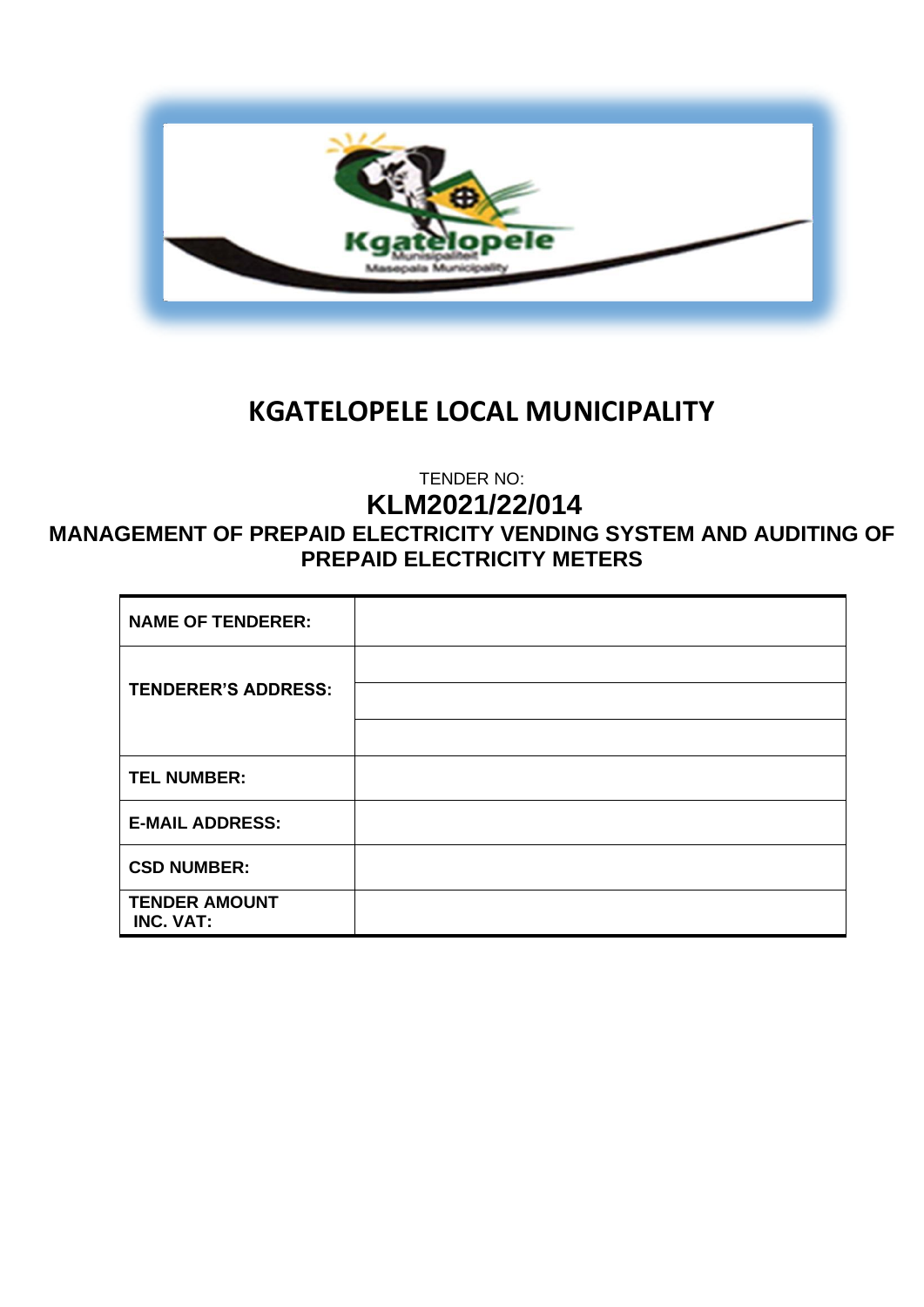

# **KGATELOPELE LOCAL MUNICIPALITY**

TENDER NO:

**KLM2021/22/014**

# **MANAGEMENT OF PREPAID ELECTRICITY VENDING SYSTEM AND AUDITING OF PREPAID ELECTRICITY METERS**

| <b>NAME OF TENDERER:</b>          |  |
|-----------------------------------|--|
| <b>TENDERER'S ADDRESS:</b>        |  |
|                                   |  |
| <b>TEL NUMBER:</b>                |  |
| <b>E-MAIL ADDRESS:</b>            |  |
| <b>CSD NUMBER:</b>                |  |
| <b>TENDER AMOUNT</b><br>INC. VAT: |  |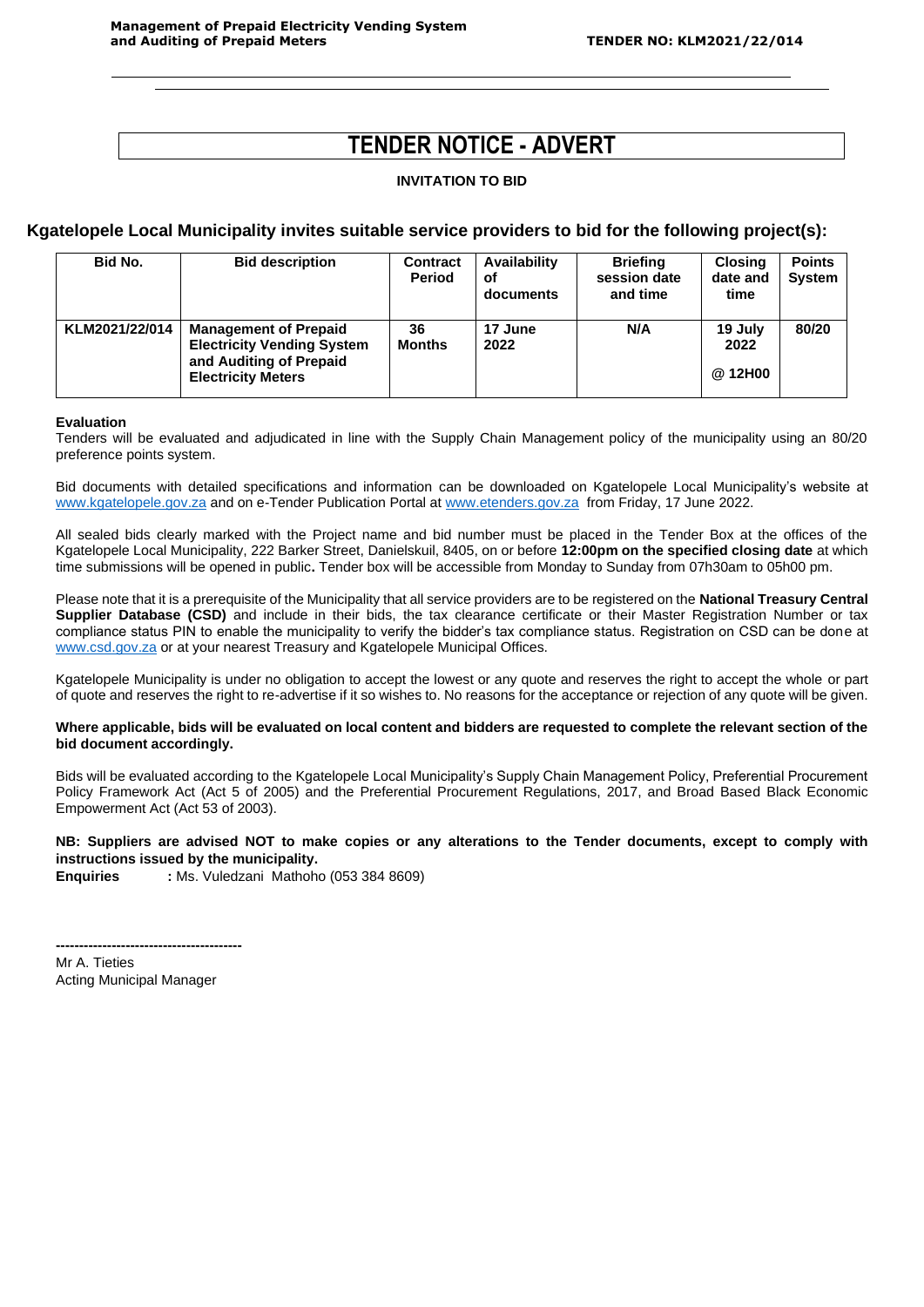# **TENDER NOTICE - ADVERT**

#### **INVITATION TO BID**

#### **Kgatelopele Local Municipality invites suitable service providers to bid for the following project(s):**

| Bid No.        | <b>Bid description</b>                                                                                                    | <b>Contract</b><br><b>Period</b> | Availability<br>οf<br>documents | <b>Briefing</b><br>session date<br>and time | <b>Closing</b><br>date and<br>time | <b>Points</b><br><b>System</b> |
|----------------|---------------------------------------------------------------------------------------------------------------------------|----------------------------------|---------------------------------|---------------------------------------------|------------------------------------|--------------------------------|
| KLM2021/22/014 | <b>Management of Prepaid</b><br><b>Electricity Vending System</b><br>and Auditing of Prepaid<br><b>Electricity Meters</b> | 36<br><b>Months</b>              | 17 June<br>2022                 | N/A                                         | 19 July<br>2022<br>@ 12H00         | 80/20                          |

#### **Evaluation**

Tenders will be evaluated and adjudicated in line with the Supply Chain Management policy of the municipality using an 80/20 preference points system.

Bid documents with detailed specifications and information can be downloaded on Kgatelopele Local Municipality's website at [www.kgatelopele.gov.za](http://www.kgatelopele.gov.za/) and on e-Tender Publication Portal at [www.etenders.gov.za](http://www.etenders.gov.za/) from Friday, 17 June 2022.

All sealed bids clearly marked with the Project name and bid number must be placed in the Tender Box at the offices of the Kgatelopele Local Municipality, 222 Barker Street, Danielskuil, 8405, on or before **12:00pm on the specified closing date** at which time submissions will be opened in public**.** Tender box will be accessible from Monday to Sunday from 07h30am to 05h00 pm.

Please note that it is a prerequisite of the Municipality that all service providers are to be registered on the **National Treasury Central Supplier Database (CSD)** and include in their bids, the tax clearance certificate or their Master Registration Number or tax compliance status PIN to enable the municipality to verify the bidder's tax compliance status. Registration on CSD can be done at [www.csd.gov.za](http://www.csd.gov.za/) or at your nearest Treasury and Kgatelopele Municipal Offices.

Kgatelopele Municipality is under no obligation to accept the lowest or any quote and reserves the right to accept the whole or part of quote and reserves the right to re-advertise if it so wishes to. No reasons for the acceptance or rejection of any quote will be given.

#### **Where applicable, bids will be evaluated on local content and bidders are requested to complete the relevant section of the bid document accordingly.**

Bids will be evaluated according to the Kgatelopele Local Municipality's Supply Chain Management Policy, Preferential Procurement Policy Framework Act (Act 5 of 2005) and the Preferential Procurement Regulations, 2017, and Broad Based Black Economic Empowerment Act (Act 53 of 2003).

#### **NB: Suppliers are advised NOT to make copies or any alterations to the Tender documents, except to comply with instructions issued by the municipality.**

**Enquiries :** Ms. Vuledzani Mathoho (053 384 8609)

Mr A. Tieties Acting Municipal Manager

**----------------------------------------**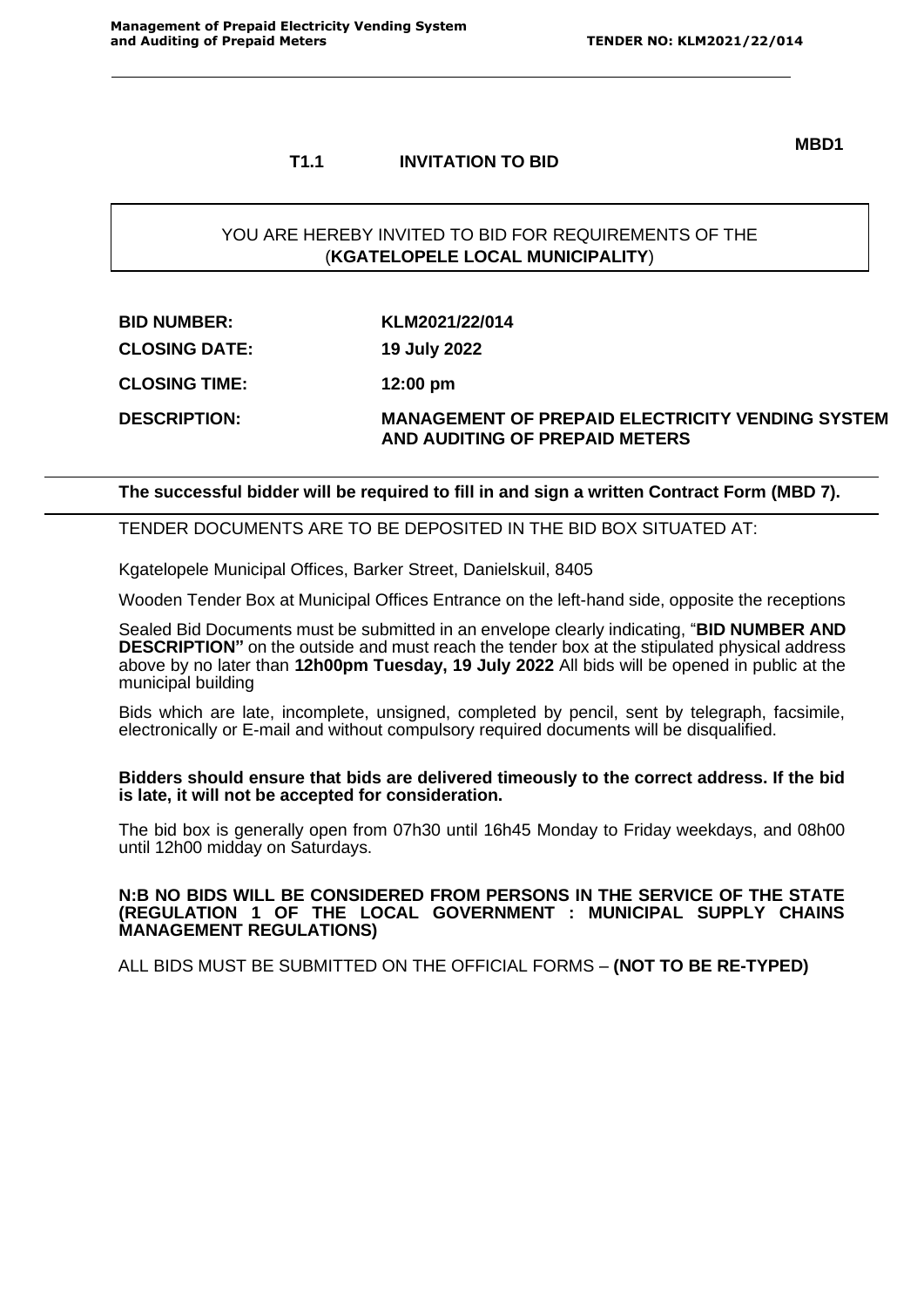## **T1.1 INVITATION TO BID**

**MBD1**

## YOU ARE HEREBY INVITED TO BID FOR REQUIREMENTS OF THE (**KGATELOPELE LOCAL MUNICIPALITY**)

| <b>BID NUMBER:</b>   | KLM2021/22/014                                          |
|----------------------|---------------------------------------------------------|
| <b>CLOSING DATE:</b> | 19 July 2022                                            |
| <b>CLOSING TIME:</b> | $12:00 \text{ pm}$                                      |
| <b>DESCRIPTION:</b>  | <b>MANAGEMENT OF PREPAID ELECTRICITY VENDING SYSTEM</b> |

**AND AUDITING OF PREPAID METERS**

#### **The successful bidder will be required to fill in and sign a written Contract Form (MBD 7).**

#### TENDER DOCUMENTS ARE TO BE DEPOSITED IN THE BID BOX SITUATED AT:

Kgatelopele Municipal Offices, Barker Street, Danielskuil, 8405

Wooden Tender Box at Municipal Offices Entrance on the left-hand side, opposite the receptions

Sealed Bid Documents must be submitted in an envelope clearly indicating, "**BID NUMBER AND DESCRIPTION"** on the outside and must reach the tender box at the stipulated physical address above by no later than **12h00pm Tuesday, 19 July 2022** All bids will be opened in public at the municipal building

Bids which are late, incomplete, unsigned, completed by pencil, sent by telegraph, facsimile, electronically or E-mail and without compulsory required documents will be disqualified.

#### **Bidders should ensure that bids are delivered timeously to the correct address. If the bid is late, it will not be accepted for consideration.**

The bid box is generally open from 07h30 until 16h45 Monday to Friday weekdays, and 08h00 until 12h00 midday on Saturdays.

#### **N:B NO BIDS WILL BE CONSIDERED FROM PERSONS IN THE SERVICE OF THE STATE (REGULATION 1 OF THE LOCAL GOVERNMENT : MUNICIPAL SUPPLY CHAINS MANAGEMENT REGULATIONS)**

ALL BIDS MUST BE SUBMITTED ON THE OFFICIAL FORMS – **(NOT TO BE RE-TYPED)**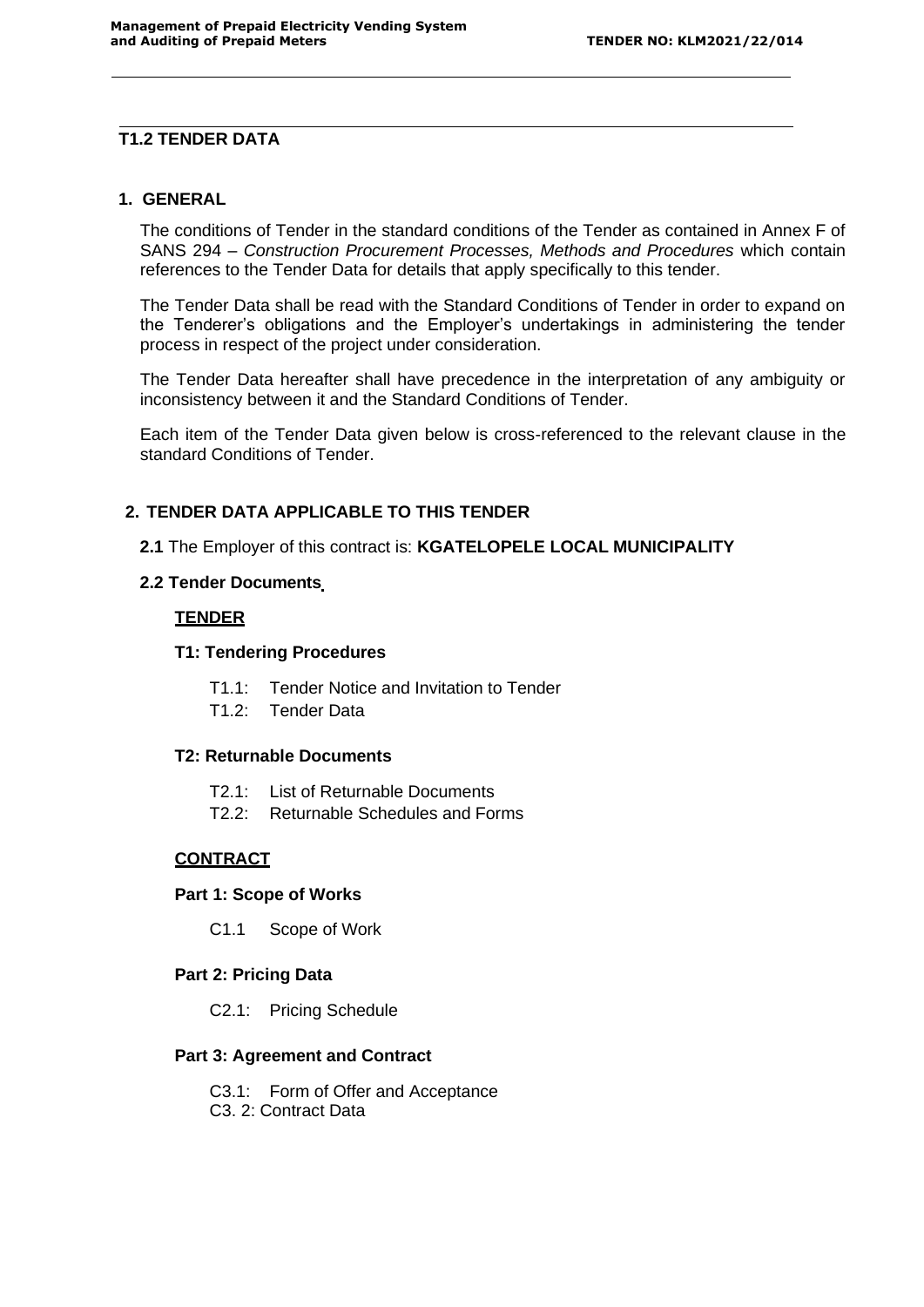## **T1.2 TENDER DATA**

#### **1. GENERAL**

The conditions of Tender in the standard conditions of the Tender as contained in Annex F of SANS 294 – *Construction Procurement Processes, Methods and Procedures* which contain references to the Tender Data for details that apply specifically to this tender.

The Tender Data shall be read with the Standard Conditions of Tender in order to expand on the Tenderer's obligations and the Employer's undertakings in administering the tender process in respect of the project under consideration.

The Tender Data hereafter shall have precedence in the interpretation of any ambiguity or inconsistency between it and the Standard Conditions of Tender.

Each item of the Tender Data given below is cross-referenced to the relevant clause in the standard Conditions of Tender.

## **2. TENDER DATA APPLICABLE TO THIS TENDER**

**2.1** The Employer of this contract is: **KGATELOPELE LOCAL MUNICIPALITY**

#### **2.2 Tender Documents**

#### **TENDER**

#### **T1: Tendering Procedures**

- T1.1: Tender Notice and Invitation to Tender
- T1.2: Tender Data

#### **T2: Returnable Documents**

- T2.1: List of Returnable Documents
- T2.2: Returnable Schedules and Forms

## **CONTRACT**

#### **Part 1: Scope of Works**

C1.1 Scope of Work

#### **Part 2: Pricing Data**

C2.1: Pricing Schedule

#### **Part 3: Agreement and Contract**

- C3.1: Form of Offer and Acceptance
- C3. 2: Contract Data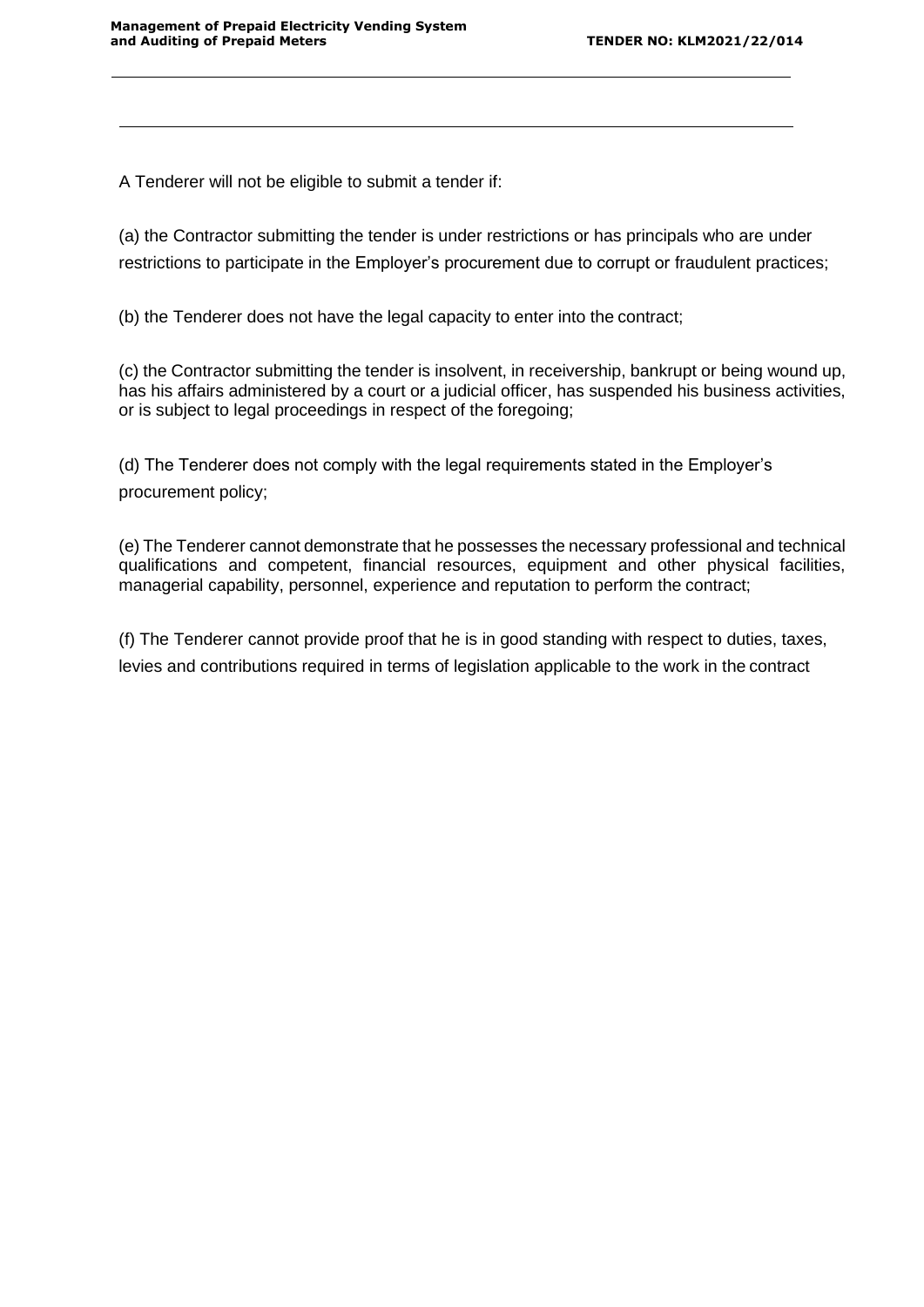A Tenderer will not be eligible to submit a tender if:

(a) the Contractor submitting the tender is under restrictions or has principals who are under restrictions to participate in the Employer's procurement due to corrupt or fraudulent practices;

(b) the Tenderer does not have the legal capacity to enter into the contract;

(c) the Contractor submitting the tender is insolvent, in receivership, bankrupt or being wound up, has his affairs administered by a court or a judicial officer, has suspended his business activities, or is subject to legal proceedings in respect of the foregoing;

(d) The Tenderer does not comply with the legal requirements stated in the Employer's procurement policy;

(e) The Tenderer cannot demonstrate that he possesses the necessary professional and technical qualifications and competent, financial resources, equipment and other physical facilities, managerial capability, personnel, experience and reputation to perform the contract;

(f) The Tenderer cannot provide proof that he is in good standing with respect to duties, taxes, levies and contributions required in terms of legislation applicable to the work in the contract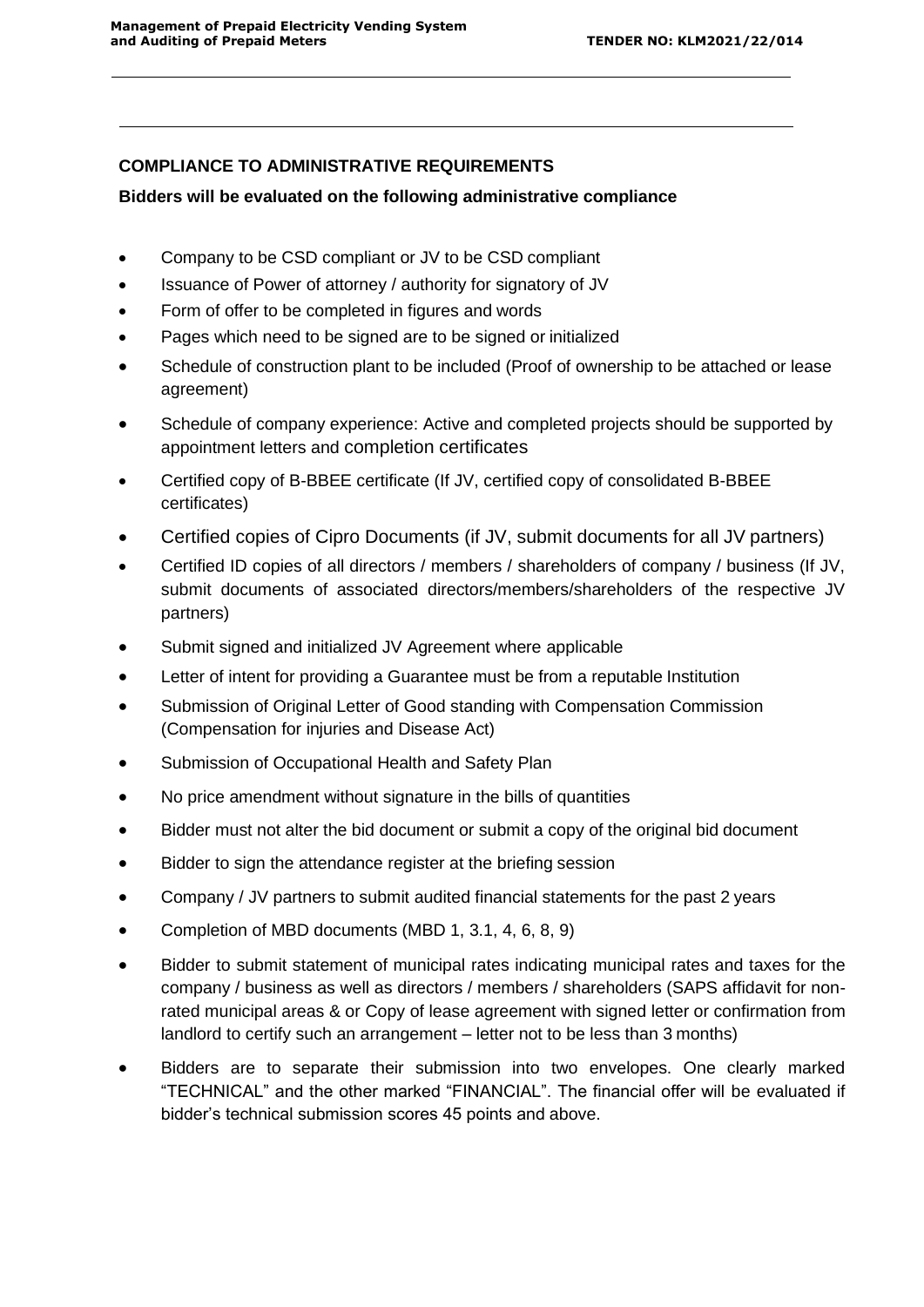# **COMPLIANCE TO ADMINISTRATIVE REQUIREMENTS**

## **Bidders will be evaluated on the following administrative compliance**

- Company to be CSD compliant or JV to be CSD compliant
- Issuance of Power of attorney / authority for signatory of JV
- Form of offer to be completed in figures and words
- Pages which need to be signed are to be signed or initialized
- Schedule of construction plant to be included (Proof of ownership to be attached or lease agreement)
- Schedule of company experience: Active and completed projects should be supported by appointment letters and completion certificates
- Certified copy of B-BBEE certificate (If JV, certified copy of consolidated B-BBEE certificates)
- Certified copies of Cipro Documents (if JV, submit documents for all JV partners)
- Certified ID copies of all directors / members / shareholders of company / business (If JV, submit documents of associated directors/members/shareholders of the respective JV partners)
- Submit signed and initialized JV Agreement where applicable
- Letter of intent for providing a Guarantee must be from a reputable Institution
- Submission of Original Letter of Good standing with Compensation Commission (Compensation for injuries and Disease Act)
- Submission of Occupational Health and Safety Plan
- No price amendment without signature in the bills of quantities
- Bidder must not alter the bid document or submit a copy of the original bid document
- Bidder to sign the attendance register at the briefing session
- Company / JV partners to submit audited financial statements for the past 2 years
- Completion of MBD documents (MBD 1, 3.1, 4, 6, 8, 9)
- Bidder to submit statement of municipal rates indicating municipal rates and taxes for the company / business as well as directors / members / shareholders (SAPS affidavit for nonrated municipal areas & or Copy of lease agreement with signed letter or confirmation from landlord to certify such an arrangement – letter not to be less than 3 months)
- Bidders are to separate their submission into two envelopes. One clearly marked "TECHNICAL" and the other marked "FINANCIAL". The financial offer will be evaluated if bidder's technical submission scores 45 points and above.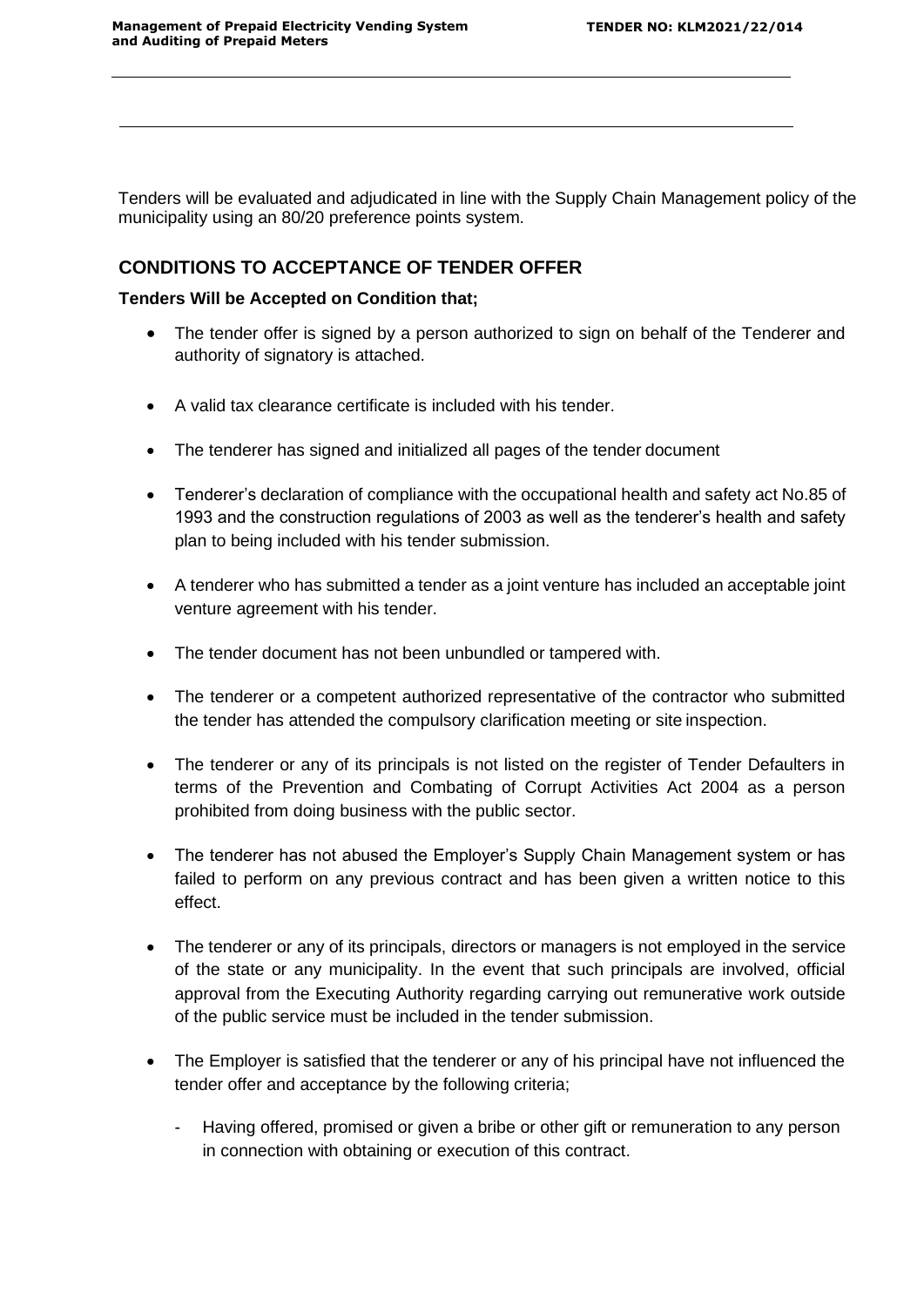Tenders will be evaluated and adjudicated in line with the Supply Chain Management policy of the municipality using an 80/20 preference points system.

# **CONDITIONS TO ACCEPTANCE OF TENDER OFFER**

#### **Tenders Will be Accepted on Condition that;**

- The tender offer is signed by a person authorized to sign on behalf of the Tenderer and authority of signatory is attached.
- A valid tax clearance certificate is included with his tender.
- The tenderer has signed and initialized all pages of the tender document
- Tenderer's declaration of compliance with the occupational health and safety act No.85 of 1993 and the construction regulations of 2003 as well as the tenderer's health and safety plan to being included with his tender submission.
- A tenderer who has submitted a tender as a joint venture has included an acceptable joint venture agreement with his tender.
- The tender document has not been unbundled or tampered with.
- The tenderer or a competent authorized representative of the contractor who submitted the tender has attended the compulsory clarification meeting or site inspection.
- The tenderer or any of its principals is not listed on the register of Tender Defaulters in terms of the Prevention and Combating of Corrupt Activities Act 2004 as a person prohibited from doing business with the public sector.
- The tenderer has not abused the Employer's Supply Chain Management system or has failed to perform on any previous contract and has been given a written notice to this effect.
- The tenderer or any of its principals, directors or managers is not employed in the service of the state or any municipality. In the event that such principals are involved, official approval from the Executing Authority regarding carrying out remunerative work outside of the public service must be included in the tender submission.
- The Employer is satisfied that the tenderer or any of his principal have not influenced the tender offer and acceptance by the following criteria;
	- Having offered, promised or given a bribe or other gift or remuneration to any person in connection with obtaining or execution of this contract.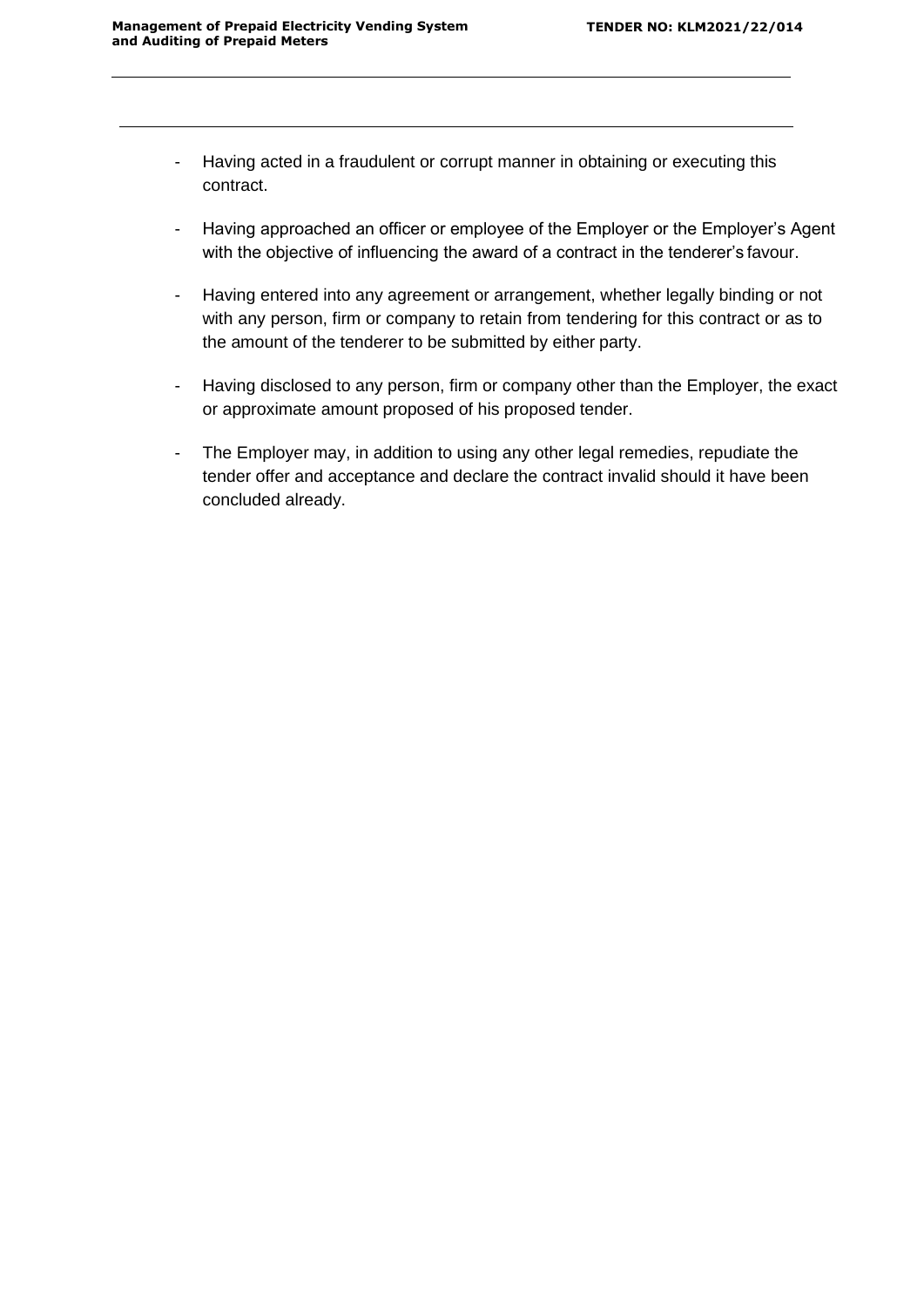- Having acted in a fraudulent or corrupt manner in obtaining or executing this contract.
- Having approached an officer or employee of the Employer or the Employer's Agent with the objective of influencing the award of a contract in the tenderer's favour.
- Having entered into any agreement or arrangement, whether legally binding or not with any person, firm or company to retain from tendering for this contract or as to the amount of the tenderer to be submitted by either party.
- Having disclosed to any person, firm or company other than the Employer, the exact or approximate amount proposed of his proposed tender.
- The Employer may, in addition to using any other legal remedies, repudiate the tender offer and acceptance and declare the contract invalid should it have been concluded already.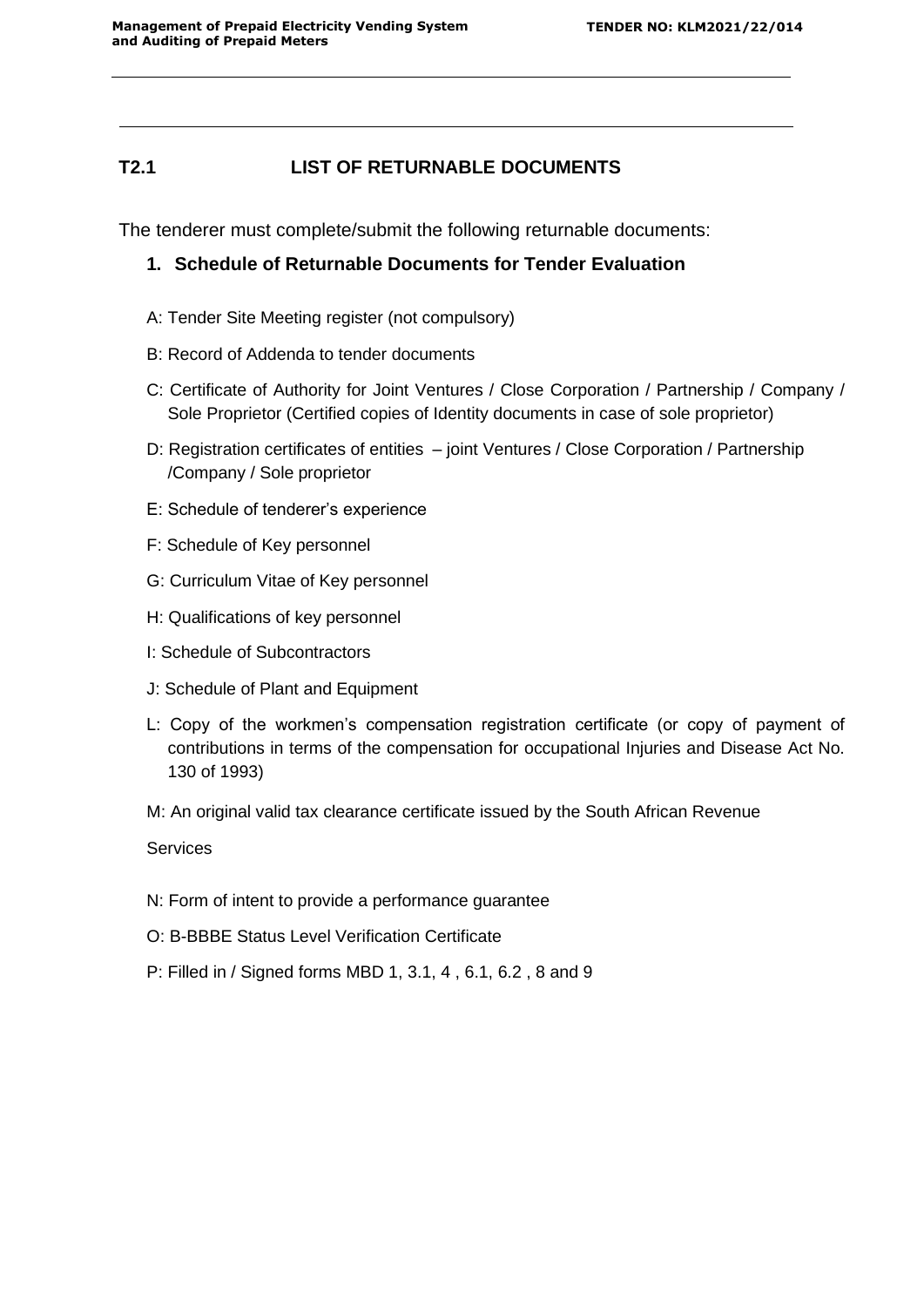# **T2.1 LIST OF RETURNABLE DOCUMENTS**

The tenderer must complete/submit the following returnable documents:

# **1. Schedule of Returnable Documents for Tender Evaluation**

- A: Tender Site Meeting register (not compulsory)
- B: Record of Addenda to tender documents
- C: Certificate of Authority for Joint Ventures / Close Corporation / Partnership / Company / Sole Proprietor (Certified copies of Identity documents in case of sole proprietor)
- D: Registration certificates of entities joint Ventures / Close Corporation / Partnership /Company / Sole proprietor
- E: Schedule of tenderer's experience
- F: Schedule of Key personnel
- G: Curriculum Vitae of Key personnel
- H: Qualifications of key personnel
- I: Schedule of Subcontractors
- J: Schedule of Plant and Equipment
- L: Copy of the workmen's compensation registration certificate (or copy of payment of contributions in terms of the compensation for occupational Injuries and Disease Act No. 130 of 1993)
- M: An original valid tax clearance certificate issued by the South African Revenue

Services

- N: Form of intent to provide a performance guarantee
- O: B-BBBE Status Level Verification Certificate
- P: Filled in / Signed forms MBD 1, 3.1, 4 , 6.1, 6.2 , 8 and 9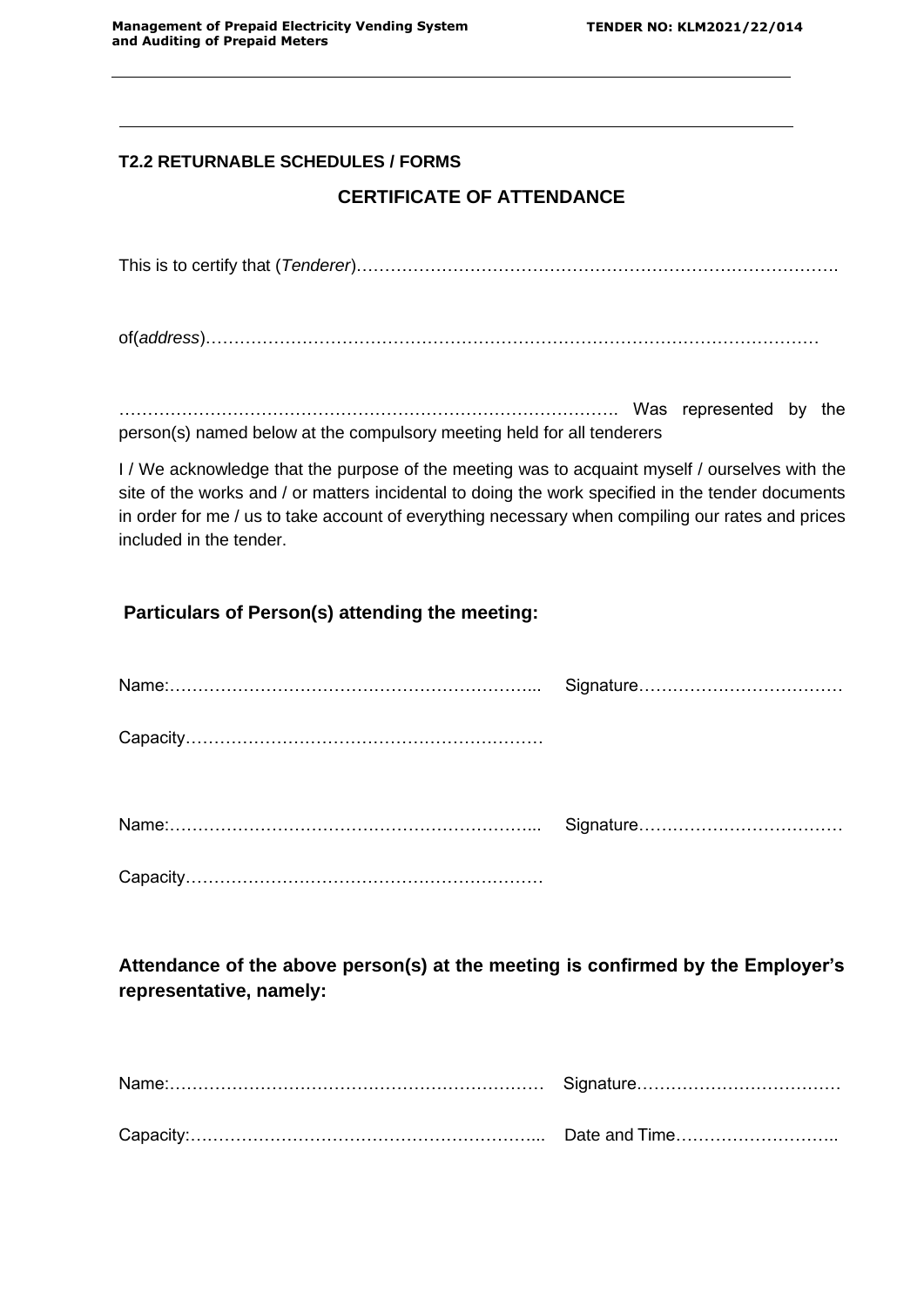# **T2.2 RETURNABLE SCHEDULES / FORMS**

# **CERTIFICATE OF ATTENDANCE**

This is to certify that (*Tenderer*)………………………………………………………………………….

of(*address*)………………………………………………………………………………………………

……………………………………………………………………………. Was represented by the person(s) named below at the compulsory meeting held for all tenderers

I / We acknowledge that the purpose of the meeting was to acquaint myself / ourselves with the site of the works and / or matters incidental to doing the work specified in the tender documents in order for me / us to take account of everything necessary when compiling our rates and prices included in the tender.

# **Particulars of Person(s) attending the meeting:**

**Attendance of the above person(s) at the meeting is confirmed by the Employer's representative, namely:**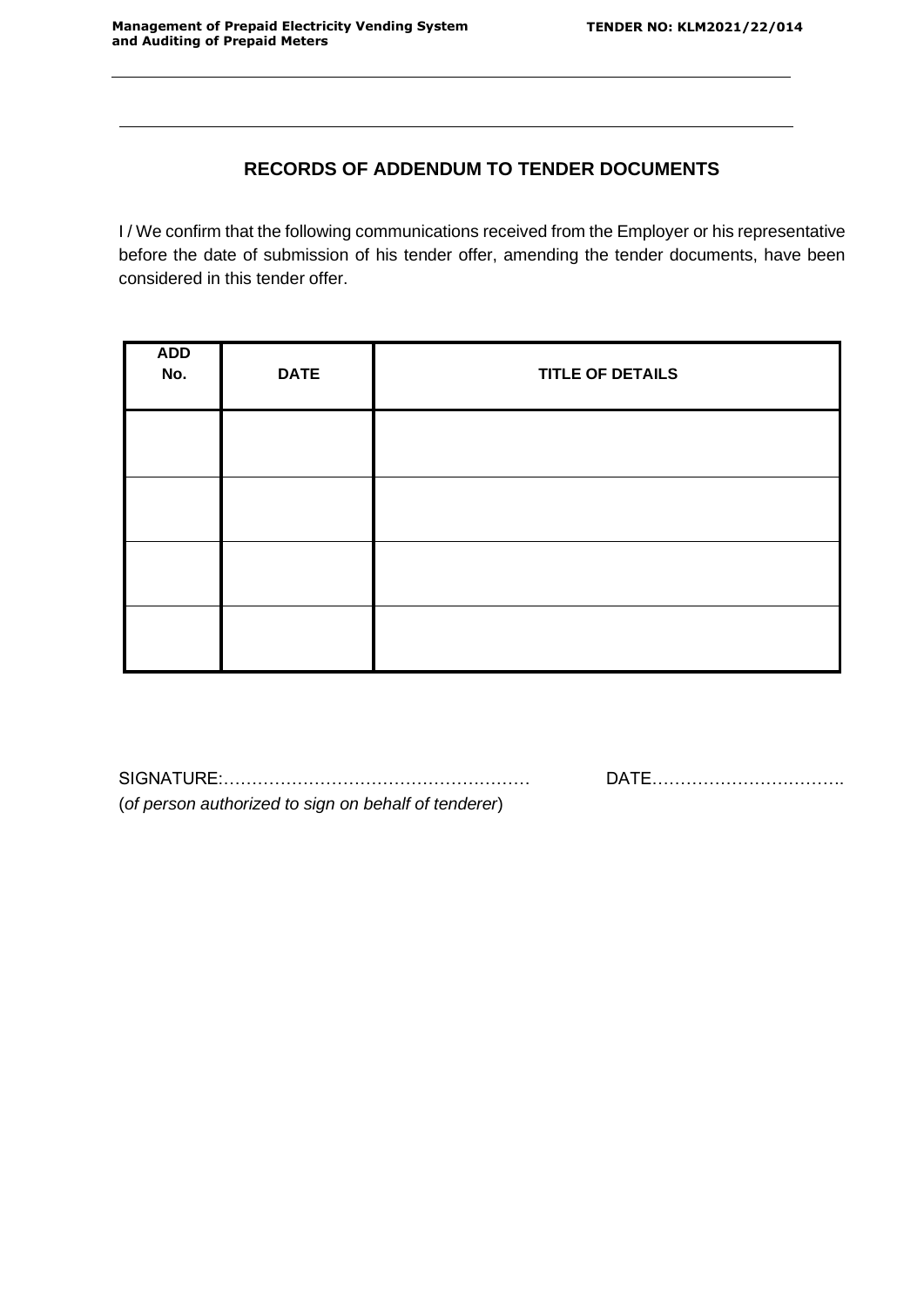# **RECORDS OF ADDENDUM TO TENDER DOCUMENTS**

I / We confirm that the following communications received from the Employer or his representative before the date of submission of his tender offer, amending the tender documents, have been considered in this tender offer.

| ADD<br>No. | <b>DATE</b> | <b>TITLE OF DETAILS</b> |
|------------|-------------|-------------------------|
|            |             |                         |
|            |             |                         |
|            |             |                         |
|            |             |                         |

SIGNATURE:……………………………………………… DATE……………………………. (*of person authorized to sign on behalf of tenderer*)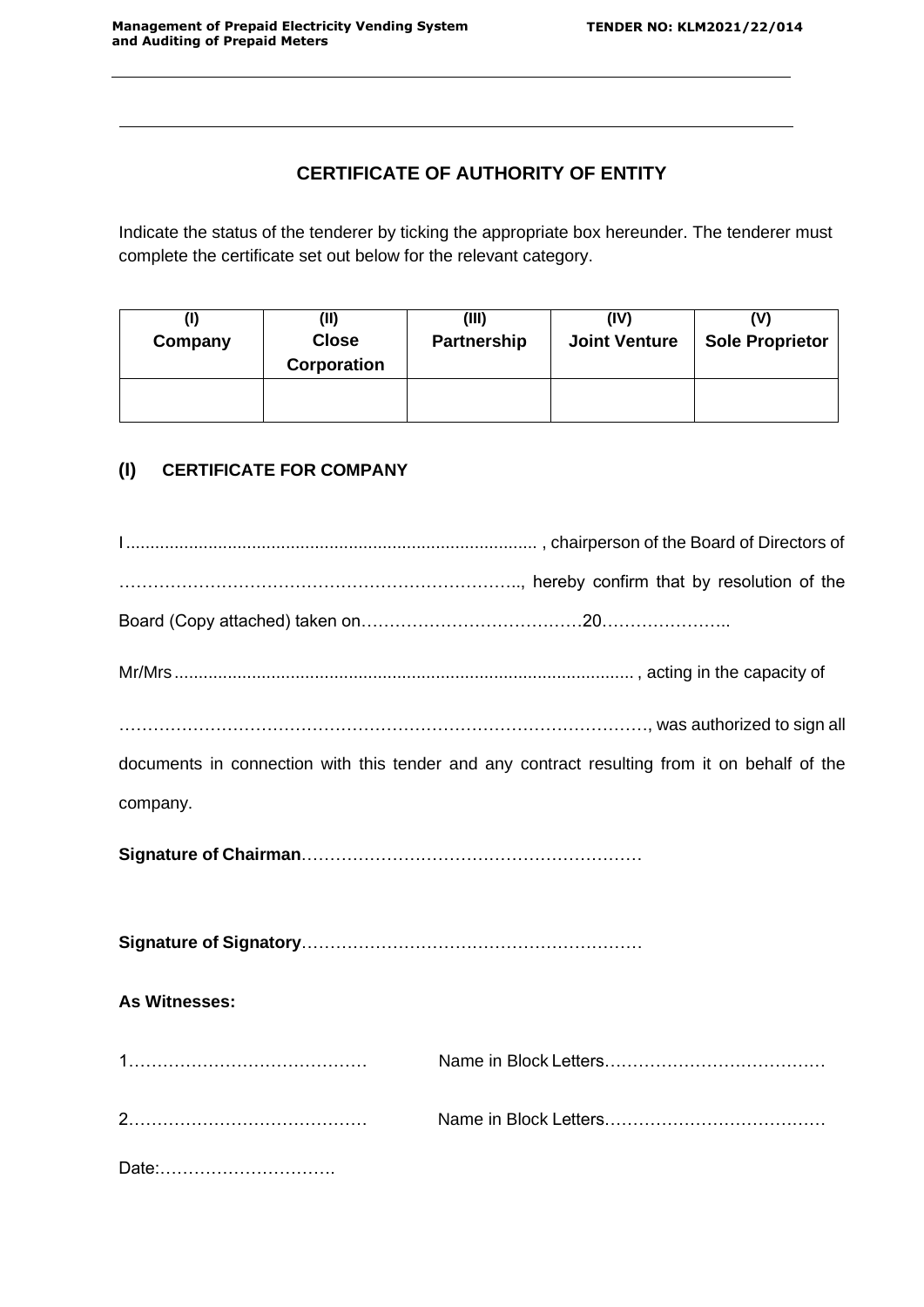# **CERTIFICATE OF AUTHORITY OF ENTITY**

Indicate the status of the tenderer by ticking the appropriate box hereunder. The tenderer must complete the certificate set out below for the relevant category.

| Company | (II)<br><b>Close</b><br>Corporation | (III)<br>Partnership | (IV)<br><b>Joint Venture</b> | <b>Sole Proprietor</b> |  |
|---------|-------------------------------------|----------------------|------------------------------|------------------------|--|
|         |                                     |                      |                              |                        |  |

# **(I) CERTIFICATE FOR COMPANY**

|               | was authorized to sign all and the sign all                                                  |
|---------------|----------------------------------------------------------------------------------------------|
|               | documents in connection with this tender and any contract resulting from it on behalf of the |
| company.      |                                                                                              |
|               |                                                                                              |
|               |                                                                                              |
| As Witnesses: |                                                                                              |
|               |                                                                                              |
|               |                                                                                              |
| Date:         |                                                                                              |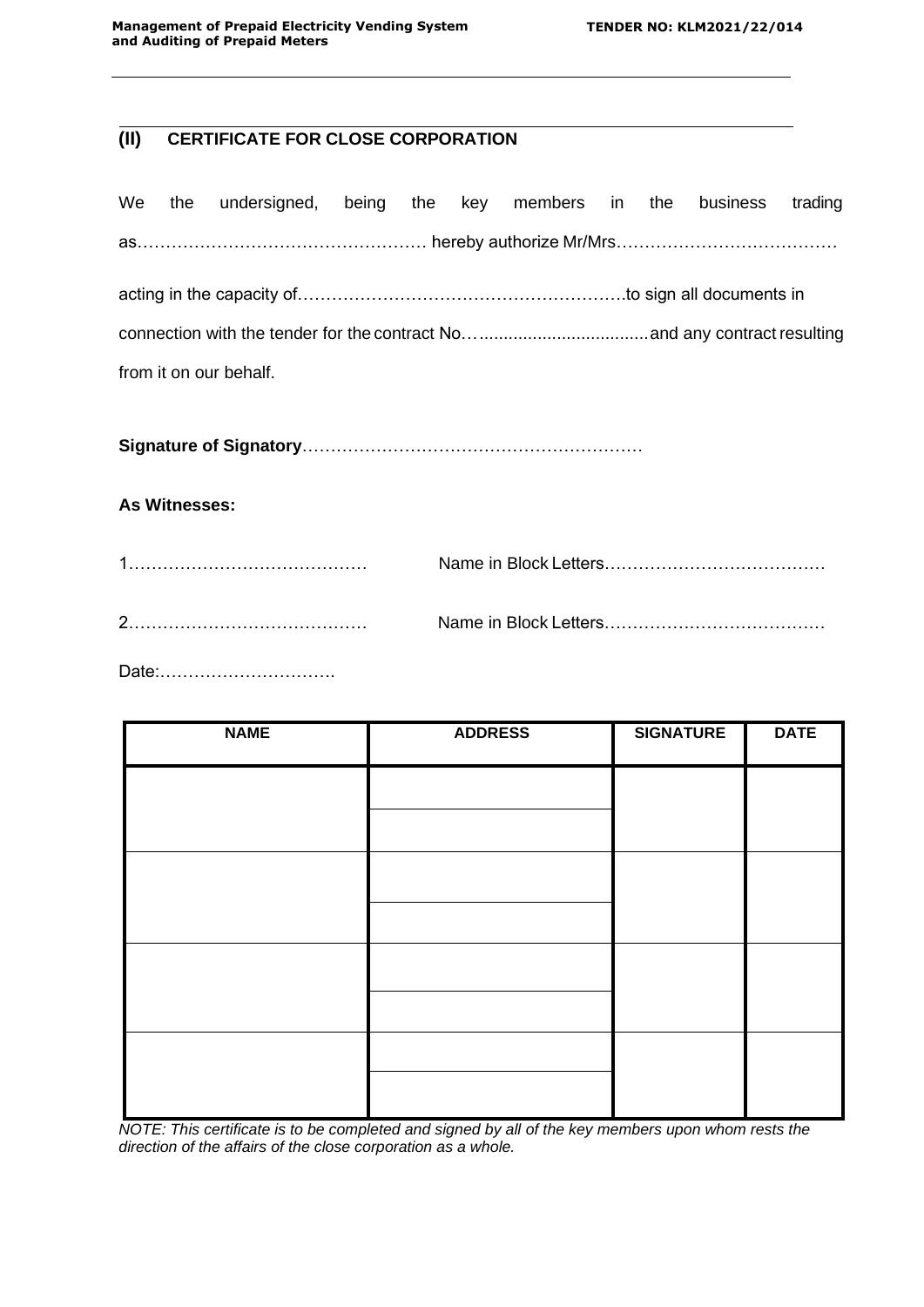# **(II) CERTIFICATE FOR CLOSE CORPORATION**

|                                                                      |  | We the undersigned, being the key members in the business trading |  |  |  |  |  |  |  |  |  |
|----------------------------------------------------------------------|--|-------------------------------------------------------------------|--|--|--|--|--|--|--|--|--|
|                                                                      |  | as…………………………………………… hereby authorize Mr/Mrs………………………………           |  |  |  |  |  |  |  |  |  |
| acting in the capacity of…………………………………………………to sign all documents in |  |                                                                   |  |  |  |  |  |  |  |  |  |
|                                                                      |  |                                                                   |  |  |  |  |  |  |  |  |  |
| from it on our behalf.                                               |  |                                                                   |  |  |  |  |  |  |  |  |  |
|                                                                      |  |                                                                   |  |  |  |  |  |  |  |  |  |

**Signature of Signatory**……………………………………………………

## **As Witnesses:**

Date:………………………….

| <b>NAME</b> | <b>ADDRESS</b> | <b>SIGNATURE</b> | <b>DATE</b> |  |
|-------------|----------------|------------------|-------------|--|
|             |                |                  |             |  |
|             |                |                  |             |  |
|             |                |                  |             |  |
|             |                |                  |             |  |
|             |                |                  |             |  |
|             |                |                  |             |  |
|             |                |                  |             |  |
|             |                |                  |             |  |

*NOTE: This certificate is to be completed and signed by all of the key members upon whom rests the direction of the affairs of the close corporation as a whole.*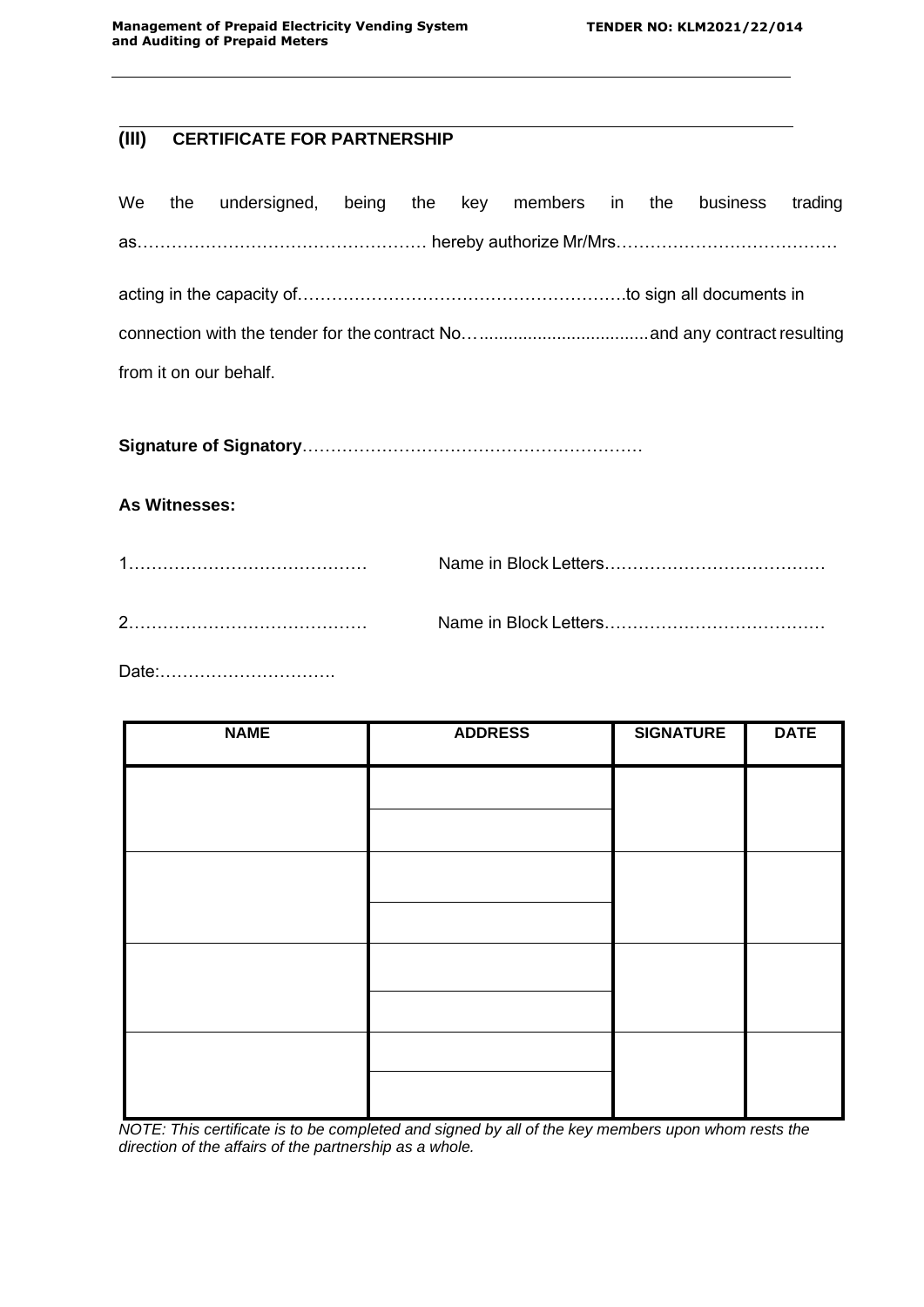# **(III) CERTIFICATE FOR PARTNERSHIP**

|                        |                                                         | We the undersigned, being the key members in the business trading |  |  |  |  |  |  |  |  |  |  |
|------------------------|---------------------------------------------------------|-------------------------------------------------------------------|--|--|--|--|--|--|--|--|--|--|
|                        | as…………………………………………… hereby authorize Mr/Mrs……………………………… |                                                                   |  |  |  |  |  |  |  |  |  |  |
|                        |                                                         |                                                                   |  |  |  |  |  |  |  |  |  |  |
|                        |                                                         |                                                                   |  |  |  |  |  |  |  |  |  |  |
| from it on our behalf. |                                                         |                                                                   |  |  |  |  |  |  |  |  |  |  |

**Signature of Signatory**……………………………………………………

## **As Witnesses:**

Date:………………………….

| <b>NAME</b> | <b>ADDRESS</b> | <b>SIGNATURE</b> | <b>DATE</b> |
|-------------|----------------|------------------|-------------|
|             |                |                  |             |
|             |                |                  |             |
|             |                |                  |             |
|             |                |                  |             |
|             |                |                  |             |
|             |                |                  |             |
|             |                |                  |             |
|             |                |                  |             |

*NOTE: This certificate is to be completed and signed by all of the key members upon whom rests the direction of the affairs of the partnership as a whole.*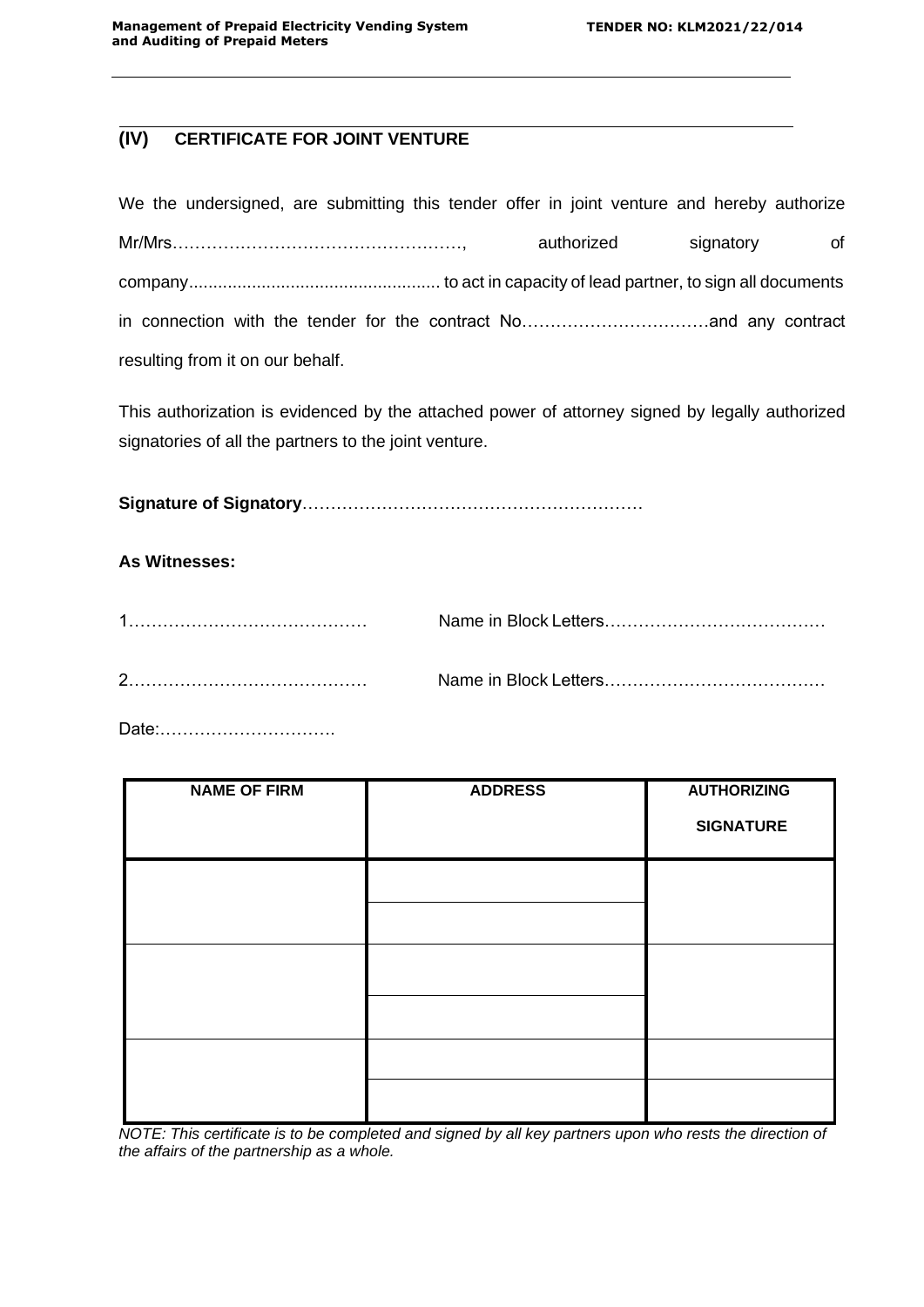# **(IV) CERTIFICATE FOR JOINT VENTURE**

| We the undersigned, are submitting this tender offer in joint venture and hereby authorize |            |           |    |
|--------------------------------------------------------------------------------------------|------------|-----------|----|
|                                                                                            | authorized | signatory | of |
|                                                                                            |            |           |    |
|                                                                                            |            |           |    |
| resulting from it on our behalf.                                                           |            |           |    |

This authorization is evidenced by the attached power of attorney signed by legally authorized signatories of all the partners to the joint venture.

**Signature of Signatory**……………………………………………………

## **As Witnesses:**

Date:………………………….

| <b>NAME OF FIRM</b> | <b>ADDRESS</b> | <b>AUTHORIZING</b><br><b>SIGNATURE</b> |
|---------------------|----------------|----------------------------------------|
|                     |                |                                        |
|                     |                |                                        |
|                     |                |                                        |

*NOTE: This certificate is to be completed and signed by all key partners upon who rests the direction of the affairs of the partnership as a whole.*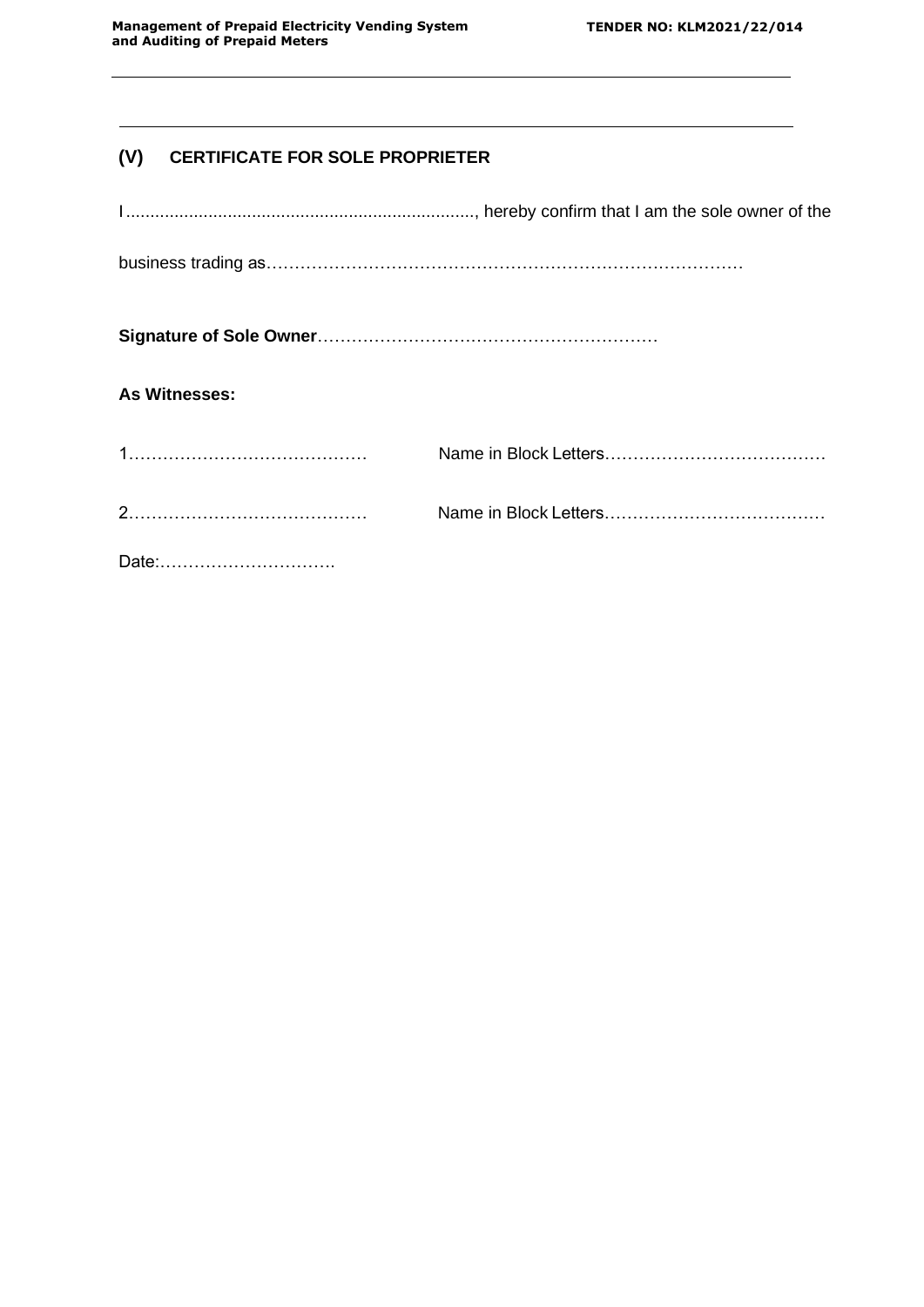# **(V) CERTIFICATE FOR SOLE PROPRIETER**

| As Witnesses: |  |
|---------------|--|
|               |  |
|               |  |
| Date:         |  |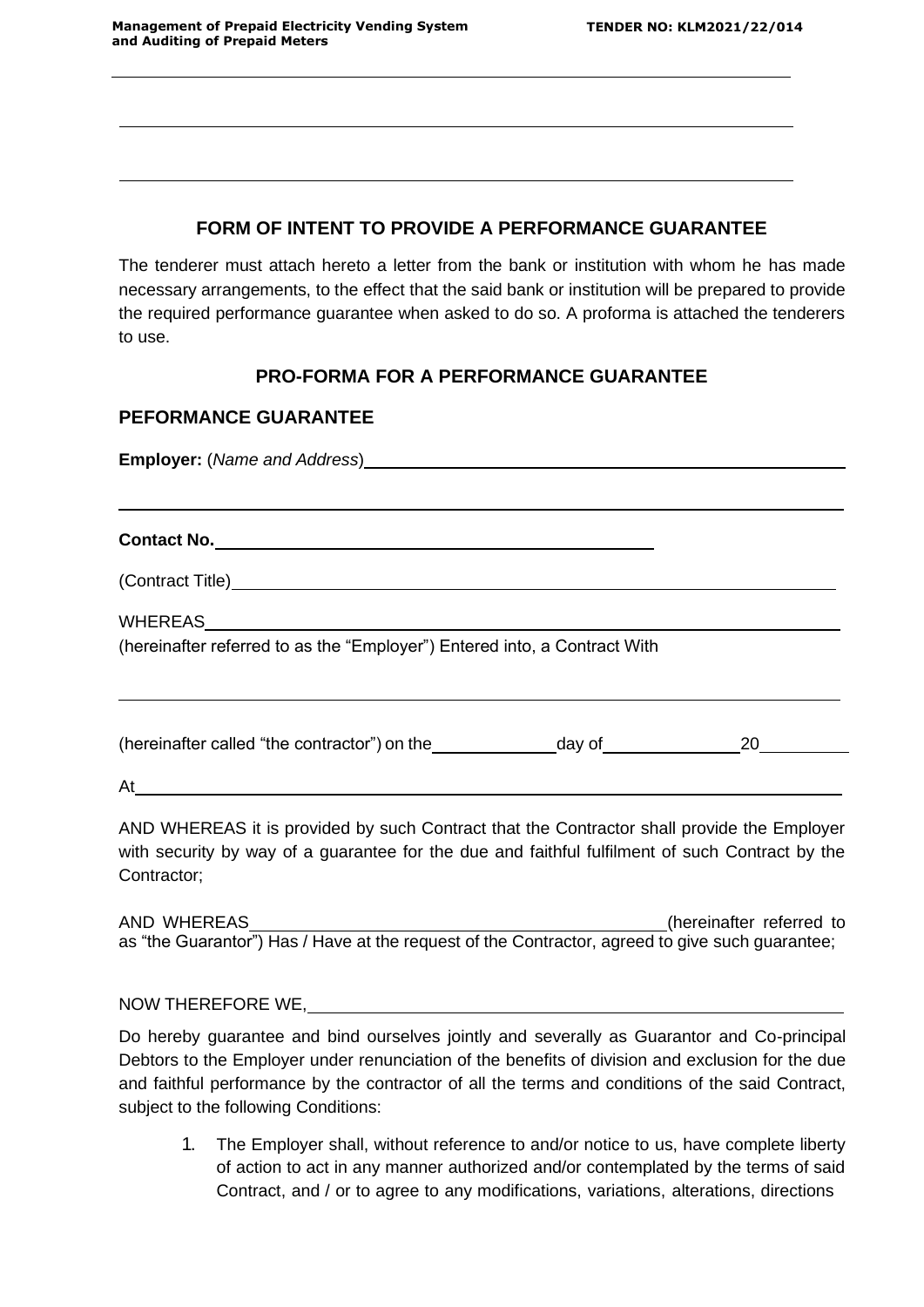## **FORM OF INTENT TO PROVIDE A PERFORMANCE GUARANTEE**

The tenderer must attach hereto a letter from the bank or institution with whom he has made necessary arrangements, to the effect that the said bank or institution will be prepared to provide the required performance guarantee when asked to do so. A proforma is attached the tenderers to use.

# **PRO-FORMA FOR A PERFORMANCE GUARANTEE**

## **PEFORMANCE GUARANTEE**

**Employer:** (*Name and Address*)

**Contact No.**

(Contract Title)

WHEREAS

(hereinafter referred to as the "Employer") Entered into, a Contract With

(hereinafter called "the contractor") on the  $\qquad \qquad$  day of  $\qquad \qquad 20$ 

At

AND WHEREAS it is provided by such Contract that the Contractor shall provide the Employer with security by way of a guarantee for the due and faithful fulfilment of such Contract by the Contractor;

AND WHEREAS (hereinafter referred to as "the Guarantor") Has / Have at the request of the Contractor, agreed to give such guarantee;

NOW THEREFORE WE,

Do hereby guarantee and bind ourselves jointly and severally as Guarantor and Co-principal Debtors to the Employer under renunciation of the benefits of division and exclusion for the due and faithful performance by the contractor of all the terms and conditions of the said Contract, subject to the following Conditions:

1. The Employer shall, without reference to and/or notice to us, have complete liberty of action to act in any manner authorized and/or contemplated by the terms of said Contract, and / or to agree to any modifications, variations, alterations, directions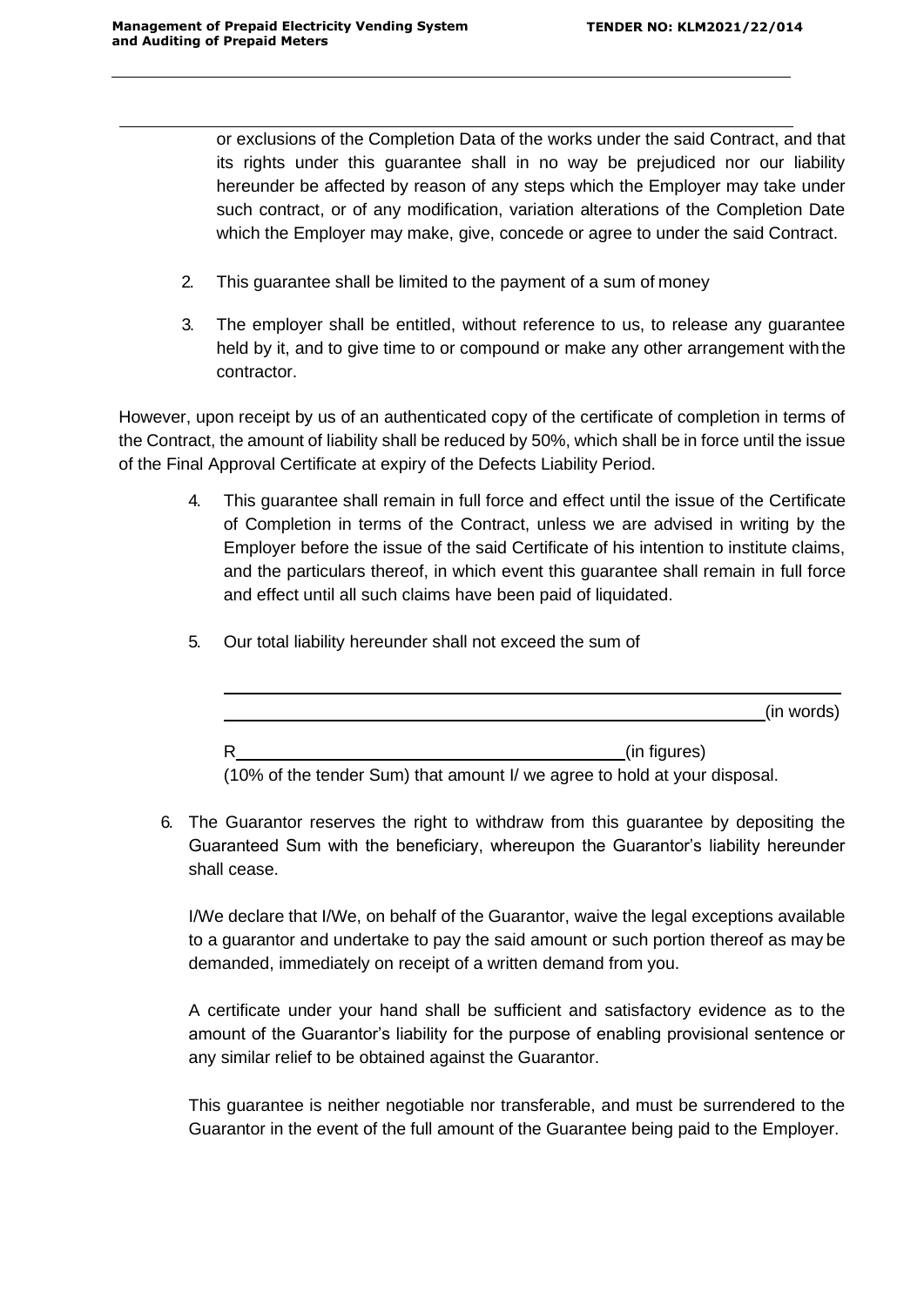or exclusions of the Completion Data of the works under the said Contract, and that its rights under this guarantee shall in no way be prejudiced nor our liability hereunder be affected by reason of any steps which the Employer may take under such contract, or of any modification, variation alterations of the Completion Date which the Employer may make, give, concede or agree to under the said Contract.

- 2. This guarantee shall be limited to the payment of a sum of money
- 3. The employer shall be entitled, without reference to us, to release any guarantee held by it, and to give time to or compound or make any other arrangement with the contractor.

However, upon receipt by us of an authenticated copy of the certificate of completion in terms of the Contract, the amount of liability shall be reduced by 50%, which shall be in force until the issue of the Final Approval Certificate at expiry of the Defects Liability Period.

- 4. This guarantee shall remain in full force and effect until the issue of the Certificate of Completion in terms of the Contract, unless we are advised in writing by the Employer before the issue of the said Certificate of his intention to institute claims, and the particulars thereof, in which event this guarantee shall remain in full force and effect until all such claims have been paid of liquidated.
	- (in words) R (in figures)

5. Our total liability hereunder shall not exceed the sum of

(10% of the tender Sum) that amount I/ we agree to hold at your disposal.

6. The Guarantor reserves the right to withdraw from this guarantee by depositing the Guaranteed Sum with the beneficiary, whereupon the Guarantor's liability hereunder shall cease.

I/We declare that I/We, on behalf of the Guarantor, waive the legal exceptions available to a guarantor and undertake to pay the said amount or such portion thereof as may be demanded, immediately on receipt of a written demand from you.

A certificate under your hand shall be sufficient and satisfactory evidence as to the amount of the Guarantor's liability for the purpose of enabling provisional sentence or any similar relief to be obtained against the Guarantor.

This guarantee is neither negotiable nor transferable, and must be surrendered to the Guarantor in the event of the full amount of the Guarantee being paid to the Employer.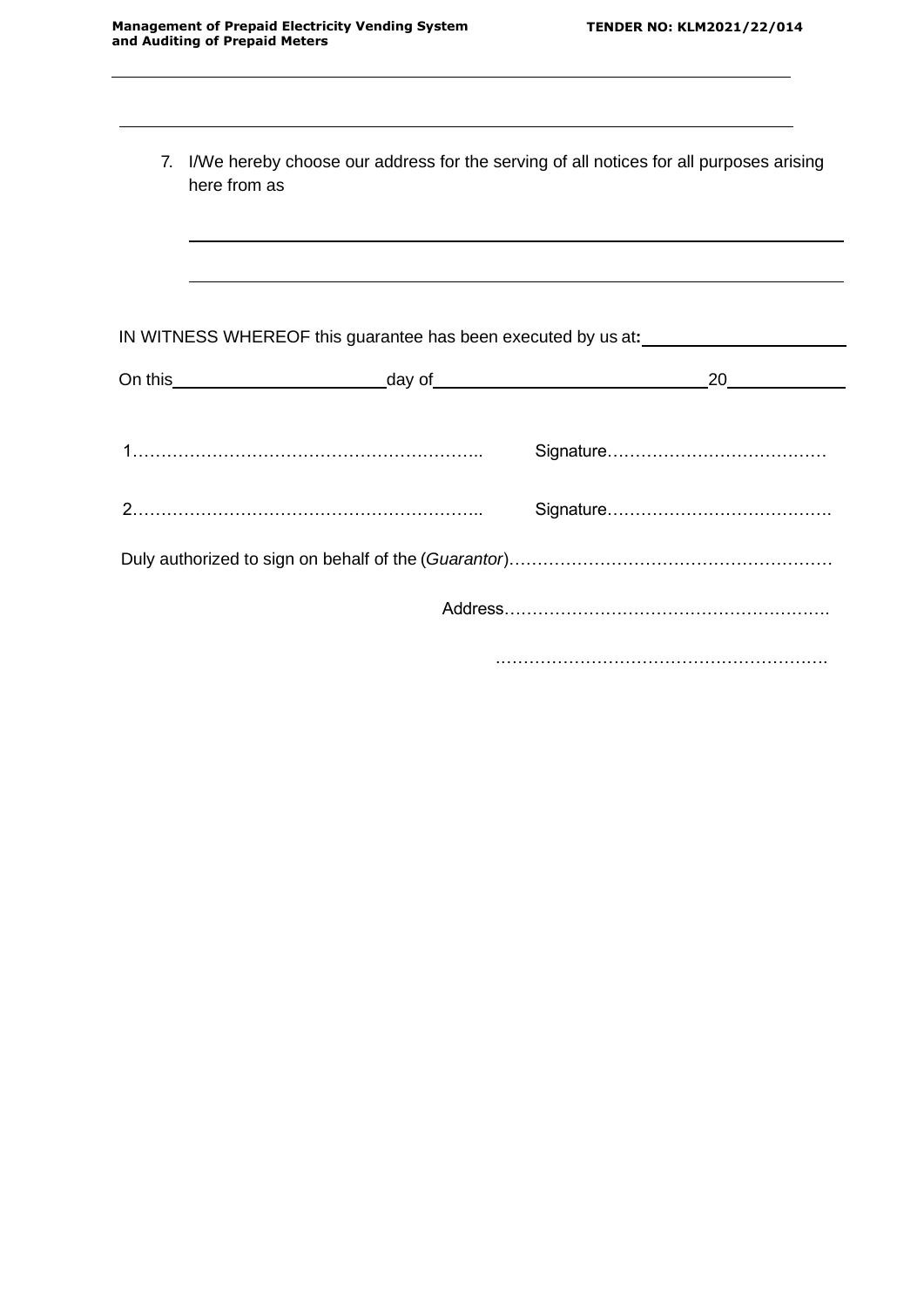| 7. | I/We hereby choose our address for the serving of all notices for all purposes arising<br>here from as |    |
|----|--------------------------------------------------------------------------------------------------------|----|
|    |                                                                                                        |    |
|    | IN WITNESS WHEREOF this guarantee has been executed by us at:                                          |    |
|    |                                                                                                        | 20 |
|    |                                                                                                        |    |
|    |                                                                                                        |    |
|    |                                                                                                        |    |
|    |                                                                                                        |    |
|    |                                                                                                        |    |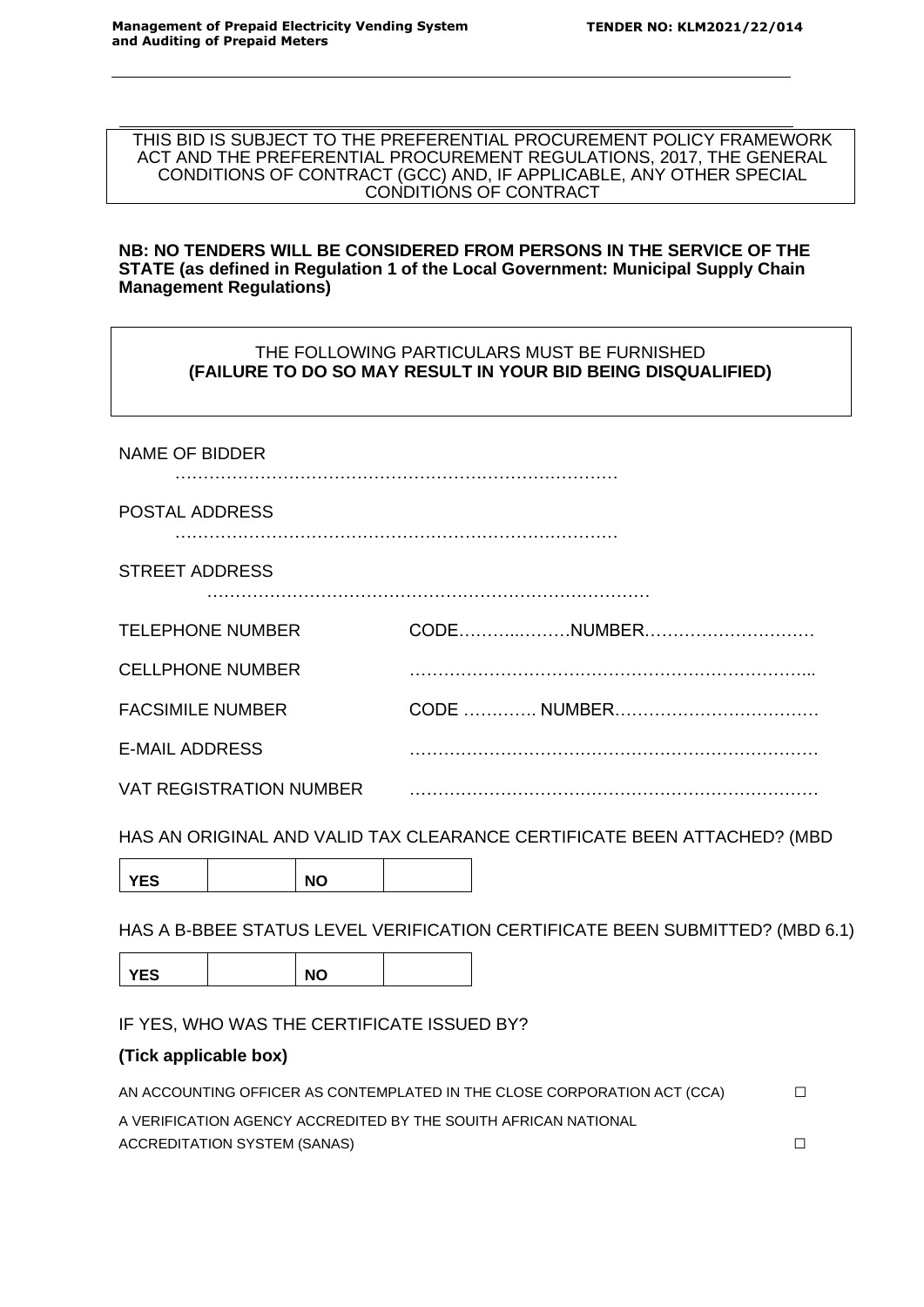THIS BID IS SUBJECT TO THE PREFERENTIAL PROCUREMENT POLICY FRAMEWORK ACT AND THE PREFERENTIAL PROCUREMENT REGULATIONS, 2017, THE GENERAL CONDITIONS OF CONTRACT (GCC) AND, IF APPLICABLE, ANY OTHER SPECIAL CONDITIONS OF CONTRACT

#### **NB: NO TENDERS WILL BE CONSIDERED FROM PERSONS IN THE SERVICE OF THE STATE (as defined in Regulation 1 of the Local Government: Municipal Supply Chain Management Regulations)**

## THE FOLLOWING PARTICULARS MUST BE FURNISHED **(FAILURE TO DO SO MAY RESULT IN YOUR BID BEING DISQUALIFIED)**

| IVINIE VI DIDDEIN              |            |
|--------------------------------|------------|
| POSTAL ADDRESS                 |            |
| <b>STREET ADDRESS</b>          |            |
| <b>TELEPHONE NUMBER</b>        | CODENUMBER |
| <b>CELLPHONE NUMBER</b>        |            |
| <b>FACSIMILE NUMBER</b>        |            |
| <b>E-MAIL ADDRESS</b>          |            |
| <b>VAT REGISTRATION NUMBER</b> |            |

HAS AN ORIGINAL AND VALID TAX CLEARANCE CERTIFICATE BEEN ATTACHED? (MBD

YES | NO

HAS A B-BBEE STATUS LEVEL VERIFICATION CERTIFICATE BEEN SUBMITTED? (MBD 6.1)

YES | NO

IF YES, WHO WAS THE CERTIFICATE ISSUED BY?

## **(Tick applicable box)**

NAME OF BIDDER

| AN ACCOUNTING OFFICER AS CONTEMPLATED IN THE CLOSE CORPORATION ACT (CCA) | П. |
|--------------------------------------------------------------------------|----|
| A VERIFICATION AGENCY ACCREDITED BY THE SOUITH AFRICAN NATIONAL          |    |
| ACCREDITATION SYSTEM (SANAS)                                             |    |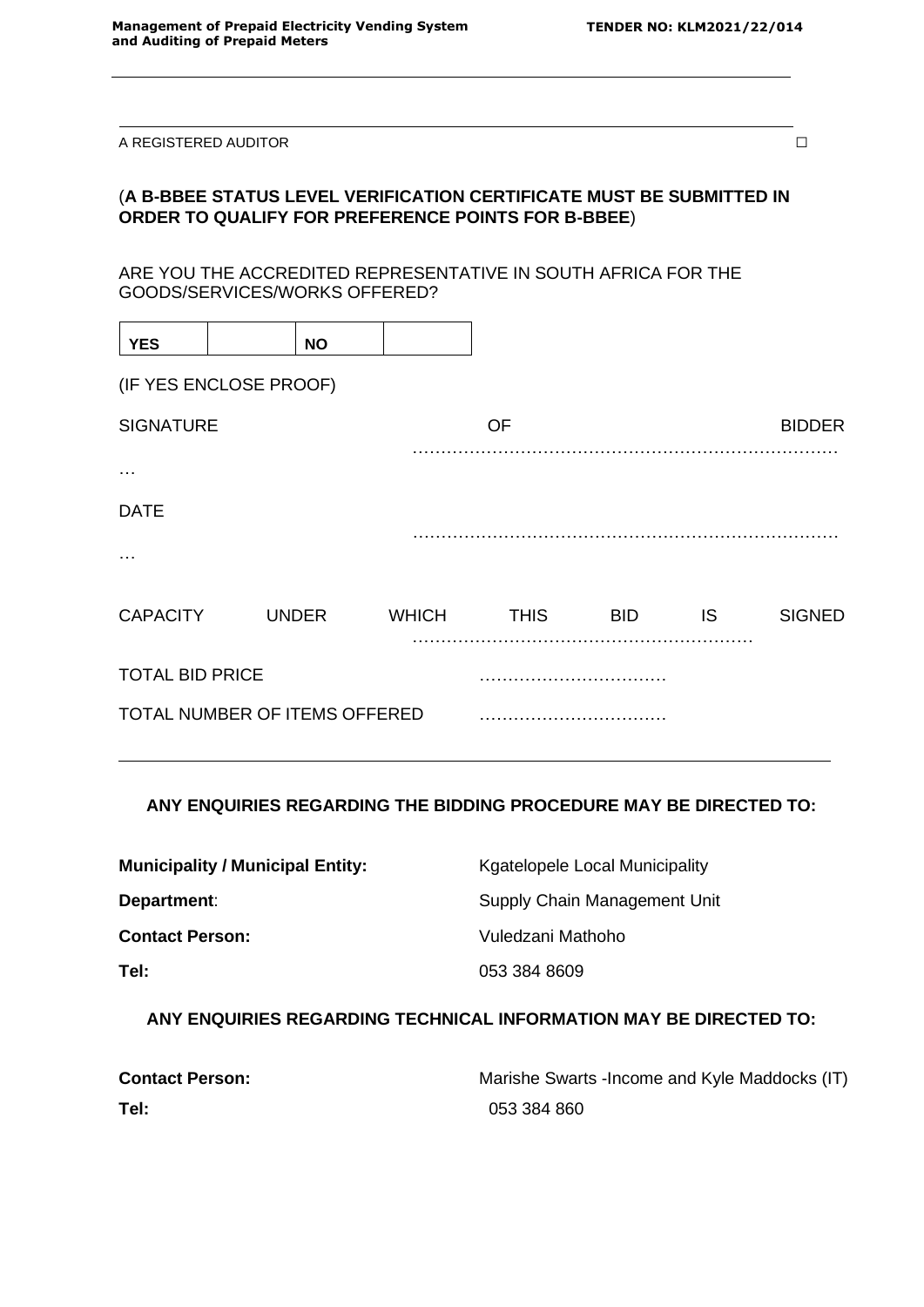A REGISTERED AUDITOR  $\Box$ 

## (**A B-BBEE STATUS LEVEL VERIFICATION CERTIFICATE MUST BE SUBMITTED IN ORDER TO QUALIFY FOR PREFERENCE POINTS FOR B-BBEE**)

ARE YOU THE ACCREDITED REPRESENTATIVE IN SOUTH AFRICA FOR THE GOODS/SERVICES/WORKS OFFERED?

| <b>YES</b>                    |  | <b>NO</b>    |              |             |            |     |               |
|-------------------------------|--|--------------|--------------|-------------|------------|-----|---------------|
| (IF YES ENCLOSE PROOF)        |  |              |              |             |            |     |               |
| <b>SIGNATURE</b>              |  |              |              | OF          |            |     | <b>BIDDER</b> |
| .                             |  |              |              |             |            |     |               |
|                               |  |              |              |             |            |     |               |
| <b>DATE</b>                   |  |              |              |             |            |     |               |
|                               |  |              |              |             |            |     |               |
| <b>CAPACITY</b>               |  | <b>UNDER</b> | <b>WHICH</b> | <b>THIS</b> | <b>BID</b> | IS. | <b>SIGNED</b> |
| <b>TOTAL BID PRICE</b>        |  |              |              |             |            |     |               |
| TOTAL NUMBER OF ITEMS OFFERED |  |              |              |             |            |     |               |

## **ANY ENQUIRIES REGARDING THE BIDDING PROCEDURE MAY BE DIRECTED TO:**

| <b>Municipality / Municipal Entity:</b> | <b>Kgatelopele Local Municipality</b> |
|-----------------------------------------|---------------------------------------|
| Department:                             | Supply Chain Management Unit          |
| <b>Contact Person:</b>                  | Vuledzani Mathoho                     |
| Tel:                                    | 053 384 8609                          |

**ANY ENQUIRIES REGARDING TECHNICAL INFORMATION MAY BE DIRECTED TO:**

| <b>Contact Person:</b> | Marishe Swarts - Income and Kyle Maddocks (IT) |
|------------------------|------------------------------------------------|
| Tel:                   | 053 384 860                                    |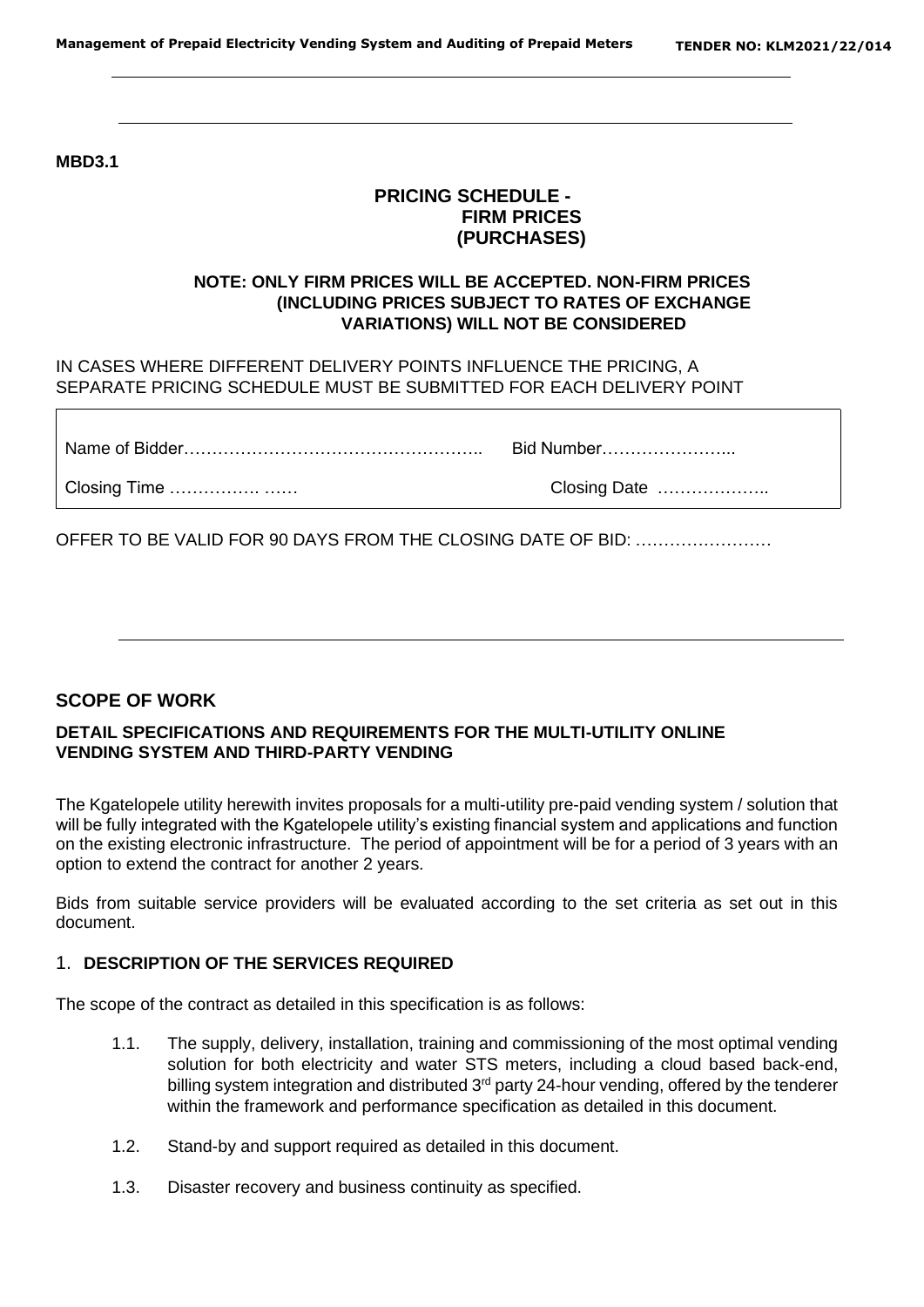**MBD3.1**

## **PRICING SCHEDULE - FIRM PRICES (PURCHASES)**

# **NOTE: ONLY FIRM PRICES WILL BE ACCEPTED. NON-FIRM PRICES (INCLUDING PRICES SUBJECT TO RATES OF EXCHANGE VARIATIONS) WILL NOT BE CONSIDERED**

IN CASES WHERE DIFFERENT DELIVERY POINTS INFLUENCE THE PRICING, A SEPARATE PRICING SCHEDULE MUST BE SUBMITTED FOR EACH DELIVERY POINT

Name of Bidder…………………………………………….. Bid Number…………………...

Closing Time ……………. …… Closing Date ………………..

OFFER TO BE VALID FOR 90 DAYS FROM THE CLOSING DATE OF BID: ……………………

## **SCOPE OF WORK**

#### **DETAIL SPECIFICATIONS AND REQUIREMENTS FOR THE MULTI-UTILITY ONLINE VENDING SYSTEM AND THIRD-PARTY VENDING**

The Kgatelopele utility herewith invites proposals for a multi-utility pre-paid vending system / solution that will be fully integrated with the Kgatelopele utility's existing financial system and applications and function on the existing electronic infrastructure. The period of appointment will be for a period of 3 years with an option to extend the contract for another 2 years.

Bids from suitable service providers will be evaluated according to the set criteria as set out in this document.

## 1. **DESCRIPTION OF THE SERVICES REQUIRED**

The scope of the contract as detailed in this specification is as follows:

- 1.1. The supply, delivery, installation, training and commissioning of the most optimal vending solution for both electricity and water STS meters, including a cloud based back-end, billing system integration and distributed 3<sup>rd</sup> party 24-hour vending, offered by the tenderer within the framework and performance specification as detailed in this document.
- 1.2. Stand-by and support required as detailed in this document.
- 1.3. Disaster recovery and business continuity as specified.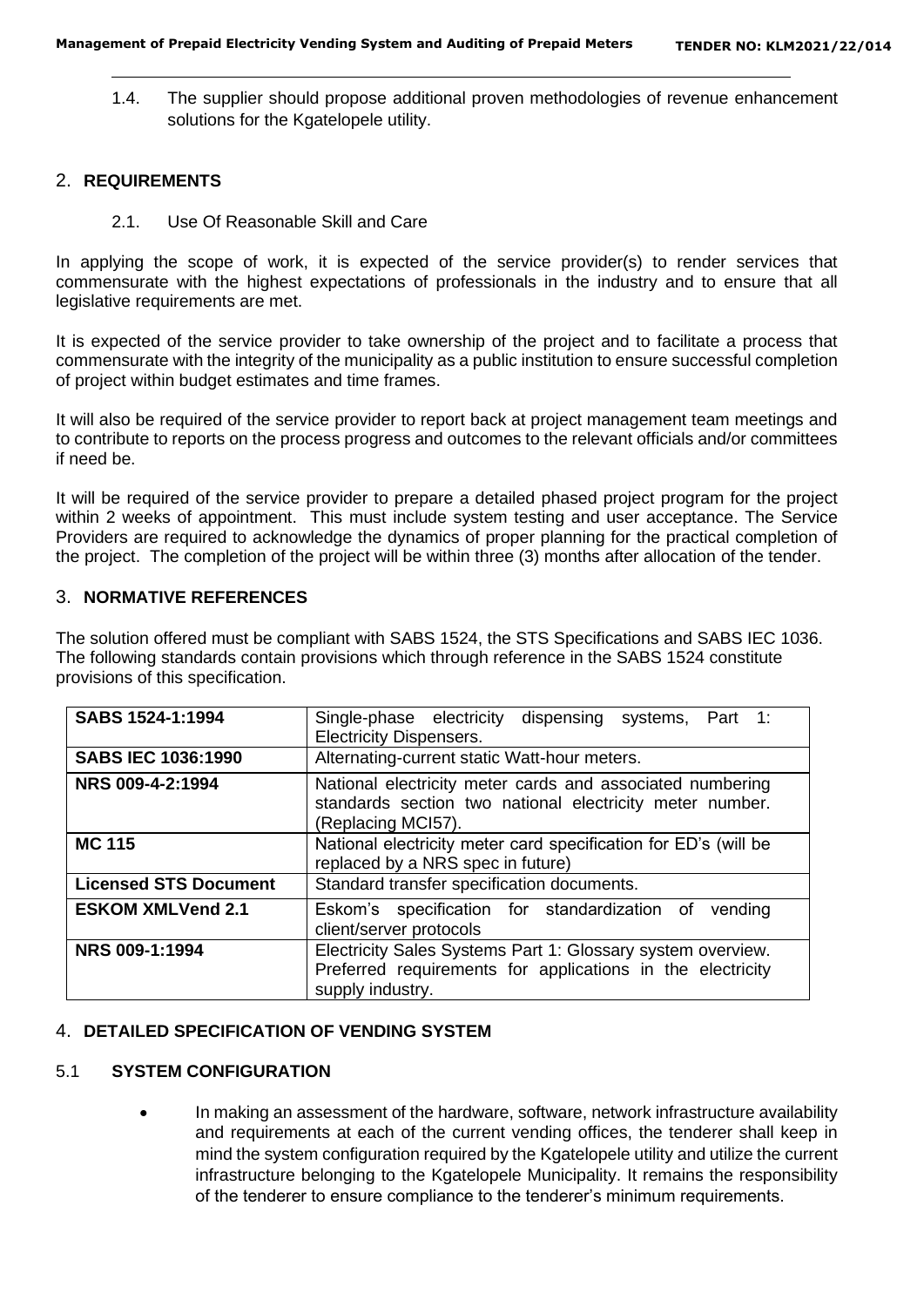1.4. The supplier should propose additional proven methodologies of revenue enhancement solutions for the Kgatelopele utility.

#### 2. **REQUIREMENTS**

2.1. Use Of Reasonable Skill and Care

In applying the scope of work, it is expected of the service provider(s) to render services that commensurate with the highest expectations of professionals in the industry and to ensure that all legislative requirements are met.

It is expected of the service provider to take ownership of the project and to facilitate a process that commensurate with the integrity of the municipality as a public institution to ensure successful completion of project within budget estimates and time frames.

It will also be required of the service provider to report back at project management team meetings and to contribute to reports on the process progress and outcomes to the relevant officials and/or committees if need be.

It will be required of the service provider to prepare a detailed phased project program for the project within 2 weeks of appointment. This must include system testing and user acceptance. The Service Providers are required to acknowledge the dynamics of proper planning for the practical completion of the project. The completion of the project will be within three (3) months after allocation of the tender.

## 3. **NORMATIVE REFERENCES**

The solution offered must be compliant with SABS 1524, the STS Specifications and SABS IEC 1036. The following standards contain provisions which through reference in the SABS 1524 constitute provisions of this specification.

| SABS 1524-1:1994             | Single-phase electricity dispensing systems, Part 1:<br><b>Electricity Dispensers.</b>                                                        |  |  |  |
|------------------------------|-----------------------------------------------------------------------------------------------------------------------------------------------|--|--|--|
| <b>SABS IEC 1036:1990</b>    | Alternating-current static Watt-hour meters.                                                                                                  |  |  |  |
| NRS 009-4-2:1994             | National electricity meter cards and associated numbering<br>standards section two national electricity meter number.<br>(Replacing MCI57).   |  |  |  |
| <b>MC 115</b>                | National electricity meter card specification for ED's (will be<br>replaced by a NRS spec in future)                                          |  |  |  |
| <b>Licensed STS Document</b> | Standard transfer specification documents.                                                                                                    |  |  |  |
| <b>ESKOM XMLVend 2.1</b>     | Eskom's specification for standardization of<br>vending<br>client/server protocols                                                            |  |  |  |
| NRS 009-1:1994               | Electricity Sales Systems Part 1: Glossary system overview.<br>Preferred requirements for applications in the electricity<br>supply industry. |  |  |  |

## 4. **DETAILED SPECIFICATION OF VENDING SYSTEM**

#### 5.1 **SYSTEM CONFIGURATION**

• In making an assessment of the hardware, software, network infrastructure availability and requirements at each of the current vending offices, the tenderer shall keep in mind the system configuration required by the Kgatelopele utility and utilize the current infrastructure belonging to the Kgatelopele Municipality. It remains the responsibility of the tenderer to ensure compliance to the tenderer's minimum requirements.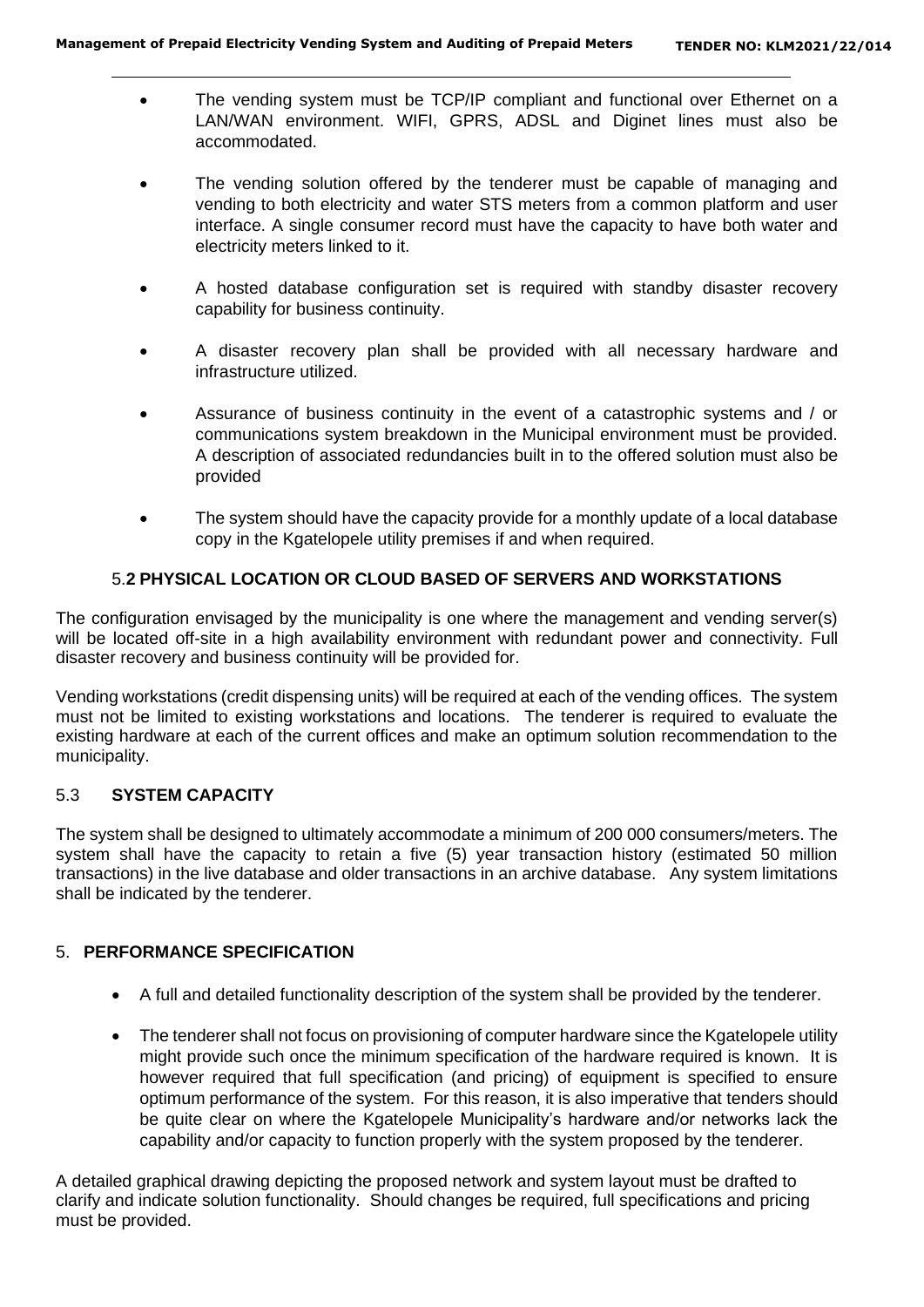- The vending system must be TCP/IP compliant and functional over Ethernet on a LAN/WAN environment. WIFI, GPRS, ADSL and Diginet lines must also be accommodated.
- The vending solution offered by the tenderer must be capable of managing and vending to both electricity and water STS meters from a common platform and user interface. A single consumer record must have the capacity to have both water and electricity meters linked to it.
- A hosted database configuration set is required with standby disaster recovery capability for business continuity.
- A disaster recovery plan shall be provided with all necessary hardware and infrastructure utilized.
- Assurance of business continuity in the event of a catastrophic systems and / or communications system breakdown in the Municipal environment must be provided. A description of associated redundancies built in to the offered solution must also be provided
- The system should have the capacity provide for a monthly update of a local database copy in the Kgatelopele utility premises if and when required.

## 5.**2 PHYSICAL LOCATION OR CLOUD BASED OF SERVERS AND WORKSTATIONS**

The configuration envisaged by the municipality is one where the management and vending server(s) will be located off-site in a high availability environment with redundant power and connectivity. Full disaster recovery and business continuity will be provided for.

Vending workstations (credit dispensing units) will be required at each of the vending offices. The system must not be limited to existing workstations and locations. The tenderer is required to evaluate the existing hardware at each of the current offices and make an optimum solution recommendation to the municipality.

## 5.3 **SYSTEM CAPACITY**

The system shall be designed to ultimately accommodate a minimum of 200 000 consumers/meters. The system shall have the capacity to retain a five (5) year transaction history (estimated 50 million transactions) in the live database and older transactions in an archive database. Any system limitations shall be indicated by the tenderer.

## 5. **PERFORMANCE SPECIFICATION**

- A full and detailed functionality description of the system shall be provided by the tenderer.
- The tenderer shall not focus on provisioning of computer hardware since the Kgatelopele utility might provide such once the minimum specification of the hardware required is known. It is however required that full specification (and pricing) of equipment is specified to ensure optimum performance of the system. For this reason, it is also imperative that tenders should be quite clear on where the Kgatelopele Municipality's hardware and/or networks lack the capability and/or capacity to function properly with the system proposed by the tenderer.

A detailed graphical drawing depicting the proposed network and system layout must be drafted to clarify and indicate solution functionality. Should changes be required, full specifications and pricing must be provided.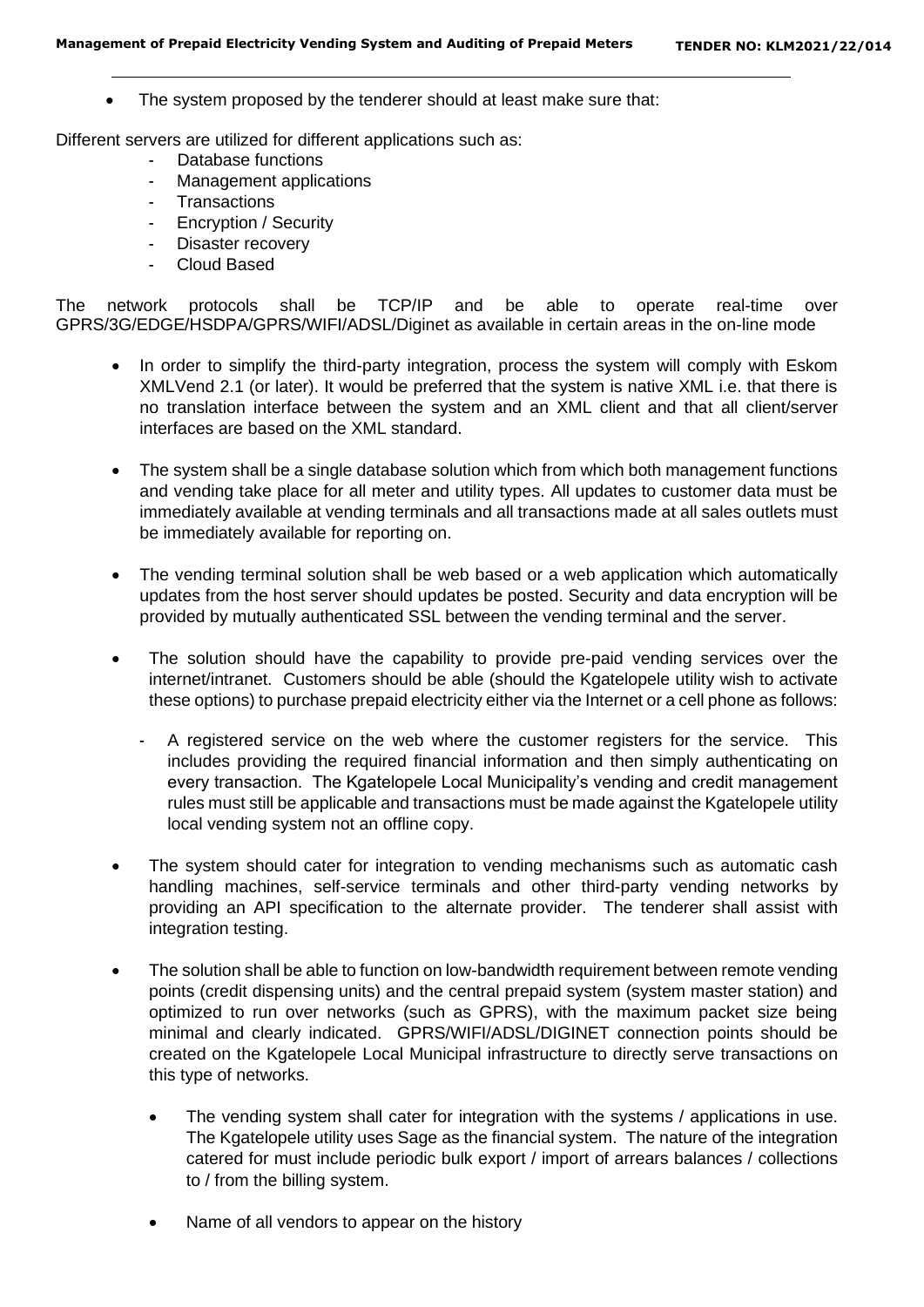The system proposed by the tenderer should at least make sure that:

Different servers are utilized for different applications such as:

- Database functions
- Management applications
- **Transactions**
- Encryption / Security
- Disaster recovery
- Cloud Based

The network protocols shall be TCP/IP and be able to operate real-time over GPRS/3G/EDGE/HSDPA/GPRS/WIFI/ADSL/Diginet as available in certain areas in the on-line mode

- In order to simplify the third-party integration, process the system will comply with Eskom XMLVend 2.1 (or later). It would be preferred that the system is native XML i.e. that there is no translation interface between the system and an XML client and that all client/server interfaces are based on the XML standard.
- The system shall be a single database solution which from which both management functions and vending take place for all meter and utility types. All updates to customer data must be immediately available at vending terminals and all transactions made at all sales outlets must be immediately available for reporting on.
- The vending terminal solution shall be web based or a web application which automatically updates from the host server should updates be posted. Security and data encryption will be provided by mutually authenticated SSL between the vending terminal and the server.
- The solution should have the capability to provide pre-paid vending services over the internet/intranet. Customers should be able (should the Kgatelopele utility wish to activate these options) to purchase prepaid electricity either via the Internet or a cell phone as follows:
	- A registered service on the web where the customer registers for the service. This includes providing the required financial information and then simply authenticating on every transaction. The Kgatelopele Local Municipality's vending and credit management rules must still be applicable and transactions must be made against the Kgatelopele utility local vending system not an offline copy.
- The system should cater for integration to vending mechanisms such as automatic cash handling machines, self-service terminals and other third-party vending networks by providing an API specification to the alternate provider. The tenderer shall assist with integration testing.
- The solution shall be able to function on low-bandwidth requirement between remote vending points (credit dispensing units) and the central prepaid system (system master station) and optimized to run over networks (such as GPRS), with the maximum packet size being minimal and clearly indicated. GPRS/WIFI/ADSL/DIGINET connection points should be created on the Kgatelopele Local Municipal infrastructure to directly serve transactions on this type of networks.
	- The vending system shall cater for integration with the systems / applications in use. The Kgatelopele utility uses Sage as the financial system. The nature of the integration catered for must include periodic bulk export / import of arrears balances / collections to / from the billing system.
	- Name of all vendors to appear on the history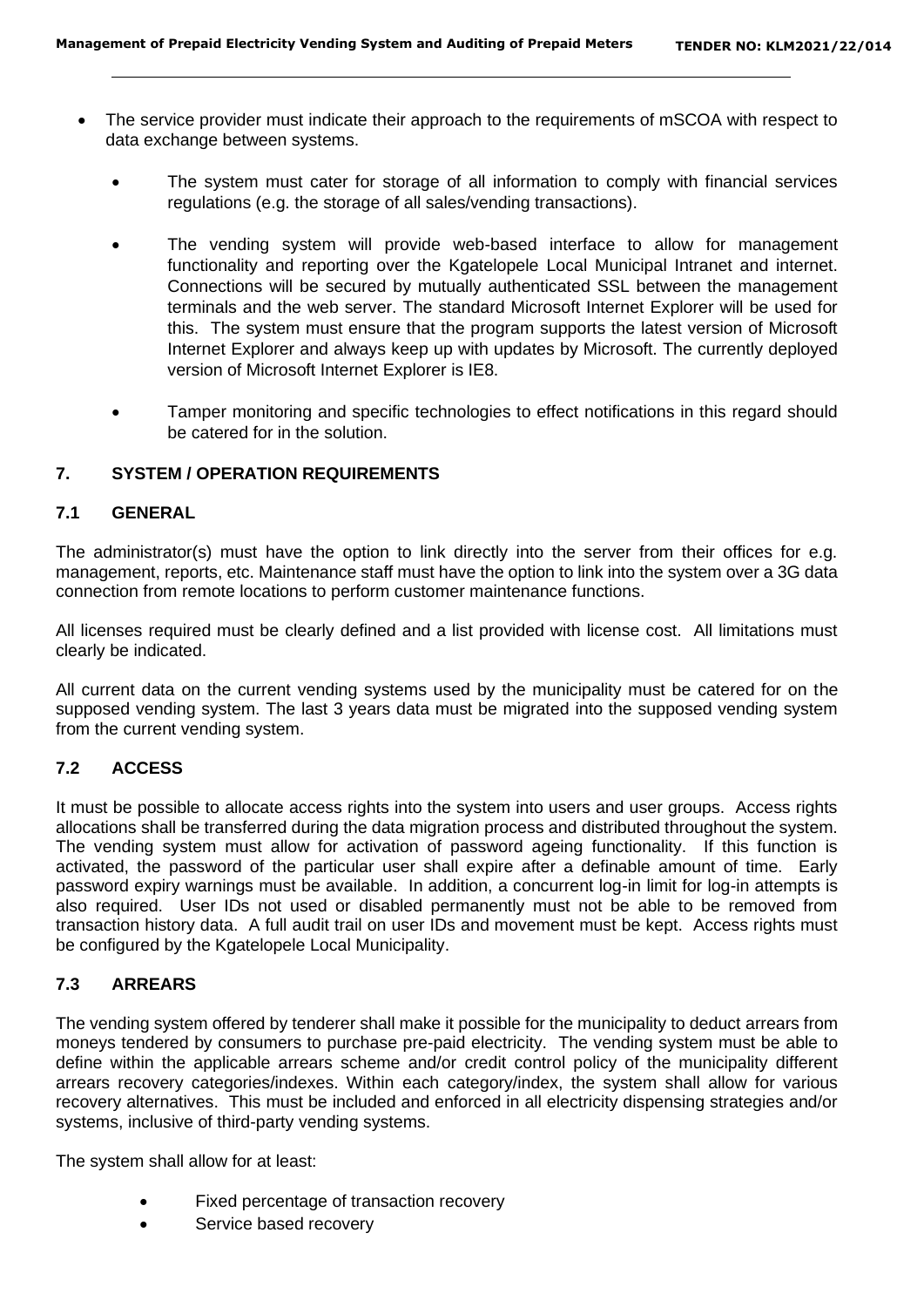- The service provider must indicate their approach to the requirements of mSCOA with respect to data exchange between systems.
	- The system must cater for storage of all information to comply with financial services regulations (e.g. the storage of all sales/vending transactions).
	- The vending system will provide web-based interface to allow for management functionality and reporting over the Kgatelopele Local Municipal Intranet and internet. Connections will be secured by mutually authenticated SSL between the management terminals and the web server. The standard Microsoft Internet Explorer will be used for this. The system must ensure that the program supports the latest version of Microsoft Internet Explorer and always keep up with updates by Microsoft. The currently deployed version of Microsoft Internet Explorer is IE8.
	- Tamper monitoring and specific technologies to effect notifications in this regard should be catered for in the solution.

#### **7. SYSTEM / OPERATION REQUIREMENTS**

#### **7.1 GENERAL**

The administrator(s) must have the option to link directly into the server from their offices for e.g. management, reports, etc. Maintenance staff must have the option to link into the system over a 3G data connection from remote locations to perform customer maintenance functions.

All licenses required must be clearly defined and a list provided with license cost. All limitations must clearly be indicated.

All current data on the current vending systems used by the municipality must be catered for on the supposed vending system. The last 3 years data must be migrated into the supposed vending system from the current vending system.

#### **7.2 ACCESS**

It must be possible to allocate access rights into the system into users and user groups. Access rights allocations shall be transferred during the data migration process and distributed throughout the system. The vending system must allow for activation of password ageing functionality. If this function is activated, the password of the particular user shall expire after a definable amount of time. Early password expiry warnings must be available. In addition, a concurrent log-in limit for log-in attempts is also required. User IDs not used or disabled permanently must not be able to be removed from transaction history data. A full audit trail on user IDs and movement must be kept. Access rights must be configured by the Kgatelopele Local Municipality.

#### **7.3 ARREARS**

The vending system offered by tenderer shall make it possible for the municipality to deduct arrears from moneys tendered by consumers to purchase pre-paid electricity. The vending system must be able to define within the applicable arrears scheme and/or credit control policy of the municipality different arrears recovery categories/indexes. Within each category/index, the system shall allow for various recovery alternatives. This must be included and enforced in all electricity dispensing strategies and/or systems, inclusive of third-party vending systems.

The system shall allow for at least:

- Fixed percentage of transaction recovery
- Service based recovery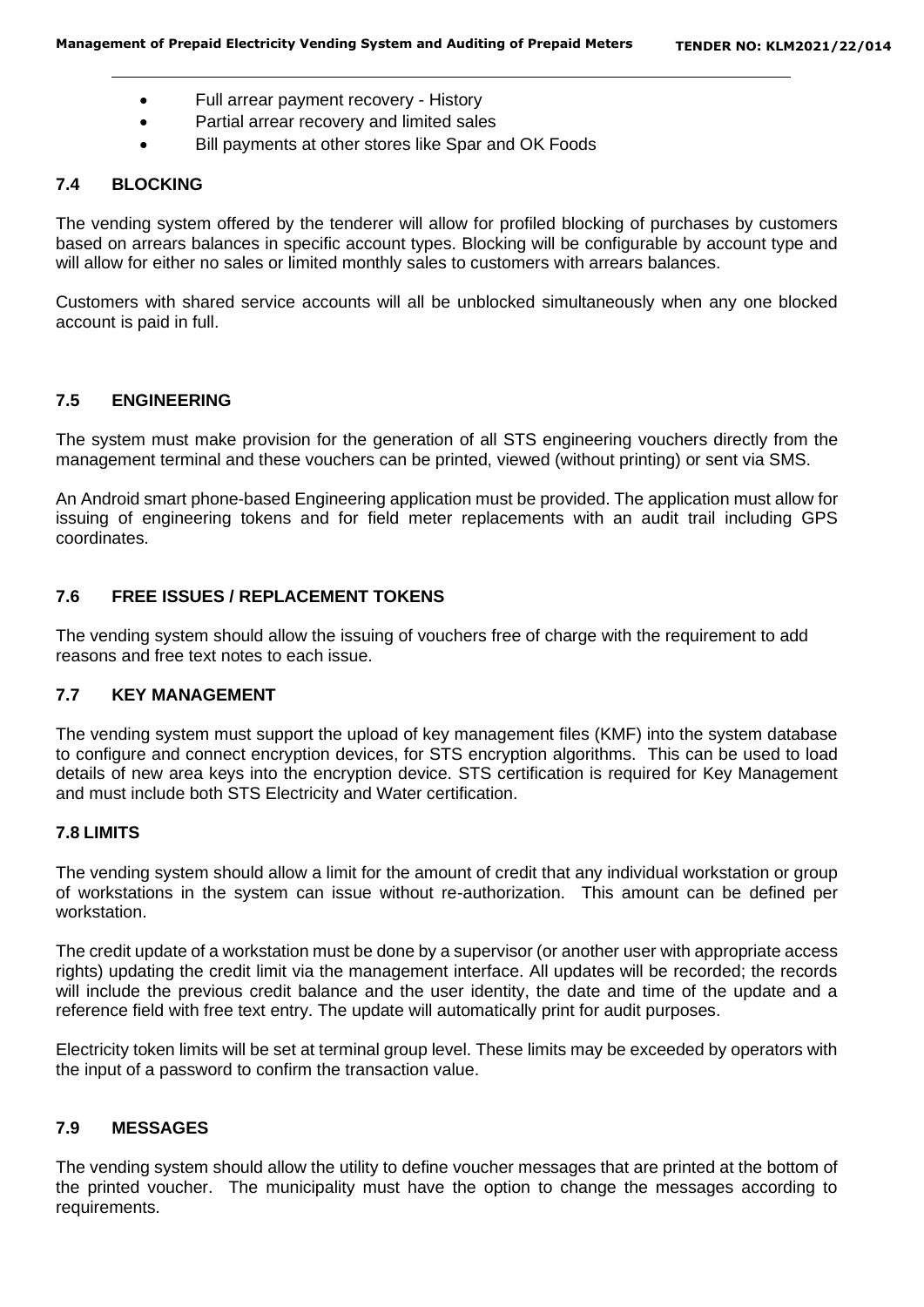- Full arrear payment recovery History
- Partial arrear recovery and limited sales
- Bill payments at other stores like Spar and OK Foods

#### **7.4 BLOCKING**

The vending system offered by the tenderer will allow for profiled blocking of purchases by customers based on arrears balances in specific account types. Blocking will be configurable by account type and will allow for either no sales or limited monthly sales to customers with arrears balances.

Customers with shared service accounts will all be unblocked simultaneously when any one blocked account is paid in full.

## **7.5 ENGINEERING**

The system must make provision for the generation of all STS engineering vouchers directly from the management terminal and these vouchers can be printed, viewed (without printing) or sent via SMS.

An Android smart phone-based Engineering application must be provided. The application must allow for issuing of engineering tokens and for field meter replacements with an audit trail including GPS coordinates.

#### **7.6 FREE ISSUES / REPLACEMENT TOKENS**

The vending system should allow the issuing of vouchers free of charge with the requirement to add reasons and free text notes to each issue.

#### **7.7 KEY MANAGEMENT**

The vending system must support the upload of key management files (KMF) into the system database to configure and connect encryption devices, for STS encryption algorithms. This can be used to load details of new area keys into the encryption device. STS certification is required for Key Management and must include both STS Electricity and Water certification.

#### **7.8 LIMITS**

The vending system should allow a limit for the amount of credit that any individual workstation or group of workstations in the system can issue without re-authorization. This amount can be defined per workstation.

The credit update of a workstation must be done by a supervisor (or another user with appropriate access rights) updating the credit limit via the management interface. All updates will be recorded; the records will include the previous credit balance and the user identity, the date and time of the update and a reference field with free text entry. The update will automatically print for audit purposes.

Electricity token limits will be set at terminal group level. These limits may be exceeded by operators with the input of a password to confirm the transaction value.

#### **7.9 MESSAGES**

The vending system should allow the utility to define voucher messages that are printed at the bottom of the printed voucher. The municipality must have the option to change the messages according to requirements.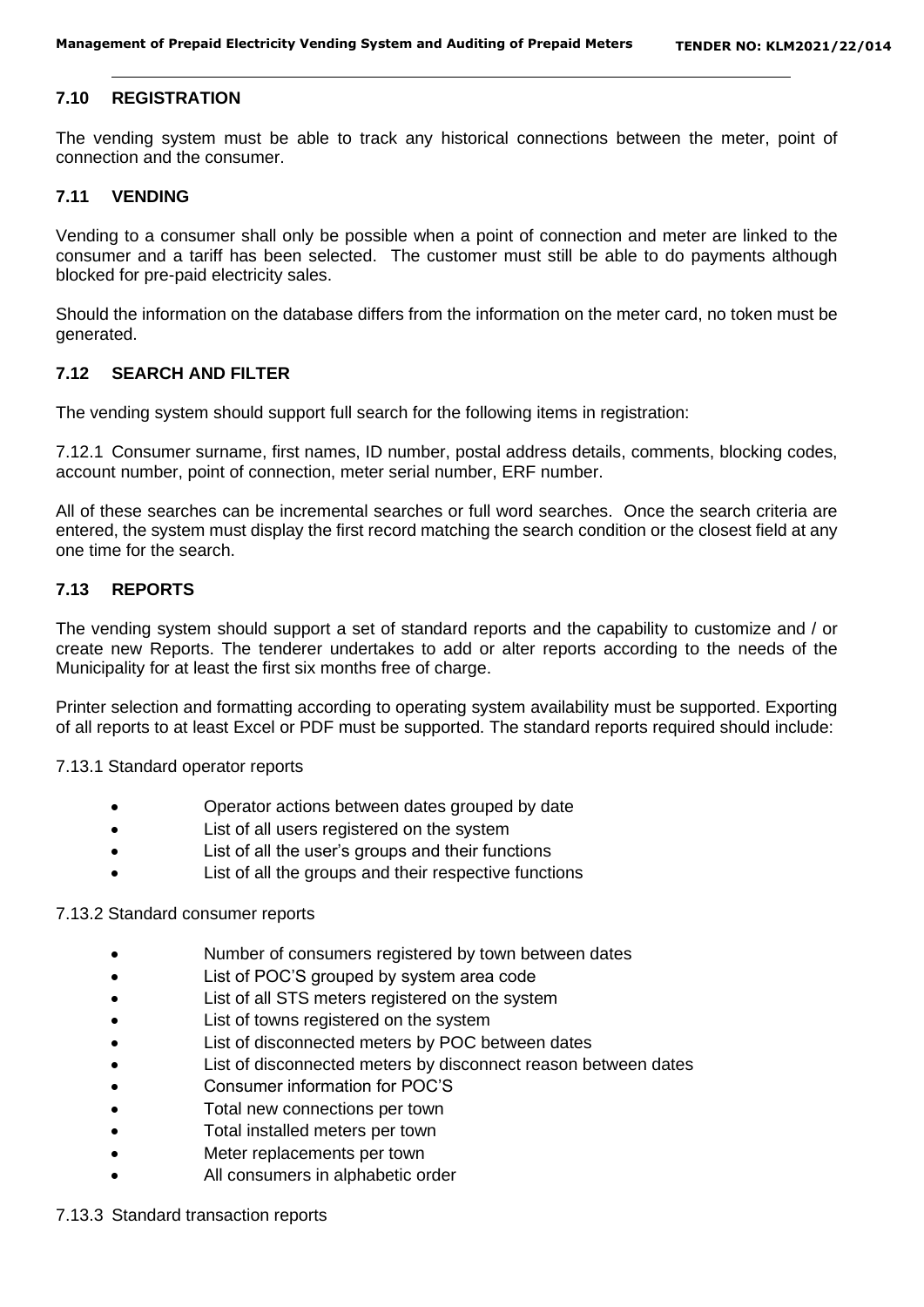#### **7.10 REGISTRATION**

The vending system must be able to track any historical connections between the meter, point of connection and the consumer.

#### **7.11 VENDING**

Vending to a consumer shall only be possible when a point of connection and meter are linked to the consumer and a tariff has been selected. The customer must still be able to do payments although blocked for pre-paid electricity sales.

Should the information on the database differs from the information on the meter card, no token must be generated.

#### **7.12 SEARCH AND FILTER**

The vending system should support full search for the following items in registration:

7.12.1 Consumer surname, first names, ID number, postal address details, comments, blocking codes, account number, point of connection, meter serial number, ERF number.

All of these searches can be incremental searches or full word searches. Once the search criteria are entered, the system must display the first record matching the search condition or the closest field at any one time for the search.

#### **7.13 REPORTS**

The vending system should support a set of standard reports and the capability to customize and / or create new Reports. The tenderer undertakes to add or alter reports according to the needs of the Municipality for at least the first six months free of charge.

Printer selection and formatting according to operating system availability must be supported. Exporting of all reports to at least Excel or PDF must be supported. The standard reports required should include:

7.13.1 Standard operator reports

- Operator actions between dates grouped by date
- List of all users registered on the system
- List of all the user's groups and their functions
- List of all the groups and their respective functions

#### 7.13.2 Standard consumer reports

- Number of consumers registered by town between dates
- List of POC'S grouped by system area code
- List of all STS meters registered on the system
- List of towns registered on the system
- List of disconnected meters by POC between dates
- List of disconnected meters by disconnect reason between dates
- Consumer information for POC'S
- Total new connections per town
- Total installed meters per town
- Meter replacements per town
- All consumers in alphabetic order

#### 7.13.3 Standard transaction reports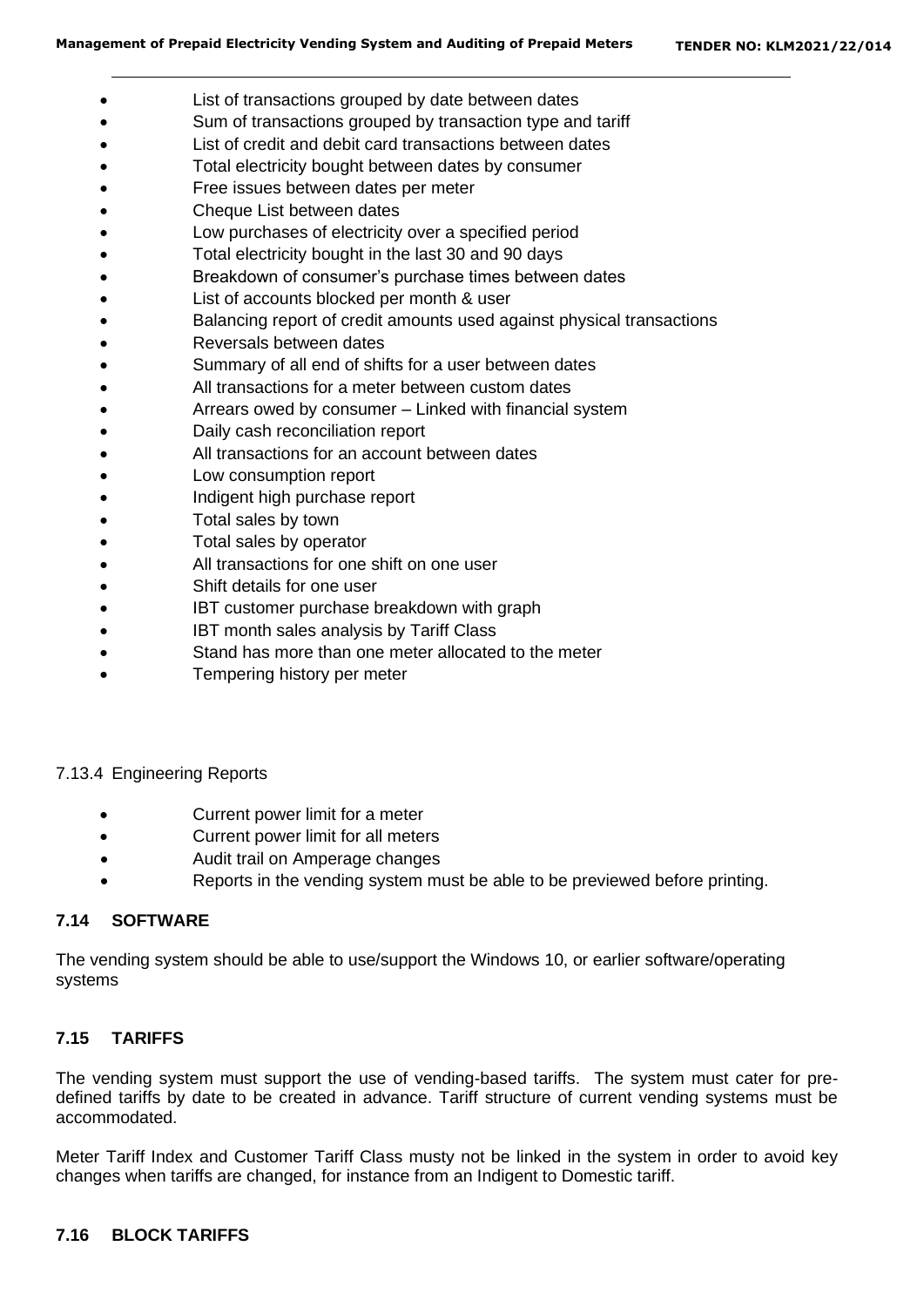- List of transactions grouped by date between dates
- Sum of transactions grouped by transaction type and tariff
- List of credit and debit card transactions between dates
- Total electricity bought between dates by consumer
- Free issues between dates per meter
- Cheque List between dates
- Low purchases of electricity over a specified period
- Total electricity bought in the last 30 and 90 days
- Breakdown of consumer's purchase times between dates
- List of accounts blocked per month & user
- Balancing report of credit amounts used against physical transactions
- Reversals between dates
- Summary of all end of shifts for a user between dates
- All transactions for a meter between custom dates
- Arrears owed by consumer Linked with financial system
- Daily cash reconciliation report
- All transactions for an account between dates
- Low consumption report
- Indigent high purchase report
- Total sales by town
- Total sales by operator
- All transactions for one shift on one user
- Shift details for one user
- IBT customer purchase breakdown with graph
- IBT month sales analysis by Tariff Class
- Stand has more than one meter allocated to the meter
- Tempering history per meter

#### 7.13.4 Engineering Reports

- Current power limit for a meter
- Current power limit for all meters
- Audit trail on Amperage changes
- Reports in the vending system must be able to be previewed before printing.

#### **7.14 SOFTWARE**

The vending system should be able to use/support the Windows 10, or earlier software/operating systems

#### **7.15 TARIFFS**

The vending system must support the use of vending-based tariffs. The system must cater for predefined tariffs by date to be created in advance. Tariff structure of current vending systems must be accommodated.

Meter Tariff Index and Customer Tariff Class musty not be linked in the system in order to avoid key changes when tariffs are changed, for instance from an Indigent to Domestic tariff.

#### **7.16 BLOCK TARIFFS**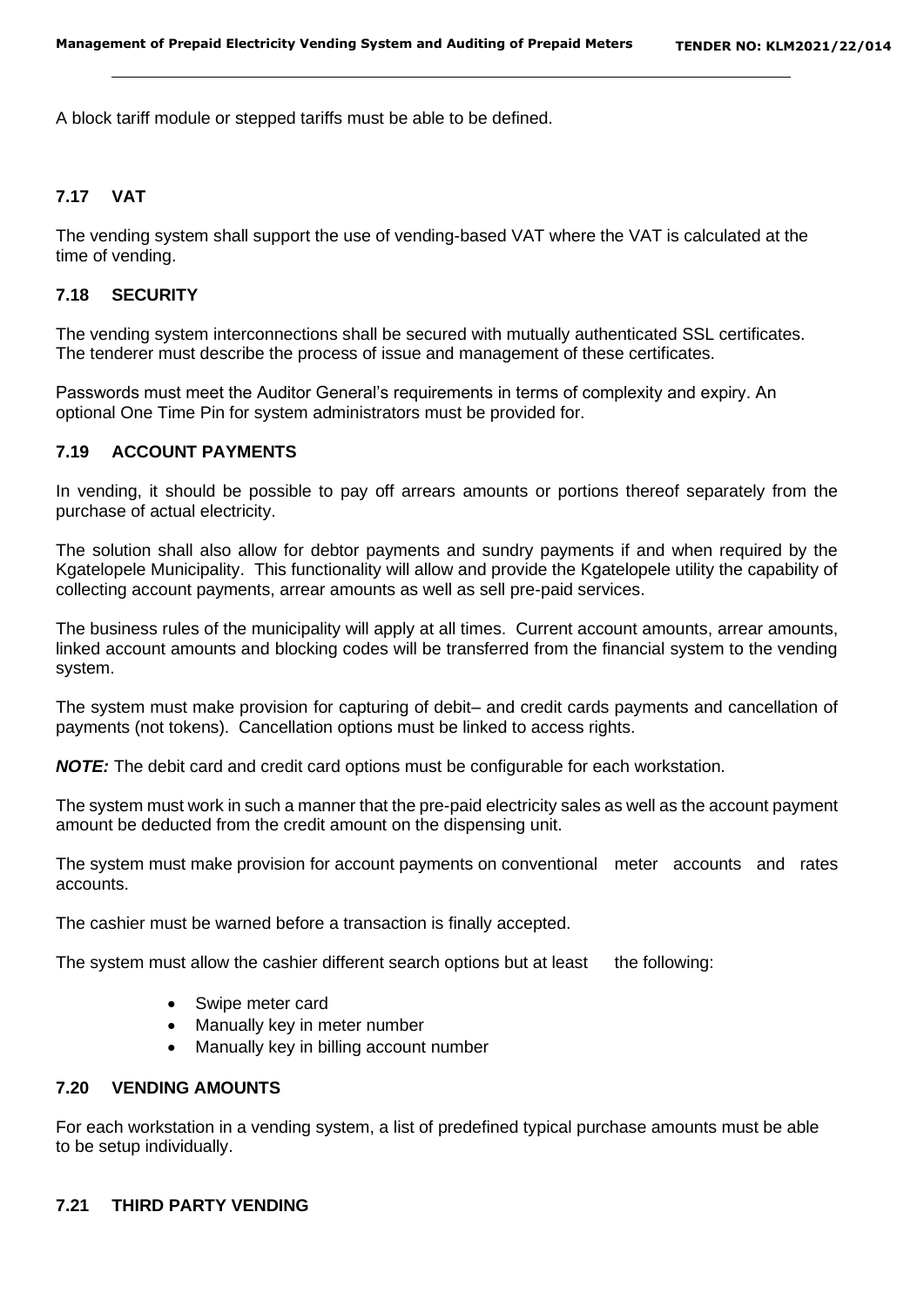A block tariff module or stepped tariffs must be able to be defined.

#### **7.17 VAT**

The vending system shall support the use of vending-based VAT where the VAT is calculated at the time of vending.

#### **7.18 SECURITY**

The vending system interconnections shall be secured with mutually authenticated SSL certificates. The tenderer must describe the process of issue and management of these certificates.

Passwords must meet the Auditor General's requirements in terms of complexity and expiry. An optional One Time Pin for system administrators must be provided for.

## **7.19 ACCOUNT PAYMENTS**

In vending, it should be possible to pay off arrears amounts or portions thereof separately from the purchase of actual electricity.

The solution shall also allow for debtor payments and sundry payments if and when required by the Kgatelopele Municipality. This functionality will allow and provide the Kgatelopele utility the capability of collecting account payments, arrear amounts as well as sell pre-paid services.

The business rules of the municipality will apply at all times. Current account amounts, arrear amounts, linked account amounts and blocking codes will be transferred from the financial system to the vending system.

The system must make provision for capturing of debit– and credit cards payments and cancellation of payments (not tokens). Cancellation options must be linked to access rights.

*NOTE:* The debit card and credit card options must be configurable for each workstation.

The system must work in such a manner that the pre-paid electricity sales as well as the account payment amount be deducted from the credit amount on the dispensing unit.

The system must make provision for account payments on conventional meter accounts and rates accounts.

The cashier must be warned before a transaction is finally accepted.

The system must allow the cashier different search options but at least the following:

- Swipe meter card
- Manually key in meter number
- Manually key in billing account number

## **7.20 VENDING AMOUNTS**

For each workstation in a vending system, a list of predefined typical purchase amounts must be able to be setup individually.

#### **7.21 THIRD PARTY VENDING**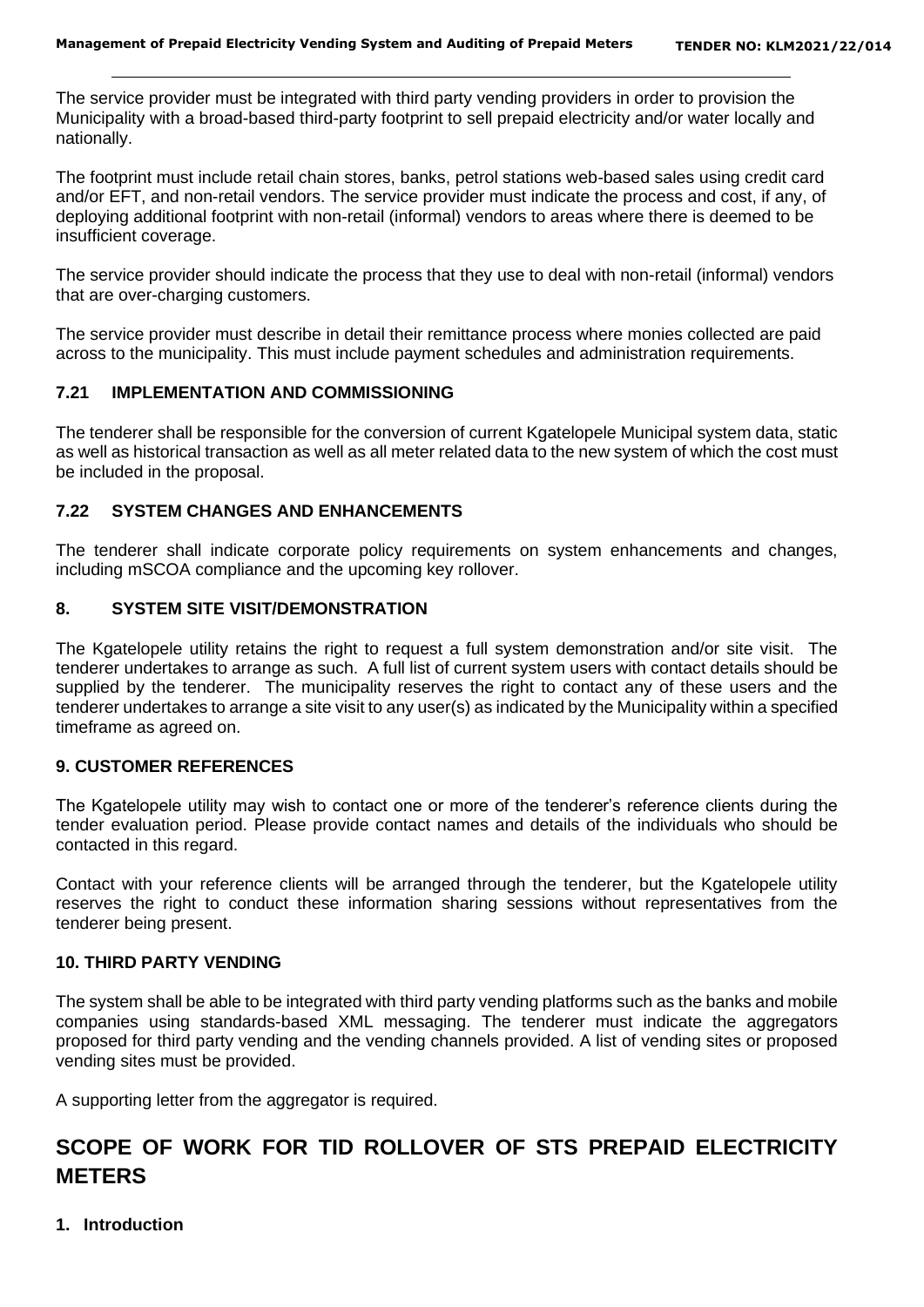The service provider must be integrated with third party vending providers in order to provision the Municipality with a broad-based third-party footprint to sell prepaid electricity and/or water locally and nationally.

The footprint must include retail chain stores, banks, petrol stations web-based sales using credit card and/or EFT, and non-retail vendors. The service provider must indicate the process and cost, if any, of deploying additional footprint with non-retail (informal) vendors to areas where there is deemed to be insufficient coverage.

The service provider should indicate the process that they use to deal with non-retail (informal) vendors that are over-charging customers.

The service provider must describe in detail their remittance process where monies collected are paid across to the municipality. This must include payment schedules and administration requirements.

#### **7.21 IMPLEMENTATION AND COMMISSIONING**

The tenderer shall be responsible for the conversion of current Kgatelopele Municipal system data, static as well as historical transaction as well as all meter related data to the new system of which the cost must be included in the proposal.

#### **7.22 SYSTEM CHANGES AND ENHANCEMENTS**

The tenderer shall indicate corporate policy requirements on system enhancements and changes, including mSCOA compliance and the upcoming key rollover.

#### **8. SYSTEM SITE VISIT/DEMONSTRATION**

The Kgatelopele utility retains the right to request a full system demonstration and/or site visit. The tenderer undertakes to arrange as such. A full list of current system users with contact details should be supplied by the tenderer. The municipality reserves the right to contact any of these users and the tenderer undertakes to arrange a site visit to any user(s) as indicated by the Municipality within a specified timeframe as agreed on.

#### **9. CUSTOMER REFERENCES**

The Kgatelopele utility may wish to contact one or more of the tenderer's reference clients during the tender evaluation period. Please provide contact names and details of the individuals who should be contacted in this regard.

Contact with your reference clients will be arranged through the tenderer, but the Kgatelopele utility reserves the right to conduct these information sharing sessions without representatives from the tenderer being present.

#### **10. THIRD PARTY VENDING**

The system shall be able to be integrated with third party vending platforms such as the banks and mobile companies using standards-based XML messaging. The tenderer must indicate the aggregators proposed for third party vending and the vending channels provided. A list of vending sites or proposed vending sites must be provided.

A supporting letter from the aggregator is required.

# **SCOPE OF WORK FOR TID ROLLOVER OF STS PREPAID ELECTRICITY METERS**

**1. Introduction**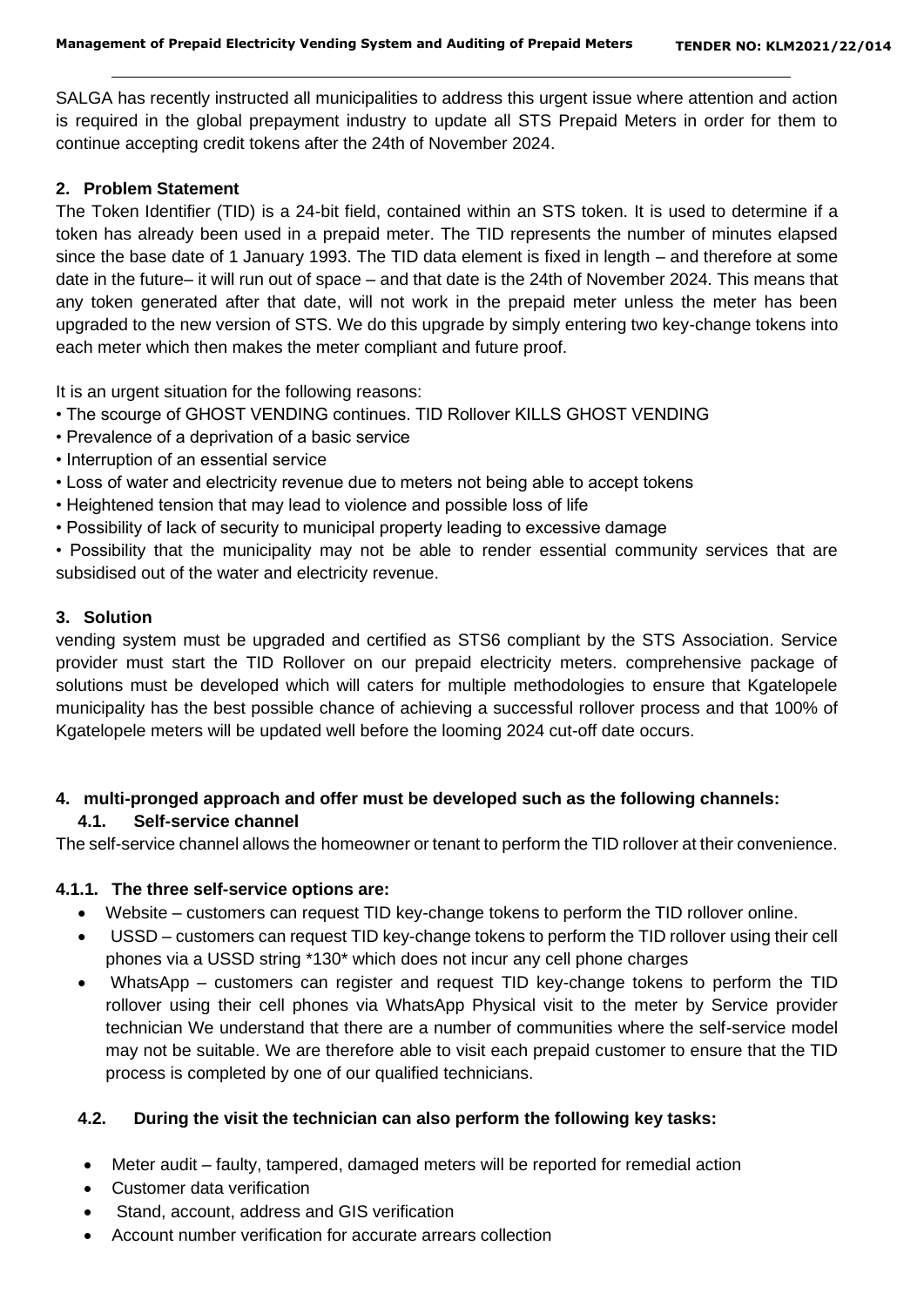SALGA has recently instructed all municipalities to address this urgent issue where attention and action is required in the global prepayment industry to update all STS Prepaid Meters in order for them to continue accepting credit tokens after the 24th of November 2024.

## **2. Problem Statement**

The Token Identifier (TID) is a 24-bit field, contained within an STS token. It is used to determine if a token has already been used in a prepaid meter. The TID represents the number of minutes elapsed since the base date of 1 January 1993. The TID data element is fixed in length – and therefore at some date in the future– it will run out of space – and that date is the 24th of November 2024. This means that any token generated after that date, will not work in the prepaid meter unless the meter has been upgraded to the new version of STS. We do this upgrade by simply entering two key-change tokens into each meter which then makes the meter compliant and future proof.

It is an urgent situation for the following reasons:

- The scourge of GHOST VENDING continues. TID Rollover KILLS GHOST VENDING
- Prevalence of a deprivation of a basic service
- Interruption of an essential service
- Loss of water and electricity revenue due to meters not being able to accept tokens
- Heightened tension that may lead to violence and possible loss of life
- Possibility of lack of security to municipal property leading to excessive damage

• Possibility that the municipality may not be able to render essential community services that are subsidised out of the water and electricity revenue.

## **3. Solution**

vending system must be upgraded and certified as STS6 compliant by the STS Association. Service provider must start the TID Rollover on our prepaid electricity meters. comprehensive package of solutions must be developed which will caters for multiple methodologies to ensure that Kgatelopele municipality has the best possible chance of achieving a successful rollover process and that 100% of Kgatelopele meters will be updated well before the looming 2024 cut-off date occurs.

# **4. multi-pronged approach and offer must be developed such as the following channels:**

# **4.1. Self-service channel**

The self-service channel allows the homeowner or tenant to perform the TID rollover at their convenience.

## **4.1.1. The three self-service options are:**

- Website customers can request TID key-change tokens to perform the TID rollover online.
- USSD customers can request TID key-change tokens to perform the TID rollover using their cell phones via a USSD string \*130\* which does not incur any cell phone charges
- WhatsApp customers can register and request TID key-change tokens to perform the TID rollover using their cell phones via WhatsApp Physical visit to the meter by Service provider technician We understand that there are a number of communities where the self-service model may not be suitable. We are therefore able to visit each prepaid customer to ensure that the TID process is completed by one of our qualified technicians.

# **4.2. During the visit the technician can also perform the following key tasks:**

- Meter audit faulty, tampered, damaged meters will be reported for remedial action
- Customer data verification
- Stand, account, address and GIS verification
- Account number verification for accurate arrears collection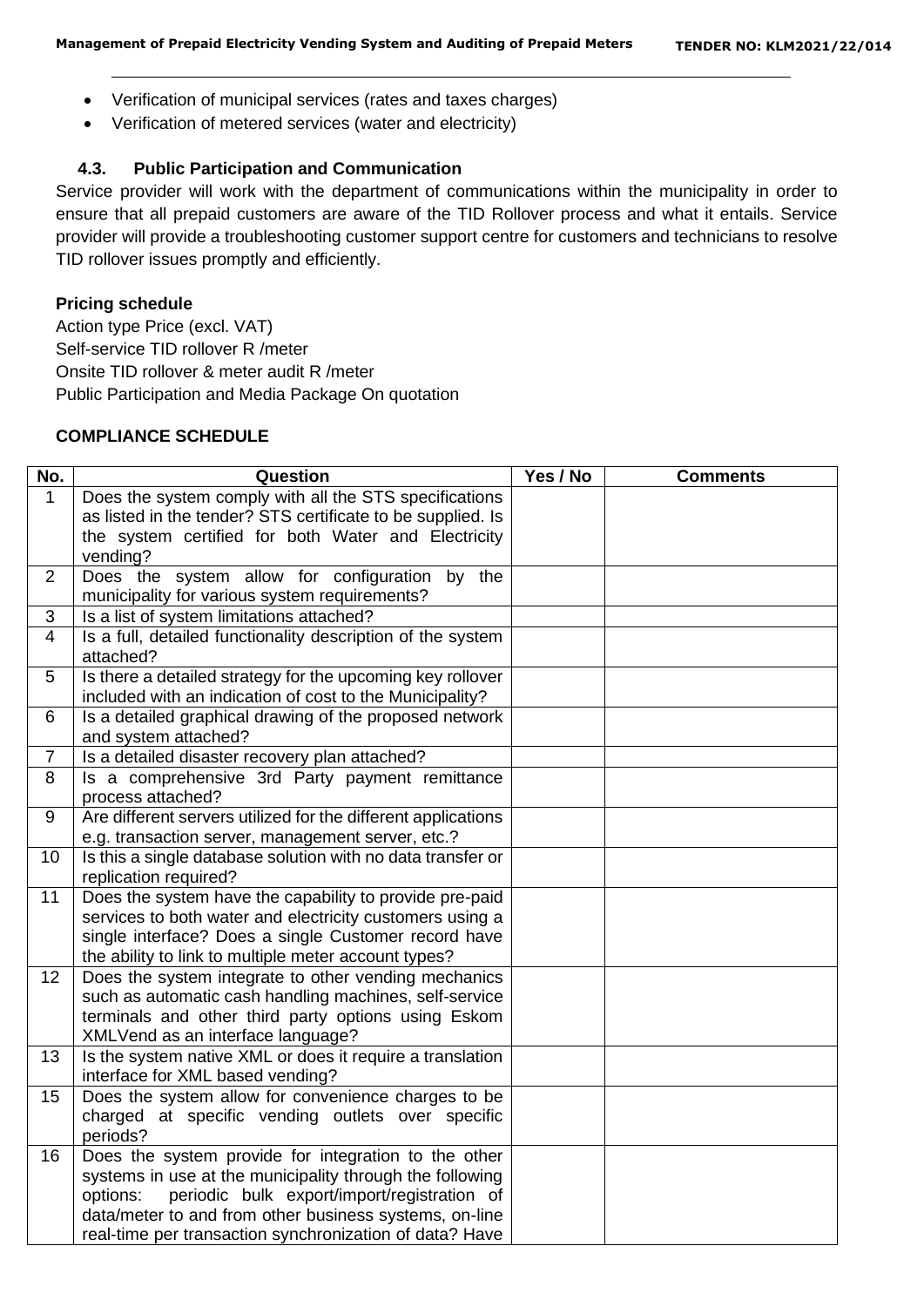- Verification of municipal services (rates and taxes charges)
- Verification of metered services (water and electricity)

#### **4.3. Public Participation and Communication**

Service provider will work with the department of communications within the municipality in order to ensure that all prepaid customers are aware of the TID Rollover process and what it entails. Service provider will provide a troubleshooting customer support centre for customers and technicians to resolve TID rollover issues promptly and efficiently.

# **Pricing schedule**

Action type Price (excl. VAT) Self-service TID rollover R /meter Onsite TID rollover & meter audit R /meter Public Participation and Media Package On quotation

## **COMPLIANCE SCHEDULE**

| No.            | Question                                                      | Yes / No | <b>Comments</b> |
|----------------|---------------------------------------------------------------|----------|-----------------|
| $\mathbf{1}$   | Does the system comply with all the STS specifications        |          |                 |
|                | as listed in the tender? STS certificate to be supplied. Is   |          |                 |
|                | the system certified for both Water and Electricity           |          |                 |
|                | vending?                                                      |          |                 |
| 2              | Does the system allow for configuration by the                |          |                 |
|                | municipality for various system requirements?                 |          |                 |
| 3              | Is a list of system limitations attached?                     |          |                 |
| $\overline{4}$ | Is a full, detailed functionality description of the system   |          |                 |
|                | attached?                                                     |          |                 |
| 5              | Is there a detailed strategy for the upcoming key rollover    |          |                 |
|                | included with an indication of cost to the Municipality?      |          |                 |
| 6              | Is a detailed graphical drawing of the proposed network       |          |                 |
|                | and system attached?                                          |          |                 |
| $\overline{7}$ | Is a detailed disaster recovery plan attached?                |          |                 |
| 8              | Is a comprehensive 3rd Party payment remittance               |          |                 |
|                | process attached?                                             |          |                 |
| 9              | Are different servers utilized for the different applications |          |                 |
|                | e.g. transaction server, management server, etc.?             |          |                 |
| 10             | Is this a single database solution with no data transfer or   |          |                 |
|                | replication required?                                         |          |                 |
| 11             | Does the system have the capability to provide pre-paid       |          |                 |
|                | services to both water and electricity customers using a      |          |                 |
|                | single interface? Does a single Customer record have          |          |                 |
|                | the ability to link to multiple meter account types?          |          |                 |
| 12             | Does the system integrate to other vending mechanics          |          |                 |
|                | such as automatic cash handling machines, self-service        |          |                 |
|                | terminals and other third party options using Eskom           |          |                 |
|                | XMLVend as an interface language?                             |          |                 |
| 13             | Is the system native XML or does it require a translation     |          |                 |
|                | interface for XML based vending?                              |          |                 |
| 15             | Does the system allow for convenience charges to be           |          |                 |
|                | charged at specific vending outlets over specific             |          |                 |
|                | periods?                                                      |          |                 |
| 16             | Does the system provide for integration to the other          |          |                 |
|                | systems in use at the municipality through the following      |          |                 |
|                | periodic bulk export/import/registration of<br>options:       |          |                 |
|                | data/meter to and from other business systems, on-line        |          |                 |
|                | real-time per transaction synchronization of data? Have       |          |                 |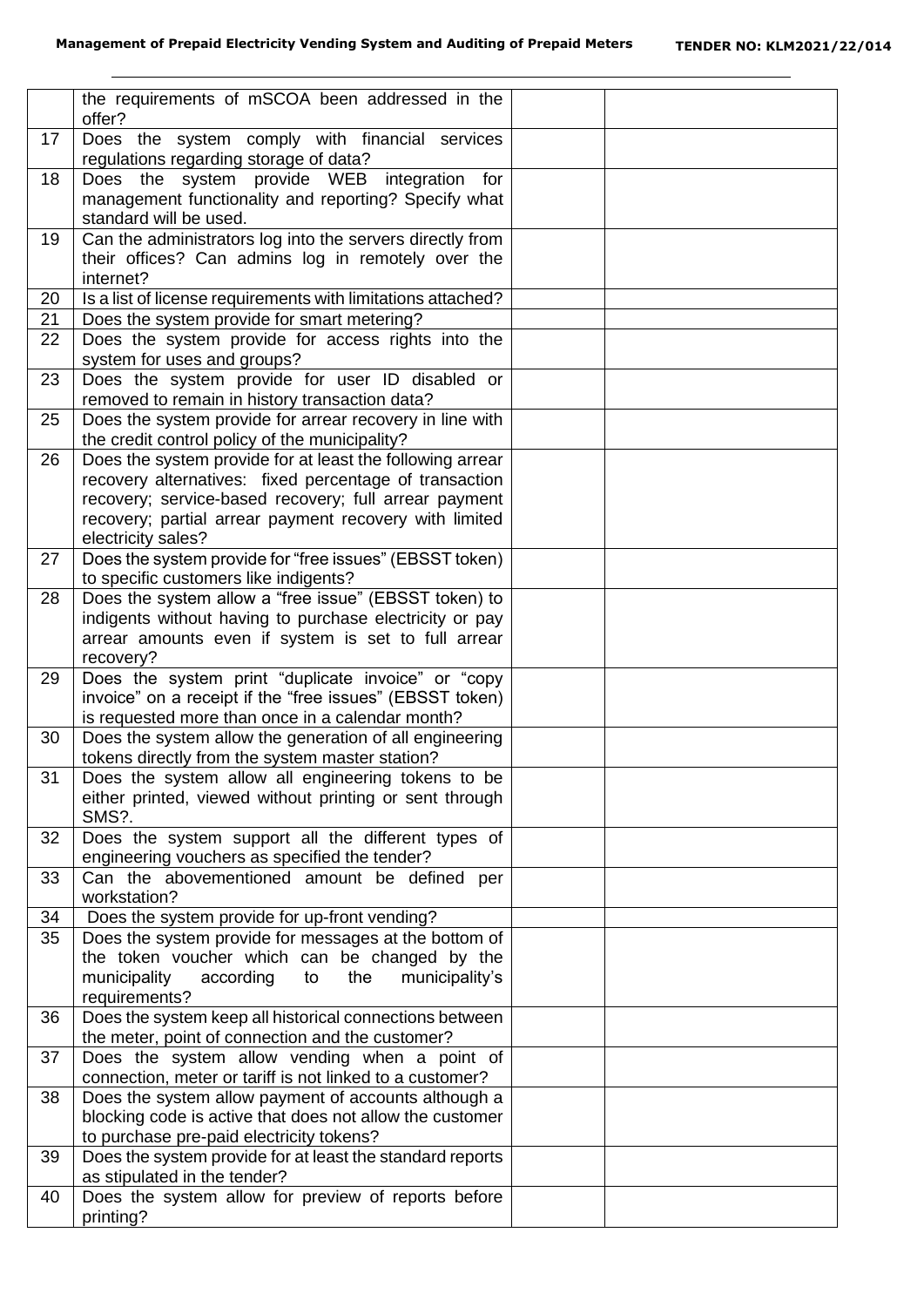|    | the requirements of mSCOA been addressed in the<br>offer?                                 |  |
|----|-------------------------------------------------------------------------------------------|--|
| 17 | Does the system comply with financial services                                            |  |
|    | regulations regarding storage of data?                                                    |  |
| 18 | system provide WEB integration for<br>Does the                                            |  |
|    | management functionality and reporting? Specify what                                      |  |
|    | standard will be used.                                                                    |  |
| 19 | Can the administrators log into the servers directly from                                 |  |
|    | their offices? Can admins log in remotely over the                                        |  |
|    | internet?                                                                                 |  |
| 20 | Is a list of license requirements with limitations attached?                              |  |
| 21 | Does the system provide for smart metering?                                               |  |
| 22 | Does the system provide for access rights into the<br>system for uses and groups?         |  |
| 23 | Does the system provide for user ID disabled or                                           |  |
|    | removed to remain in history transaction data?                                            |  |
| 25 | Does the system provide for arrear recovery in line with                                  |  |
|    | the credit control policy of the municipality?                                            |  |
| 26 | Does the system provide for at least the following arrear                                 |  |
|    | recovery alternatives: fixed percentage of transaction                                    |  |
|    | recovery; service-based recovery; full arrear payment                                     |  |
|    | recovery; partial arrear payment recovery with limited                                    |  |
|    | electricity sales?                                                                        |  |
| 27 | Does the system provide for "free issues" (EBSST token)                                   |  |
|    | to specific customers like indigents?                                                     |  |
| 28 | Does the system allow a "free issue" (EBSST token) to                                     |  |
|    | indigents without having to purchase electricity or pay                                   |  |
|    | arrear amounts even if system is set to full arrear                                       |  |
| 29 | recovery?<br>Does the system print "duplicate invoice" or "copy                           |  |
|    | invoice" on a receipt if the "free issues" (EBSST token)                                  |  |
|    | is requested more than once in a calendar month?                                          |  |
| 30 | Does the system allow the generation of all engineering                                   |  |
|    | tokens directly from the system master station?                                           |  |
| 31 | Does the system allow all engineering tokens to be                                        |  |
|    | either printed, viewed without printing or sent through                                   |  |
|    | SMS?.                                                                                     |  |
| 32 | Does the system support all the different types of                                        |  |
|    | engineering vouchers as specified the tender?                                             |  |
| 33 | Can the abovementioned amount be defined per                                              |  |
|    | workstation?                                                                              |  |
| 34 | Does the system provide for up-front vending?                                             |  |
| 35 | Does the system provide for messages at the bottom of                                     |  |
|    | the token voucher which can be changed by the                                             |  |
|    | municipality<br>the<br>municipality's<br>according<br>to                                  |  |
|    | requirements?                                                                             |  |
| 36 | Does the system keep all historical connections between                                   |  |
|    | the meter, point of connection and the customer?                                          |  |
| 37 | Does the system allow vending when a point of                                             |  |
|    | connection, meter or tariff is not linked to a customer?                                  |  |
| 38 | Does the system allow payment of accounts although a                                      |  |
|    | blocking code is active that does not allow the customer                                  |  |
|    | to purchase pre-paid electricity tokens?                                                  |  |
| 39 | Does the system provide for at least the standard reports<br>as stipulated in the tender? |  |
| 40 | Does the system allow for preview of reports before                                       |  |
|    | printing?                                                                                 |  |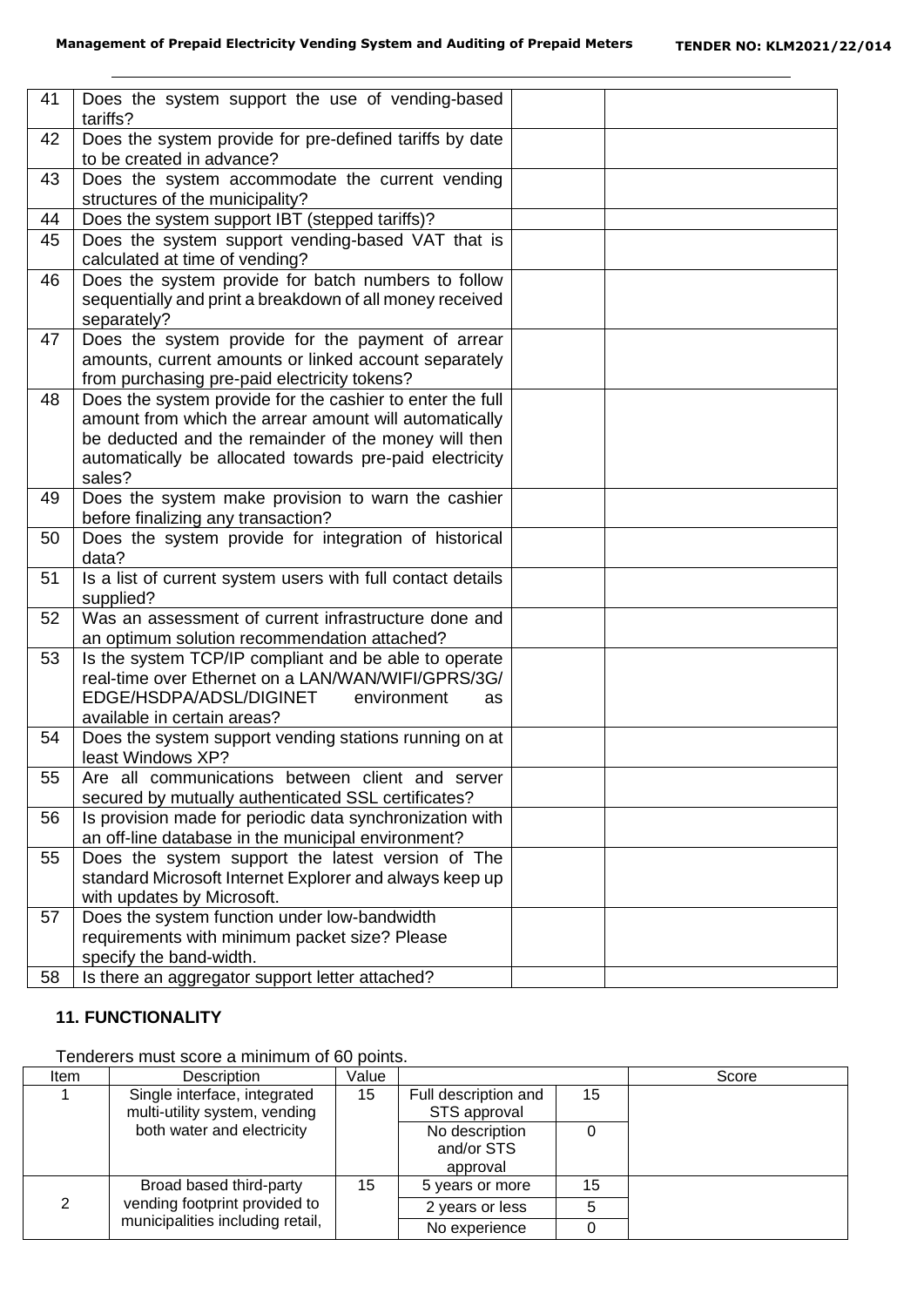| 41 | Does the system support the use of vending-based<br>tariffs?                                                                                                                                                                                     |  |
|----|--------------------------------------------------------------------------------------------------------------------------------------------------------------------------------------------------------------------------------------------------|--|
| 42 | Does the system provide for pre-defined tariffs by date<br>to be created in advance?                                                                                                                                                             |  |
| 43 | Does the system accommodate the current vending<br>structures of the municipality?                                                                                                                                                               |  |
| 44 | Does the system support IBT (stepped tariffs)?                                                                                                                                                                                                   |  |
| 45 | Does the system support vending-based VAT that is<br>calculated at time of vending?                                                                                                                                                              |  |
| 46 | Does the system provide for batch numbers to follow<br>sequentially and print a breakdown of all money received<br>separately?                                                                                                                   |  |
| 47 | Does the system provide for the payment of arrear<br>amounts, current amounts or linked account separately<br>from purchasing pre-paid electricity tokens?                                                                                       |  |
| 48 | Does the system provide for the cashier to enter the full<br>amount from which the arrear amount will automatically<br>be deducted and the remainder of the money will then<br>automatically be allocated towards pre-paid electricity<br>sales? |  |
| 49 | Does the system make provision to warn the cashier<br>before finalizing any transaction?                                                                                                                                                         |  |
| 50 | Does the system provide for integration of historical<br>data?                                                                                                                                                                                   |  |
| 51 | Is a list of current system users with full contact details<br>supplied?                                                                                                                                                                         |  |
| 52 | Was an assessment of current infrastructure done and<br>an optimum solution recommendation attached?                                                                                                                                             |  |
| 53 | Is the system TCP/IP compliant and be able to operate<br>real-time over Ethernet on a LAN/WAN/WIFI/GPRS/3G/<br>EDGE/HSDPA/ADSL/DIGINET<br>environment<br>as<br>available in certain areas?                                                       |  |
| 54 | Does the system support vending stations running on at<br>least Windows XP?                                                                                                                                                                      |  |
| 55 | Are all communications between client and server<br>secured by mutually authenticated SSL certificates?                                                                                                                                          |  |
| 56 | Is provision made for periodic data synchronization with<br>an off-line database in the municipal environment?                                                                                                                                   |  |
| 55 | Does the system support the latest version of The<br>standard Microsoft Internet Explorer and always keep up<br>with updates by Microsoft.                                                                                                       |  |
| 57 | Does the system function under low-bandwidth                                                                                                                                                                                                     |  |
|    | requirements with minimum packet size? Please<br>specify the band-width.                                                                                                                                                                         |  |
| 58 | Is there an aggregator support letter attached?                                                                                                                                                                                                  |  |

## **11. FUNCTIONALITY**

Tenderers must score a minimum of 60 points.

| Item | Description                                                   | Value |                                          |    | Score |
|------|---------------------------------------------------------------|-------|------------------------------------------|----|-------|
|      | Single interface, integrated<br>multi-utility system, vending | 15    | Full description and<br>STS approval     | 15 |       |
|      | both water and electricity                                    |       | No description<br>and/or STS<br>approval |    |       |
|      | Broad based third-party                                       | 15    | 5 years or more                          | 15 |       |
|      | vending footprint provided to                                 |       | 2 years or less                          |    |       |
|      | municipalities including retail,                              |       | No experience                            |    |       |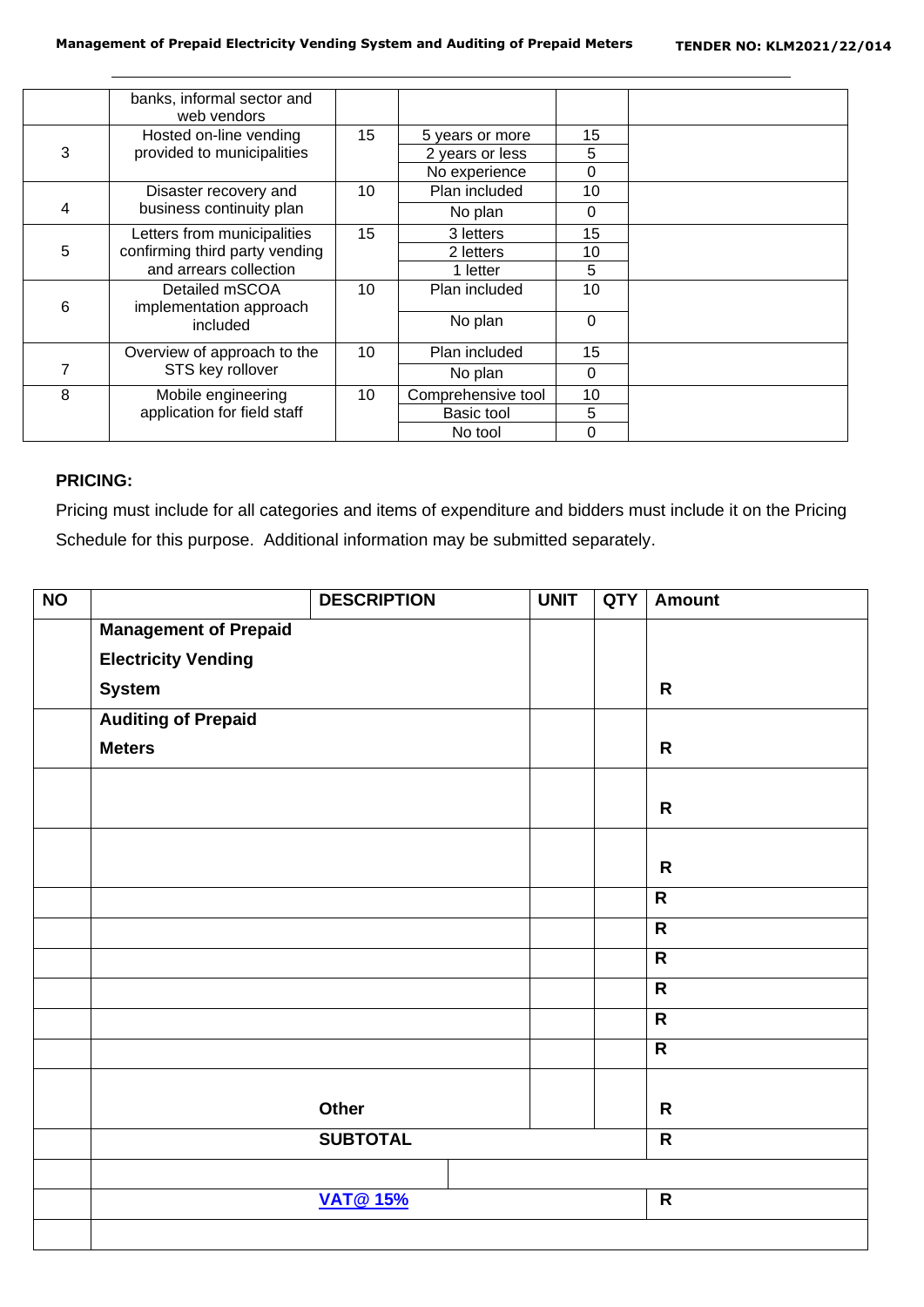|   | banks, informal sector and<br>web vendors |    |                    |             |  |
|---|-------------------------------------------|----|--------------------|-------------|--|
|   | Hosted on-line vending                    | 15 | 5 years or more    | 15          |  |
| 3 | provided to municipalities                |    | 2 years or less    | 5           |  |
|   |                                           |    | No experience      | $\Omega$    |  |
|   | Disaster recovery and                     | 10 | Plan included      | 10          |  |
| 4 | business continuity plan                  |    | No plan            | $\Omega$    |  |
|   | Letters from municipalities               | 15 | 3 letters          | 15          |  |
| 5 | confirming third party vending            |    | 2 letters          | 10          |  |
|   | and arrears collection                    |    | 1 letter           | 5           |  |
| 6 | Detailed mSCOA<br>implementation approach | 10 | Plan included      | 10          |  |
|   | included                                  |    | No plan            | $\mathbf 0$ |  |
|   | Overview of approach to the               | 10 | Plan included      | 15          |  |
|   | STS key rollover                          |    | No plan            | $\Omega$    |  |
| 8 | Mobile engineering                        | 10 | Comprehensive tool | 10          |  |
|   | application for field staff               |    | Basic tool         | 5           |  |
|   |                                           |    | No tool            | $\Omega$    |  |

## **PRICING:**

Pricing must include for all categories and items of expenditure and bidders must include it on the Pricing Schedule for this purpose. Additional information may be submitted separately.

| N <sub>O</sub> |                              | <b>DESCRIPTION</b> | <b>UNIT</b> | <b>QTY</b> | <b>Amount</b>           |
|----------------|------------------------------|--------------------|-------------|------------|-------------------------|
|                | <b>Management of Prepaid</b> |                    |             |            |                         |
|                | <b>Electricity Vending</b>   |                    |             |            |                         |
|                | <b>System</b>                |                    |             |            | $\mathsf{R}$            |
|                | <b>Auditing of Prepaid</b>   |                    |             |            |                         |
|                | <b>Meters</b>                |                    |             |            | $\mathsf{R}$            |
|                |                              |                    |             |            | $\mathsf{R}$            |
|                |                              |                    |             |            | $\mathsf{R}$            |
|                |                              |                    |             |            | $\mathsf{R}$            |
|                |                              |                    |             |            | $\overline{\mathbf{R}}$ |
|                |                              |                    |             |            | $\overline{\mathsf{R}}$ |
|                |                              |                    |             |            | $\overline{\mathsf{R}}$ |
|                |                              |                    |             |            | $\overline{R}$          |
|                |                              |                    |             |            | $\overline{\mathsf{R}}$ |
|                |                              | Other              |             |            | $\mathsf{R}$            |
|                |                              | <b>SUBTOTAL</b>    |             |            | $\overline{\mathsf{R}}$ |
|                |                              |                    |             |            |                         |
|                |                              | <b>VAT@15%</b>     |             |            | $\overline{R}$          |
|                |                              |                    |             |            |                         |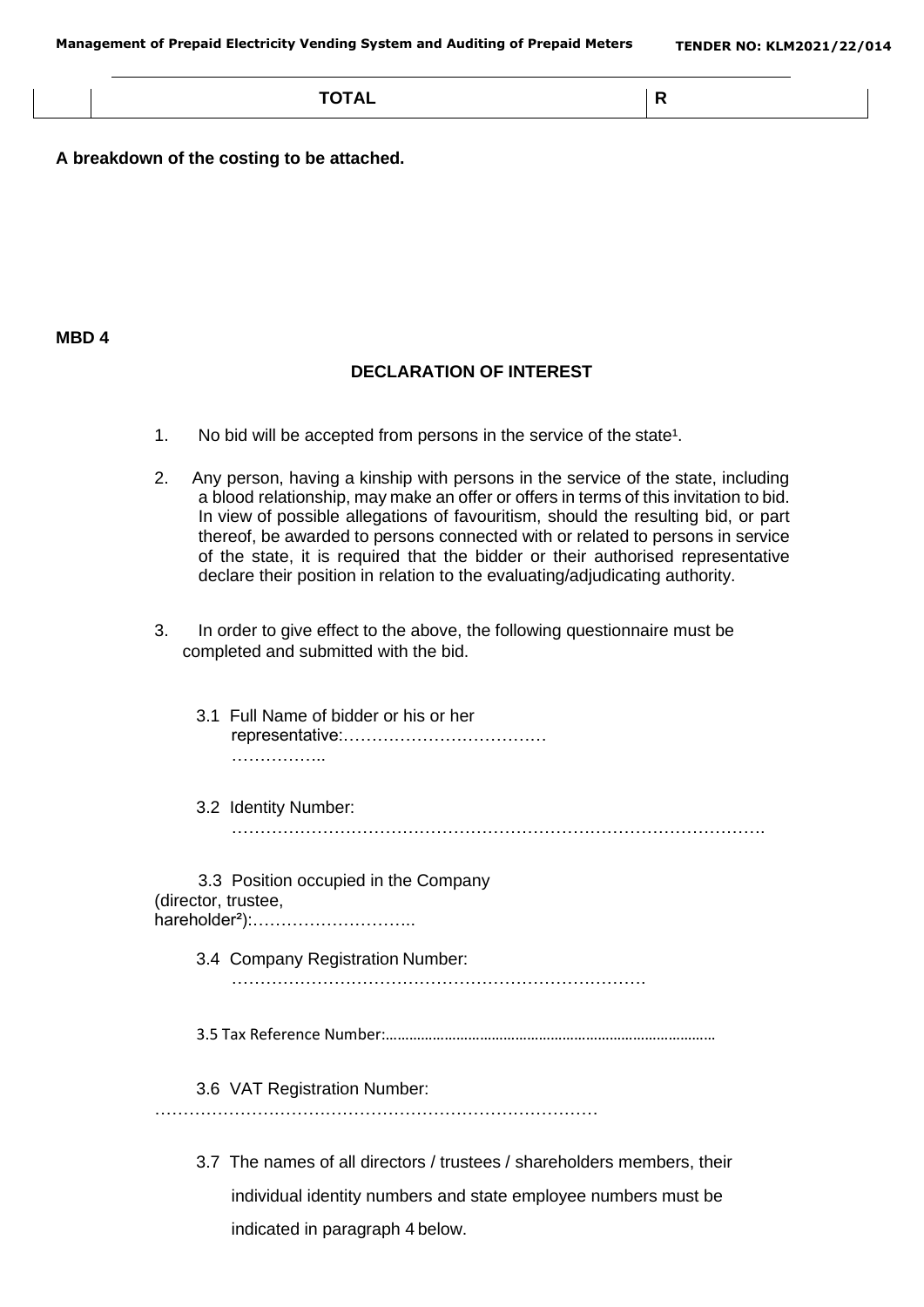**TOTAL R**

**A breakdown of the costing to be attached.**

#### **MBD 4**

#### **DECLARATION OF INTEREST**

- 1. No bid will be accepted from persons in the service of the state<sup>1</sup>.
- 2. Any person, having a kinship with persons in the service of the state, including a blood relationship, may make an offer or offers in terms of this invitation to bid. In view of possible allegations of favouritism, should the resulting bid, or part thereof, be awarded to persons connected with or related to persons in service of the state, it is required that the bidder or their authorised representative declare their position in relation to the evaluating/adjudicating authority.
- 3. In order to give effect to the above, the following questionnaire must be completed and submitted with the bid.
	- 3.1 Full Name of bidder or his or her representative:……………………………… ……………..
	- 3.2 Identity Number:
		- ………………………………………………………………………………….

3.3 Position occupied in the Company (director, trustee, hareholder²):………………………..

3.4 Company Registration Number:

……………………………………………………………….

3.5 Tax Reference Number:…………………………………………………………………………

3.6 VAT Registration Number:

……………………………………………………………………

3.7 The names of all directors / trustees / shareholders members, their individual identity numbers and state employee numbers must be indicated in paragraph 4 below.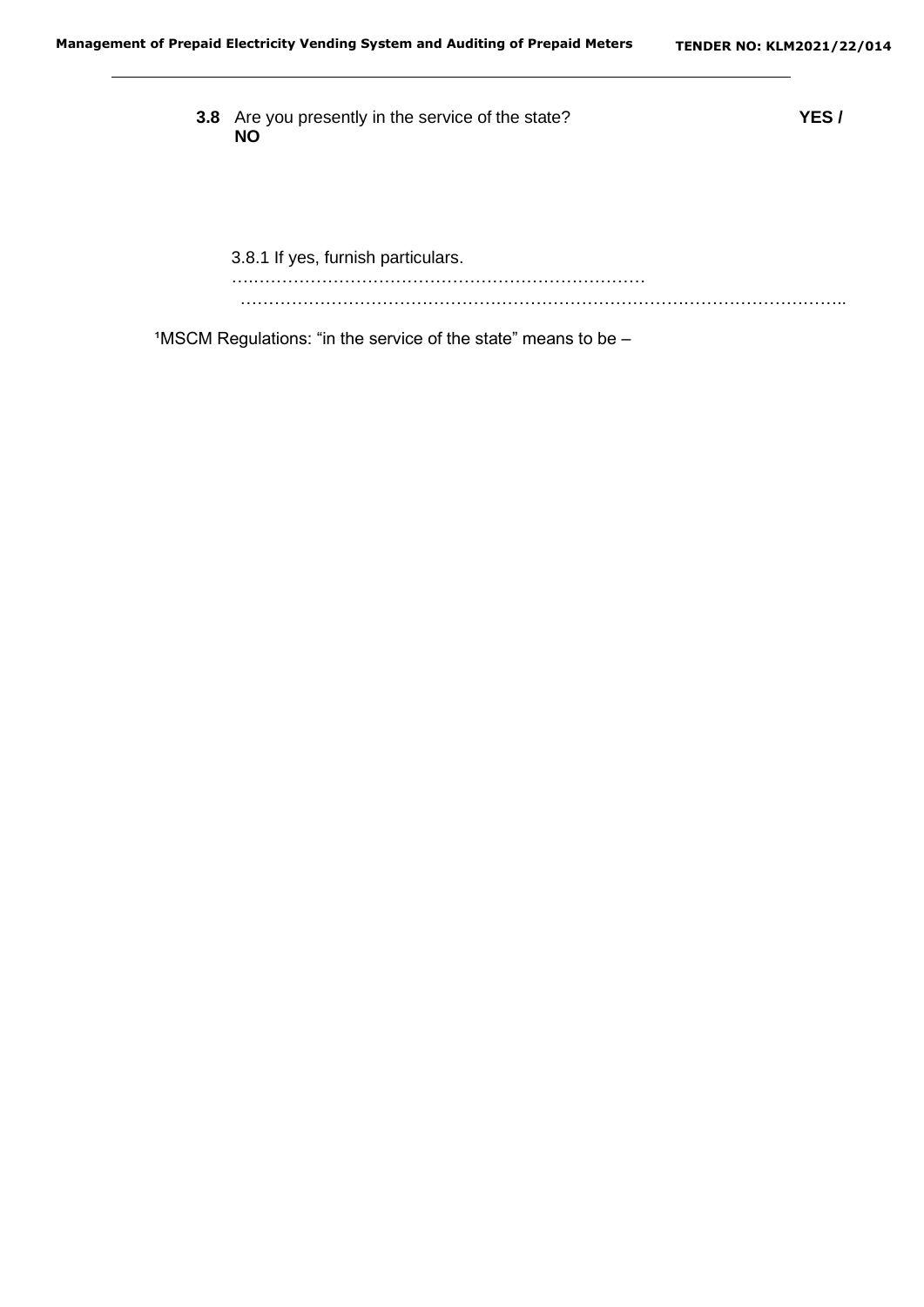**3.8** Are you presently in the service of the state? **YES / NO** 3.8.1 If yes, furnish particulars. ….…………………………………………………………… ……………………………………………………………………………………………..

 $1$ MSCM Regulations: "in the service of the state" means to be  $-$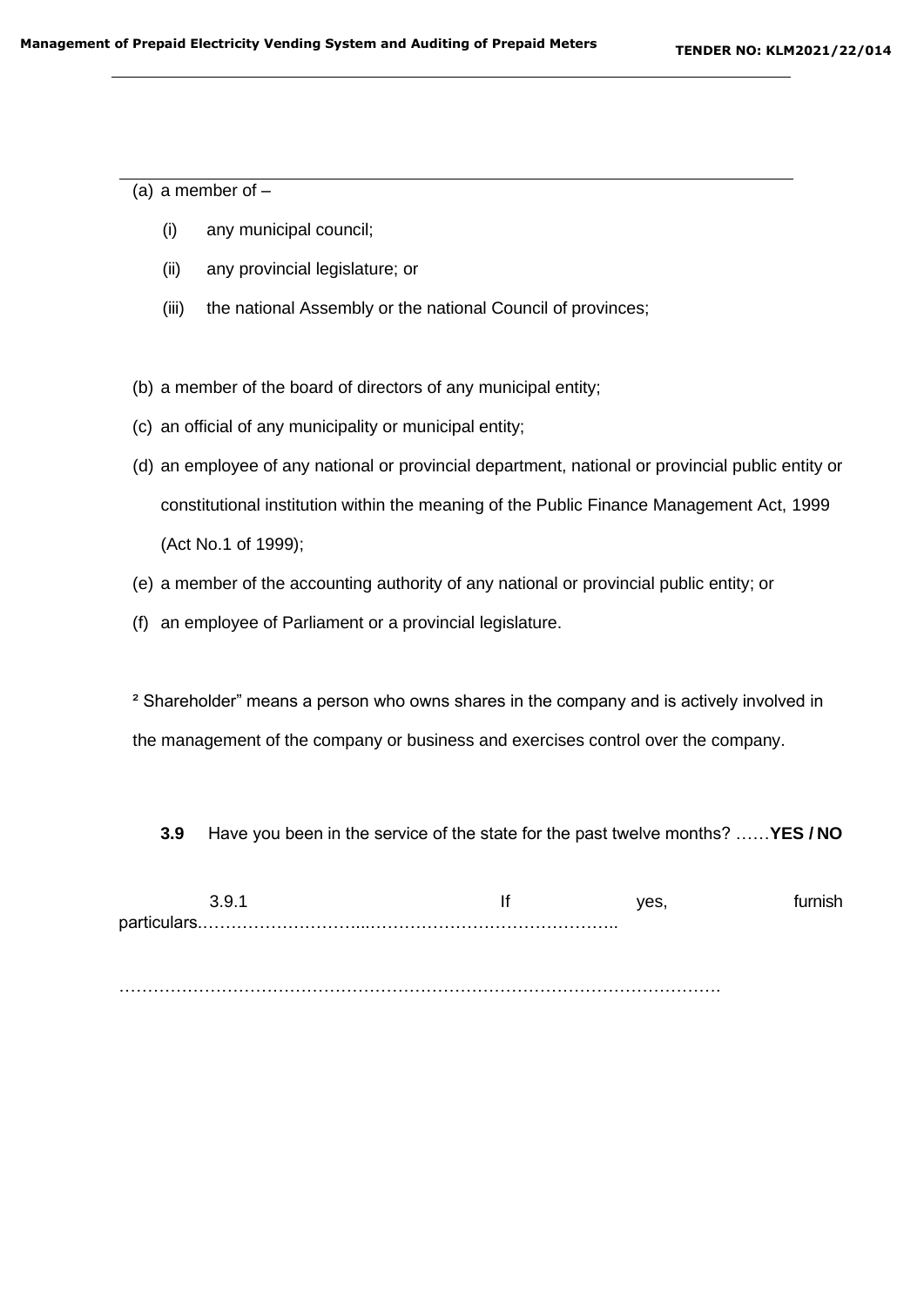(a) a member of  $-$ 

- (i) any municipal council;
- (ii) any provincial legislature; or
- (iii) the national Assembly or the national Council of provinces;

(b) a member of the board of directors of any municipal entity;

- (c) an official of any municipality or municipal entity;
- (d) an employee of any national or provincial department, national or provincial public entity or constitutional institution within the meaning of the Public Finance Management Act, 1999 (Act No.1 of 1999);
- (e) a member of the accounting authority of any national or provincial public entity; or
- (f) an employee of Parliament or a provincial legislature.

² Shareholder" means a person who owns shares in the company and is actively involved in the management of the company or business and exercises control over the company.

**3.9** Have you been in the service of the state for the past twelve months? ……**YES / NO**

3.9.1 If yes, furnish particulars.………………………...……………………………………..

…………………………………………………………………………………………….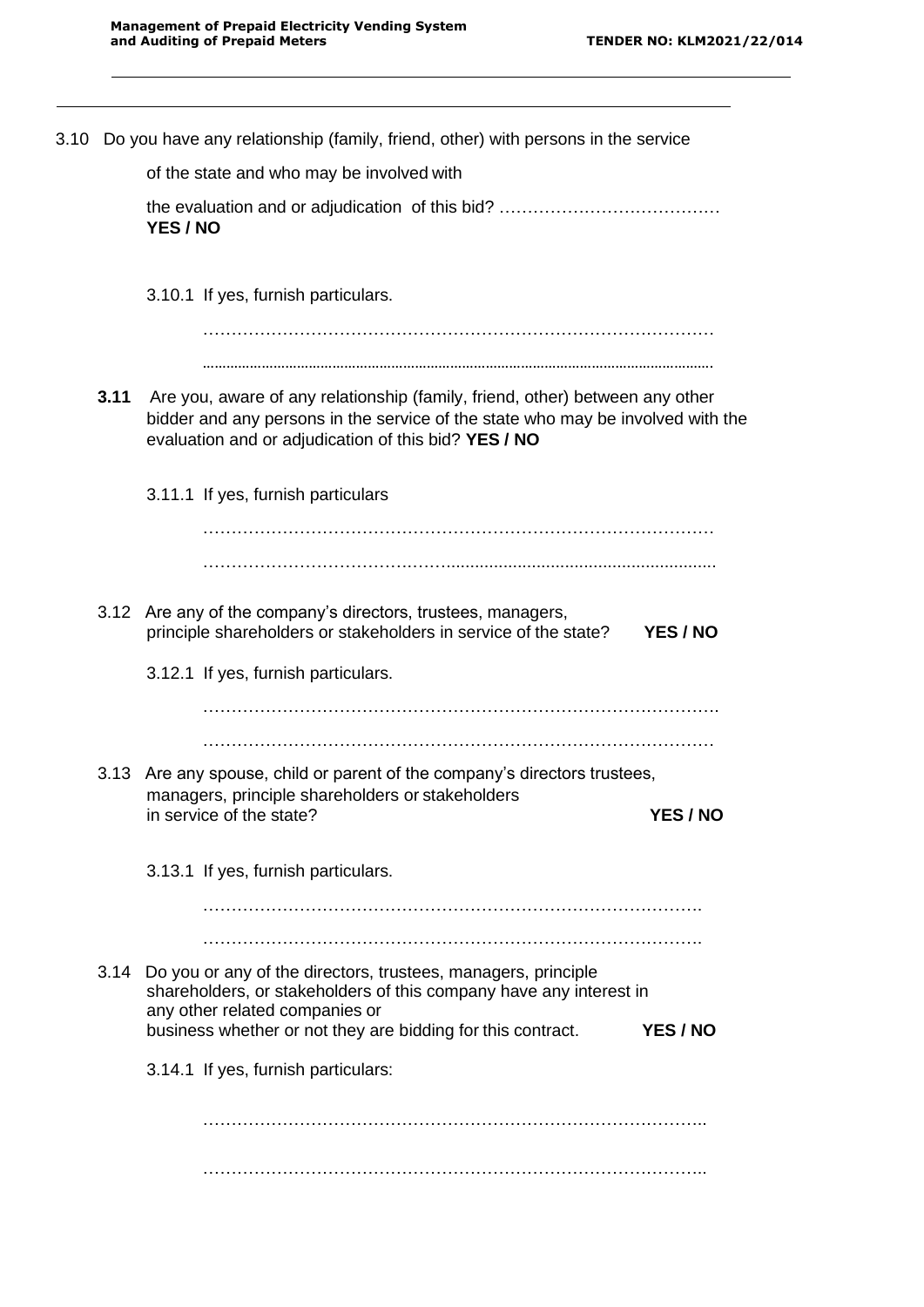|      | 3.10 Do you have any relationship (family, friend, other) with persons in the service                                                                                                                                                     |                 |
|------|-------------------------------------------------------------------------------------------------------------------------------------------------------------------------------------------------------------------------------------------|-----------------|
|      | of the state and who may be involved with                                                                                                                                                                                                 |                 |
|      | YES / NO                                                                                                                                                                                                                                  |                 |
|      | 3.10.1 If yes, furnish particulars.                                                                                                                                                                                                       |                 |
| 3.11 | Are you, aware of any relationship (family, friend, other) between any other                                                                                                                                                              |                 |
|      | bidder and any persons in the service of the state who may be involved with the<br>evaluation and or adjudication of this bid? YES / NO                                                                                                   |                 |
|      | 3.11.1 If yes, furnish particulars                                                                                                                                                                                                        |                 |
|      |                                                                                                                                                                                                                                           |                 |
|      | 3.12 Are any of the company's directors, trustees, managers,<br>principle shareholders or stakeholders in service of the state?                                                                                                           | YES / NO        |
|      | 3.12.1 If yes, furnish particulars.                                                                                                                                                                                                       |                 |
|      |                                                                                                                                                                                                                                           |                 |
|      | 3.13 Are any spouse, child or parent of the company's directors trustees,<br>managers, principle shareholders or stakeholders<br>in service of the state?                                                                                 | <b>YES / NO</b> |
|      | 3.13.1 If yes, furnish particulars.                                                                                                                                                                                                       |                 |
|      |                                                                                                                                                                                                                                           |                 |
|      | 3.14 Do you or any of the directors, trustees, managers, principle<br>shareholders, or stakeholders of this company have any interest in<br>any other related companies or<br>business whether or not they are bidding for this contract. | YES / NO        |
|      | 3.14.1 If yes, furnish particulars:                                                                                                                                                                                                       |                 |
|      |                                                                                                                                                                                                                                           |                 |
|      |                                                                                                                                                                                                                                           |                 |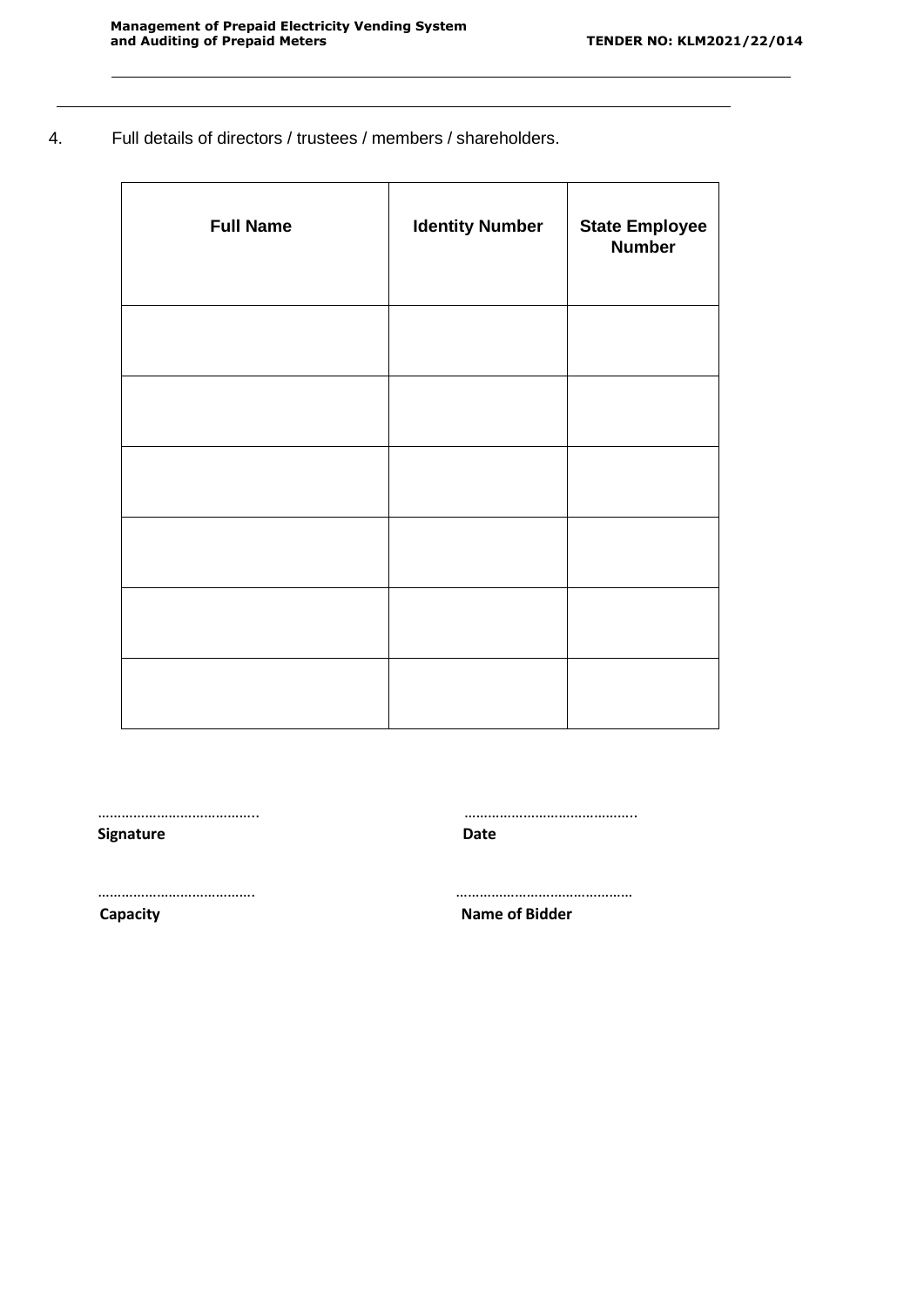4. Full details of directors / trustees / members / shareholders.

| <b>Full Name</b> | <b>Identity Number</b> | <b>State Employee</b><br><b>Number</b> |
|------------------|------------------------|----------------------------------------|
|                  |                        |                                        |
|                  |                        |                                        |
|                  |                        |                                        |
|                  |                        |                                        |
|                  |                        |                                        |
|                  |                        |                                        |

………………………………….. ……………………………………..

**Signature Date**

…………………………………. ………………………………………

**Capacity Name of Bidder**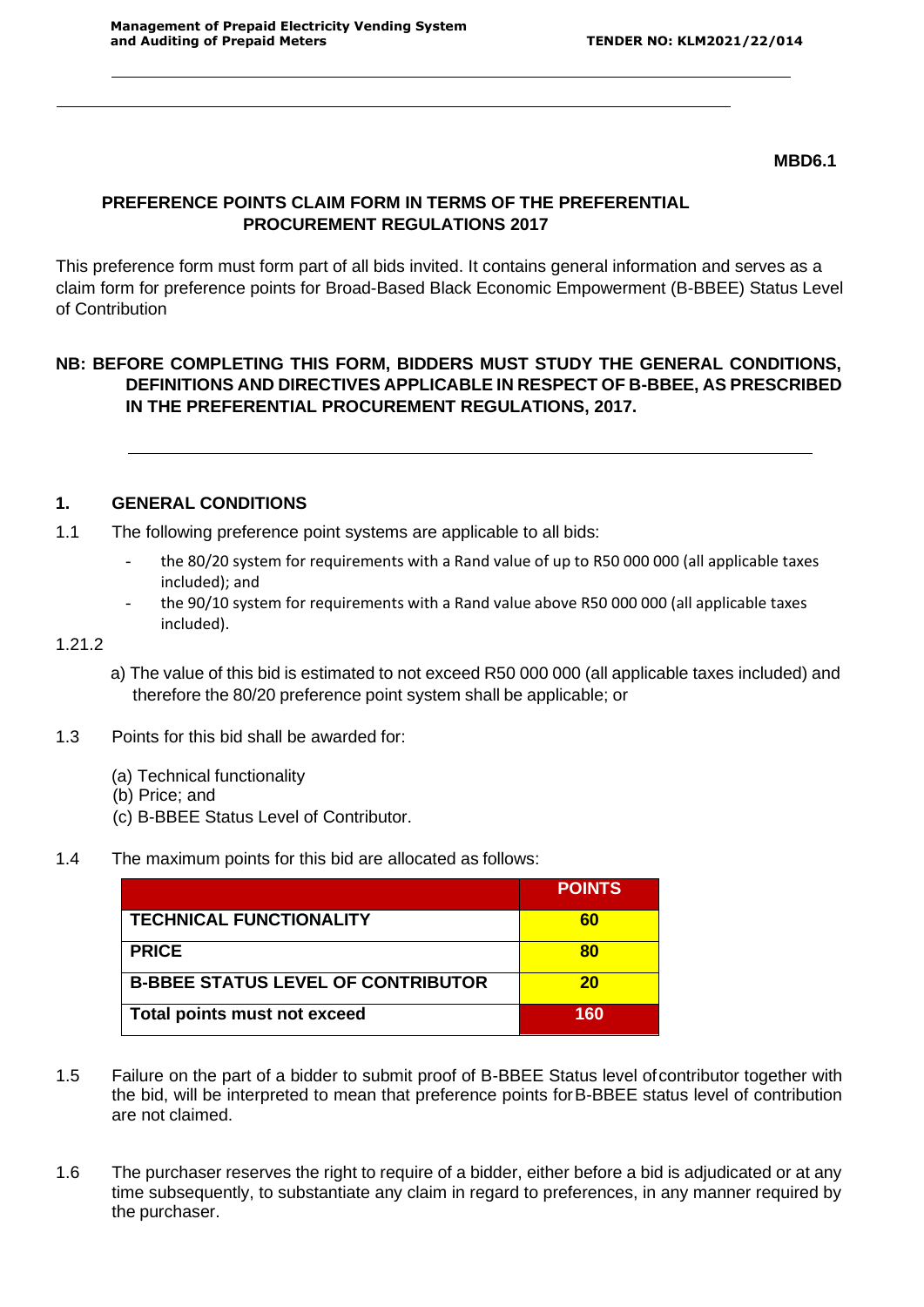#### **MBD6.1**

## **PREFERENCE POINTS CLAIM FORM IN TERMS OF THE PREFERENTIAL PROCUREMENT REGULATIONS 2017**

This preference form must form part of all bids invited. It contains general information and serves as a claim form for preference points for Broad-Based Black Economic Empowerment (B-BBEE) Status Level of Contribution

# **NB: BEFORE COMPLETING THIS FORM, BIDDERS MUST STUDY THE GENERAL CONDITIONS, DEFINITIONS AND DIRECTIVES APPLICABLE IN RESPECT OF B-BBEE, AS PRESCRIBED IN THE PREFERENTIAL PROCUREMENT REGULATIONS, 2017.**

## **1. GENERAL CONDITIONS**

- 1.1 The following preference point systems are applicable to all bids:
	- the 80/20 system for requirements with a Rand value of up to R50 000 000 (all applicable taxes included); and
	- the 90/10 system for requirements with a Rand value above R50 000 000 (all applicable taxes included).

#### 1.21.2

- a) The value of this bid is estimated to not exceed R50 000 000 (all applicable taxes included) and therefore the 80/20 preference point system shall be applicable; or
- 1.3 Points for this bid shall be awarded for:
	- (a) Technical functionality
	- (b) Price; and
	- (c) B-BBEE Status Level of Contributor.
- 1.4 The maximum points for this bid are allocated as follows:

|                                           | <b>POINTS</b> |
|-------------------------------------------|---------------|
| <b>TECHNICAL FUNCTIONALITY</b>            | 60            |
| <b>PRICE</b>                              | 80            |
| <b>B-BBEE STATUS LEVEL OF CONTRIBUTOR</b> | 20            |
| Total points must not exceed              | 160           |

- 1.5 Failure on the part of a bidder to submit proof of B-BBEE Status level ofcontributor together with the bid, will be interpreted to mean that preference points forB-BBEE status level of contribution are not claimed.
- 1.6 The purchaser reserves the right to require of a bidder, either before a bid is adjudicated or at any time subsequently, to substantiate any claim in regard to preferences, in any manner required by the purchaser.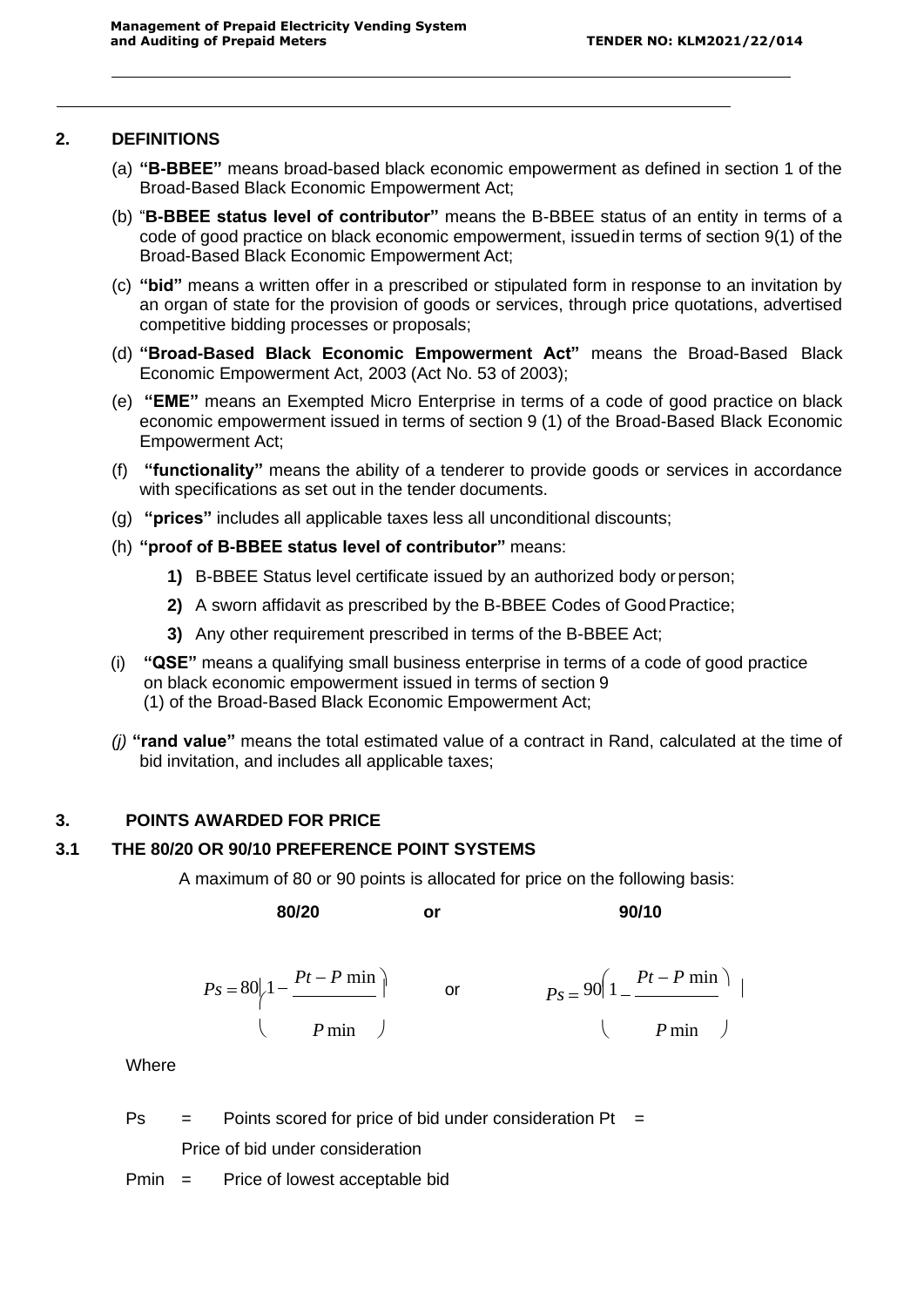#### **2. DEFINITIONS**

- (a) **"B-BBEE"** means broad-based black economic empowerment as defined in section 1 of the Broad-Based Black Economic Empowerment Act;
- (b) "**B-BBEE status level of contributor"** means the B-BBEE status of an entity in terms of a code of good practice on black economic empowerment, issuedin terms of section 9(1) of the Broad-Based Black Economic Empowerment Act;
- (c) **"bid"** means a written offer in a prescribed or stipulated form in response to an invitation by an organ of state for the provision of goods or services, through price quotations, advertised competitive bidding processes or proposals;
- (d) **"Broad-Based Black Economic Empowerment Act"** means the Broad-Based Black Economic Empowerment Act, 2003 (Act No. 53 of 2003);
- (e) **"EME"** means an Exempted Micro Enterprise in terms of a code of good practice on black economic empowerment issued in terms of section 9 (1) of the Broad-Based Black Economic Empowerment Act;
- (f) **"functionality"** means the ability of a tenderer to provide goods or services in accordance with specifications as set out in the tender documents.
- (g) **"prices"** includes all applicable taxes less all unconditional discounts;
- (h) **"proof of B-BBEE status level of contributor"** means:
	- **1)** B-BBEE Status level certificate issued by an authorized body orperson;
	- **2)** A sworn affidavit as prescribed by the B-BBEE Codes of GoodPractice;
	- **3)** Any other requirement prescribed in terms of the B-BBEE Act;
- (i) **"QSE"** means a qualifying small business enterprise in terms of a code of good practice on black economic empowerment issued in terms of section 9 (1) of the Broad-Based Black Economic Empowerment Act;
- *(j)* **"rand value"** means the total estimated value of a contract in Rand, calculated at the time of bid invitation, and includes all applicable taxes;

## **3. POINTS AWARDED FOR PRICE**

## **3.1 THE 80/20 OR 90/10 PREFERENCE POINT SYSTEMS**

A maximum of 80 or 90 points is allocated for price on the following basis:

**80/20 or 90/10**

$$
Ps = 80\left|1 - \frac{Pt - P \min}{P \min}\right| \qquad \text{or} \qquad \qquad Ps = 90\left(1 - \frac{Pt - P \min}{P \min}\right) \mid
$$

**Where** 

 $Ps =$  Points scored for price of bid under consideration Pt = Price of bid under consideration

Pmin = Price of lowest acceptable bid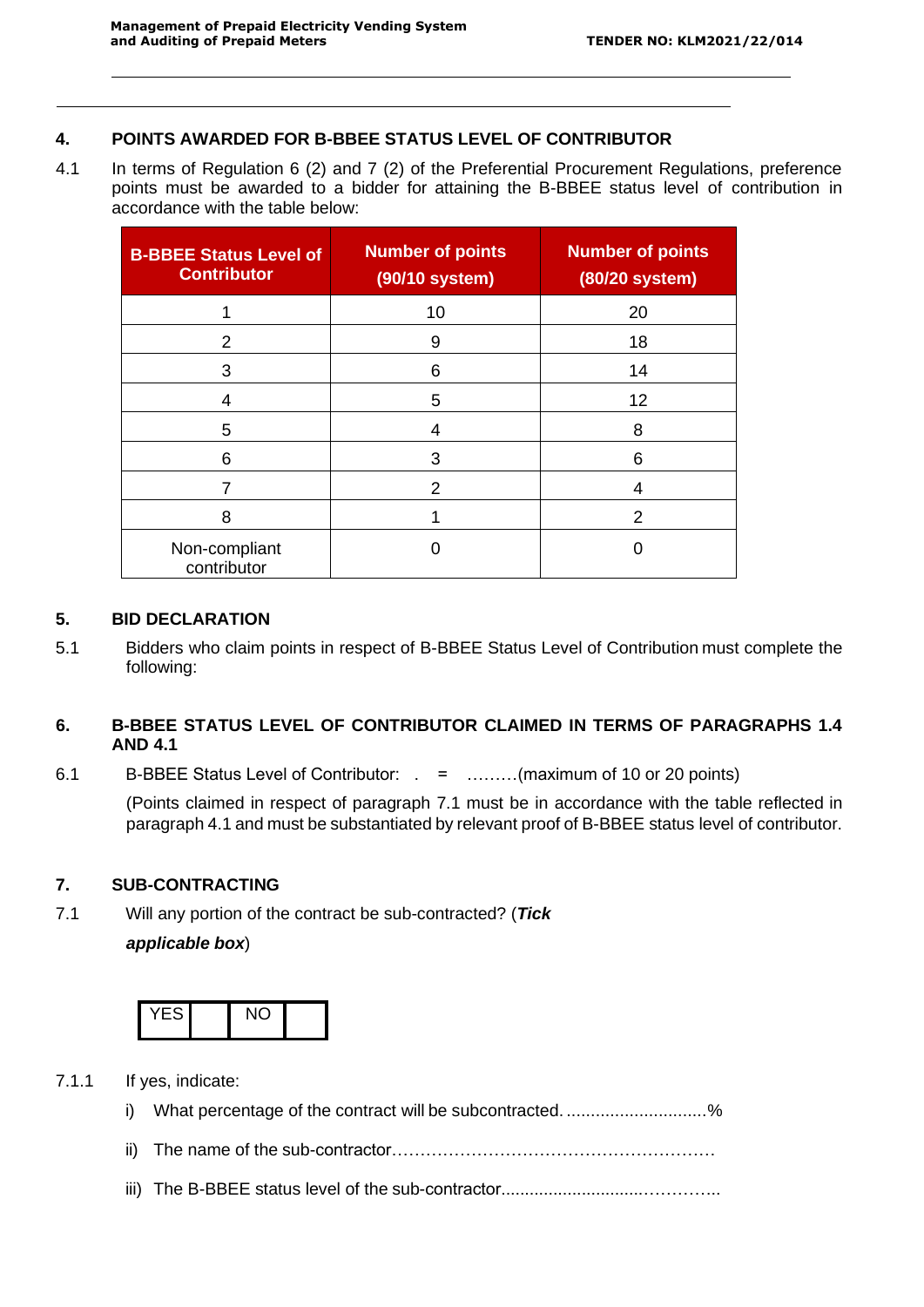## **4. POINTS AWARDED FOR B-BBEE STATUS LEVEL OF CONTRIBUTOR**

4.1 In terms of Regulation 6 (2) and 7 (2) of the Preferential Procurement Regulations, preference points must be awarded to a bidder for attaining the B-BBEE status level of contribution in accordance with the table below:

| <b>B-BBEE Status Level of</b><br><b>Contributor</b> | <b>Number of points</b><br>(90/10 system) | <b>Number of points</b><br>(80/20 system) |
|-----------------------------------------------------|-------------------------------------------|-------------------------------------------|
|                                                     | 10                                        | 20                                        |
| 2                                                   | 9                                         | 18                                        |
| 3                                                   | 6                                         | 14                                        |
| 4                                                   | 5                                         | 12                                        |
| 5                                                   | 4                                         | 8                                         |
| 6                                                   | 3                                         | 6                                         |
|                                                     | 2                                         | 4                                         |
| 8                                                   |                                           | 2                                         |
| Non-compliant<br>contributor                        |                                           |                                           |

#### **5. BID DECLARATION**

5.1 Bidders who claim points in respect of B-BBEE Status Level of Contribution must complete the following:

## **6. B-BBEE STATUS LEVEL OF CONTRIBUTOR CLAIMED IN TERMS OF PARAGRAPHS 1.4 AND 4.1**

6.1 B-BBEE Status Level of Contributor: . = ………(maximum of 10 or 20 points)

(Points claimed in respect of paragraph 7.1 must be in accordance with the table reflected in paragraph 4.1 and must be substantiated by relevant proof of B-BBEE status level of contributor.

## **7. SUB-CONTRACTING**

7.1 Will any portion of the contract be sub-contracted? (*Tick applicable box*)



- 7.1.1 If yes, indicate: i) What percentage of the contract will be subcontracted. ...........................% ii) The name of the sub-contractor…………………………………………………
	- iii) The B-BBEE status level of the sub-contractor..............................…………..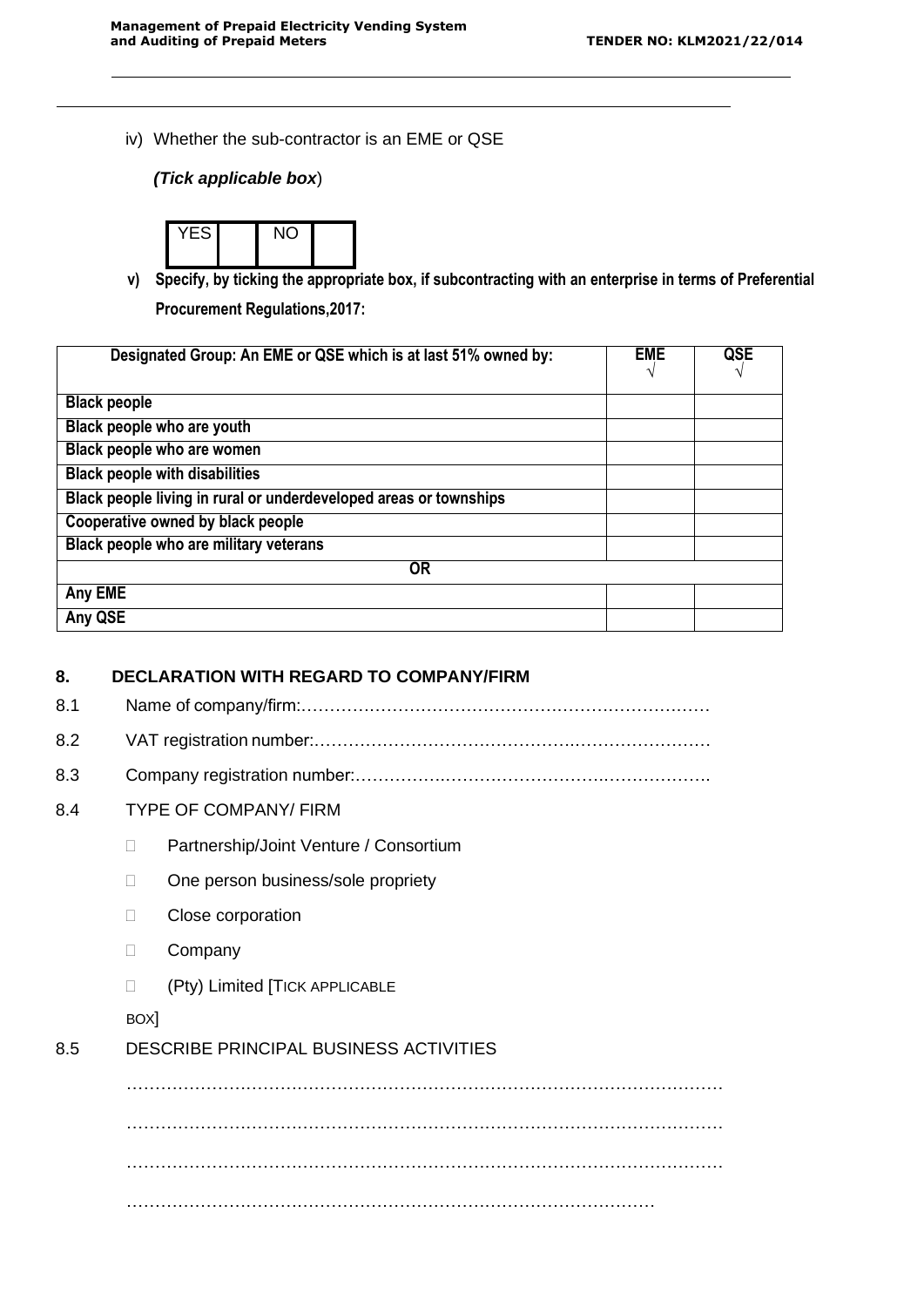iv) Whether the sub-contractor is an EME or QSE

## *(Tick applicable box*)



**v) Specify, by ticking the appropriate box, if subcontracting with an enterprise in terms of Preferential Procurement Regulations,2017:**

| Designated Group: An EME or QSE which is at last 51% owned by:    | <b>EME</b><br>N | QSE |
|-------------------------------------------------------------------|-----------------|-----|
|                                                                   |                 |     |
| <b>Black people</b>                                               |                 |     |
| Black people who are youth                                        |                 |     |
| Black people who are women                                        |                 |     |
| <b>Black people with disabilities</b>                             |                 |     |
| Black people living in rural or underdeveloped areas or townships |                 |     |
| Cooperative owned by black people                                 |                 |     |
| Black people who are military veterans                            |                 |     |
| 0R                                                                |                 |     |
| Any EME                                                           |                 |     |
| Any QSE                                                           |                 |     |

## **8. DECLARATION WITH REGARD TO COMPANY/FIRM**

8.1 Name of company/firm:………………………………………………………………

- 8.2 VAT registration number:……………………………………….……………………
- 8.3 Company registration number:…………….……………………….……………….
- 8.4 TYPE OF COMPANY/ FIRM
	- D Partnership/Joint Venture / Consortium
	- □ One person business/sole propriety
	- **Close corporation**
	- D Company
	- (Pty) Limited [TICK APPLICABLE

BOX]

## 8.5 DESCRIBE PRINCIPAL BUSINESS ACTIVITIES

…………………………………………………………………………………………… …………………………………………………………………………………………… …………………………………………………………………………………………… …………………………………………………………………………………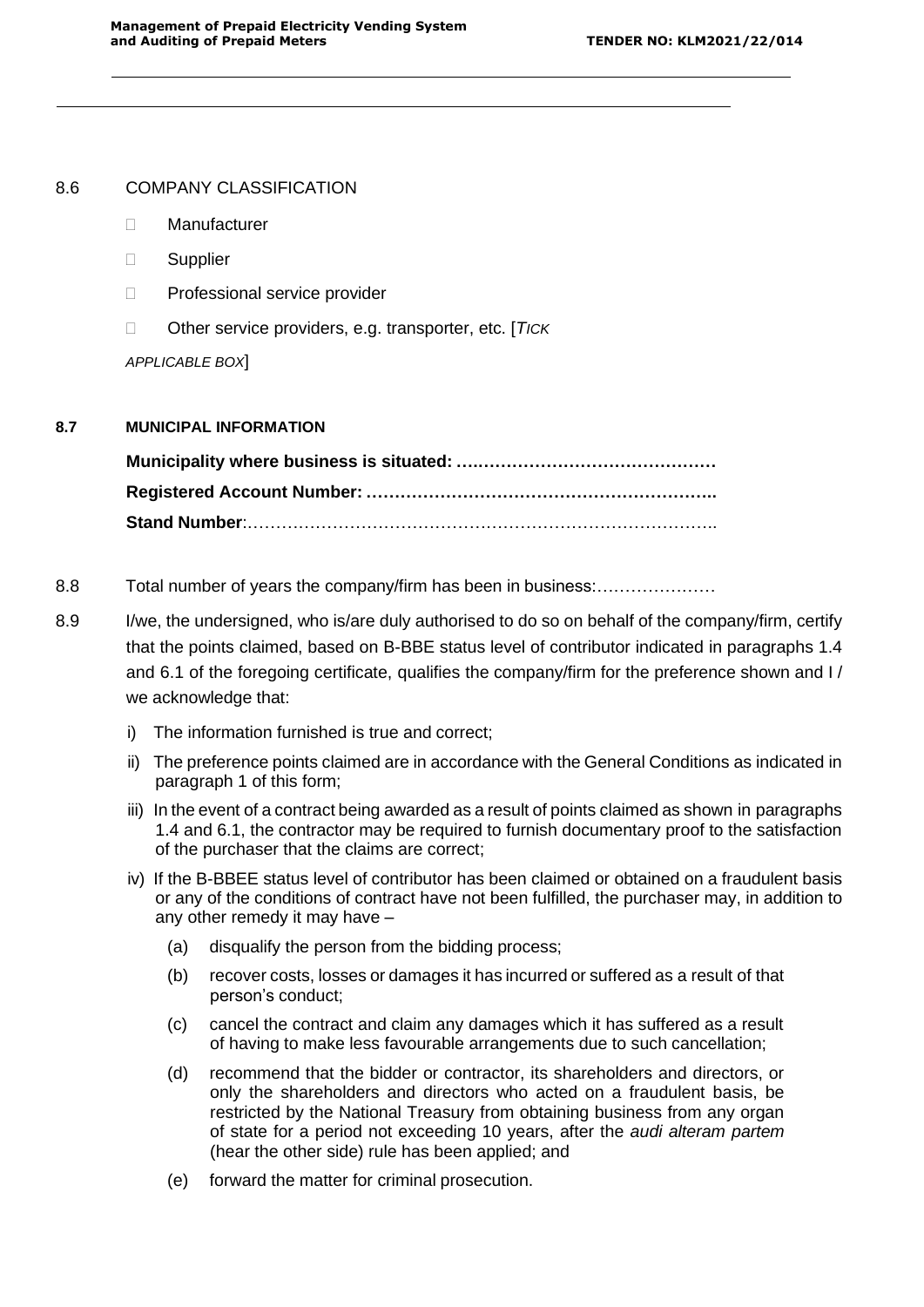#### 8.6 COMPANY CLASSIFICATION

- Manufacturer
- Supplier
- D Professional service provider
- Other service providers, e.g. transporter, etc. [*TICK*

*APPLICABLE BOX*]

#### **8.7 MUNICIPAL INFORMATION**

**Municipality where business is situated: ….…………………………………… Registered Account Number: …………………………………………………….. Stand Number**:………………………………………………………………………..

- 8.8 Total number of years the company/firm has been in business:…………………
- 8.9 I/we, the undersigned, who is/are duly authorised to do so on behalf of the company/firm, certify that the points claimed, based on B-BBE status level of contributor indicated in paragraphs 1.4 and 6.1 of the foregoing certificate, qualifies the company/firm for the preference shown and I/ we acknowledge that:
	- i) The information furnished is true and correct;
	- ii) The preference points claimed are in accordance with the General Conditions as indicated in paragraph 1 of this form;
	- iii) In the event of a contract being awarded as a result of points claimed as shown in paragraphs 1.4 and 6.1, the contractor may be required to furnish documentary proof to the satisfaction of the purchaser that the claims are correct;
	- iv) If the B-BBEE status level of contributor has been claimed or obtained on a fraudulent basis or any of the conditions of contract have not been fulfilled, the purchaser may, in addition to any other remedy it may have –
		- (a) disqualify the person from the bidding process;
		- (b) recover costs, losses or damages it has incurred or suffered as a result of that person's conduct;
		- (c) cancel the contract and claim any damages which it has suffered as a result of having to make less favourable arrangements due to such cancellation;
		- (d) recommend that the bidder or contractor, its shareholders and directors, or only the shareholders and directors who acted on a fraudulent basis, be restricted by the National Treasury from obtaining business from any organ of state for a period not exceeding 10 years, after the *audi alteram partem*  (hear the other side) rule has been applied; and
		- (e) forward the matter for criminal prosecution.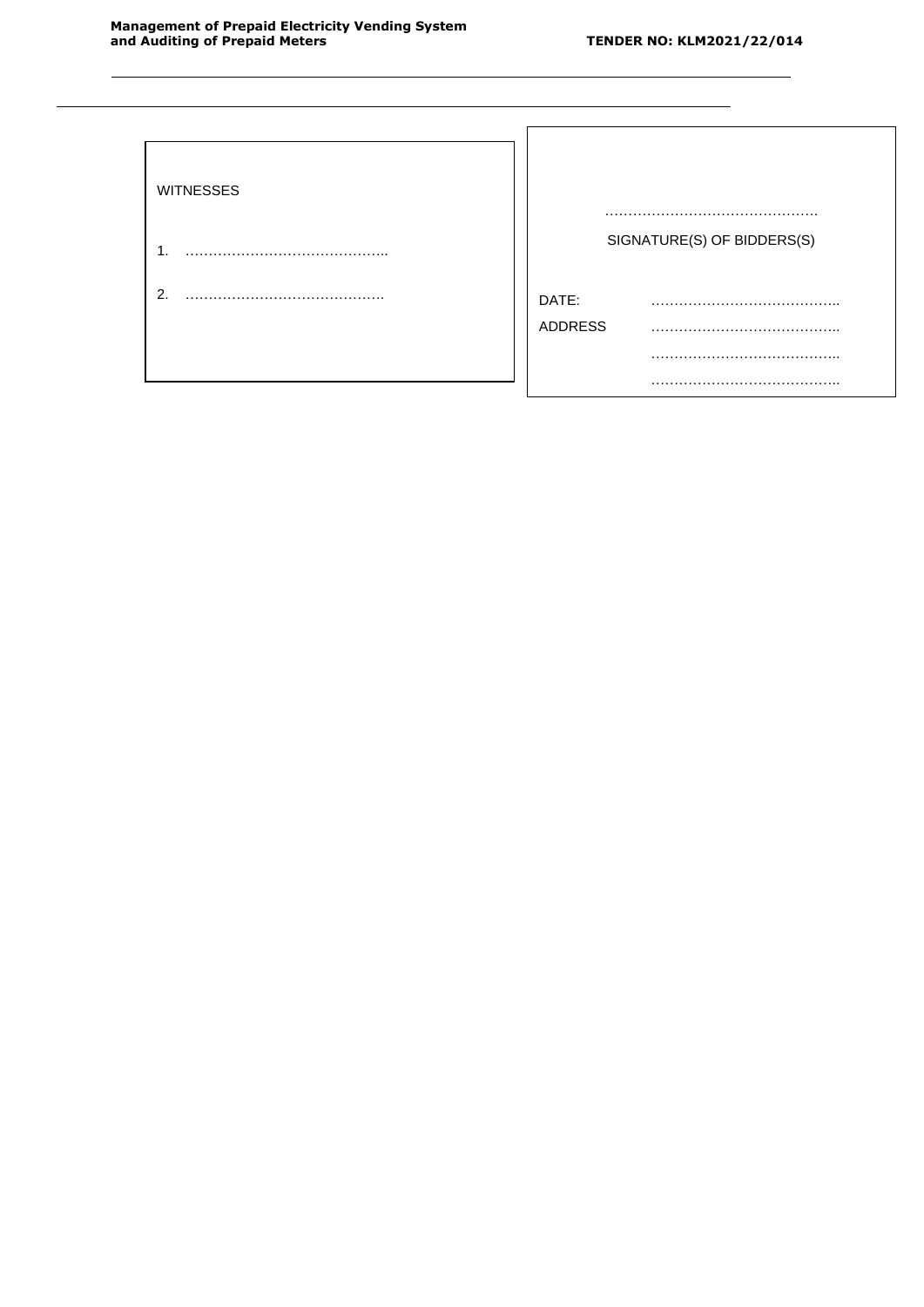| <b>WITNESSES</b> |                            |
|------------------|----------------------------|
| .1               | SIGNATURE(S) OF BIDDERS(S) |
| 2.               | DATE:<br><b>ADDRESS</b>    |
|                  |                            |
|                  |                            |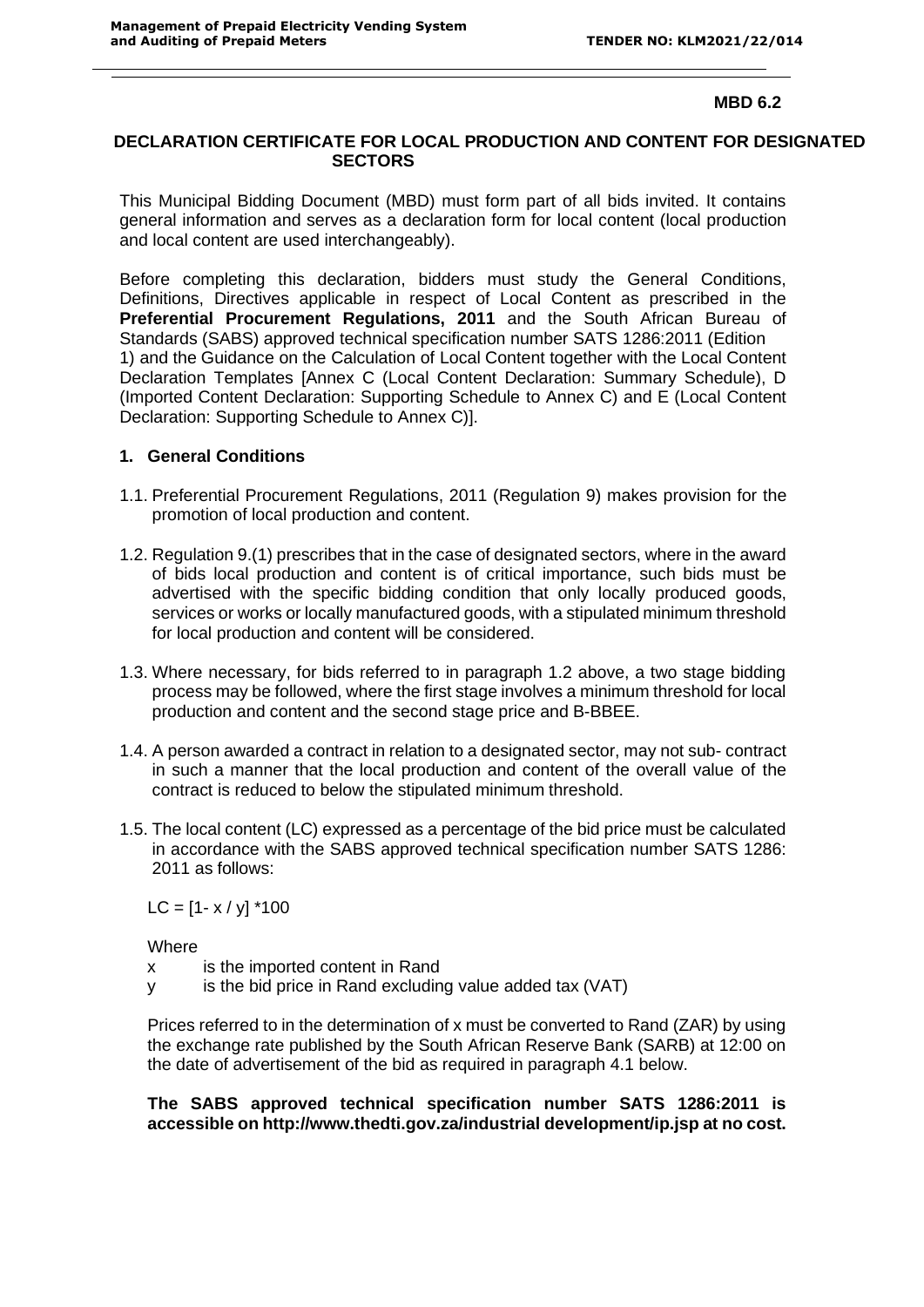#### **MBD 6.2**

#### **DECLARATION CERTIFICATE FOR LOCAL PRODUCTION AND CONTENT FOR DESIGNATED SECTORS**

This Municipal Bidding Document (MBD) must form part of all bids invited. It contains general information and serves as a declaration form for local content (local production and local content are used interchangeably).

Before completing this declaration, bidders must study the General Conditions, Definitions, Directives applicable in respect of Local Content as prescribed in the **Preferential Procurement Regulations, 2011** and the South African Bureau of Standards (SABS) approved technical specification number SATS 1286:2011 (Edition 1) and the Guidance on the Calculation of Local Content together with the Local Content Declaration Templates [Annex C (Local Content Declaration: Summary Schedule), D (Imported Content Declaration: Supporting Schedule to Annex C) and E (Local Content Declaration: Supporting Schedule to Annex C)].

#### **1. General Conditions**

- 1.1. Preferential Procurement Regulations, 2011 (Regulation 9) makes provision for the promotion of local production and content.
- 1.2. Regulation 9.(1) prescribes that in the case of designated sectors, where in the award of bids local production and content is of critical importance, such bids must be advertised with the specific bidding condition that only locally produced goods, services or works or locally manufactured goods, with a stipulated minimum threshold for local production and content will be considered.
- 1.3. Where necessary, for bids referred to in paragraph 1.2 above, a two stage bidding process may be followed, where the first stage involves a minimum threshold for local production and content and the second stage price and B-BBEE.
- 1.4. A person awarded a contract in relation to a designated sector, may not sub- contract in such a manner that the local production and content of the overall value of the contract is reduced to below the stipulated minimum threshold.
- 1.5. The local content (LC) expressed as a percentage of the bid price must be calculated in accordance with the SABS approved technical specification number SATS 1286: 2011 as follows:

 $LC = [1 - x / y]$  \*100

**Where** 

- x is the imported content in Rand
- y is the bid price in Rand excluding value added tax (VAT)

Prices referred to in the determination of x must be converted to Rand (ZAR) by using the exchange rate published by the South African Reserve Bank (SARB) at 12:00 on the date of advertisement of the bid as required in paragraph 4.1 below.

**The SABS approved technical specification number SATS 1286:2011 is accessible on<http://www.thedti.gov.za/industrial> development/ip.jsp at no cost.**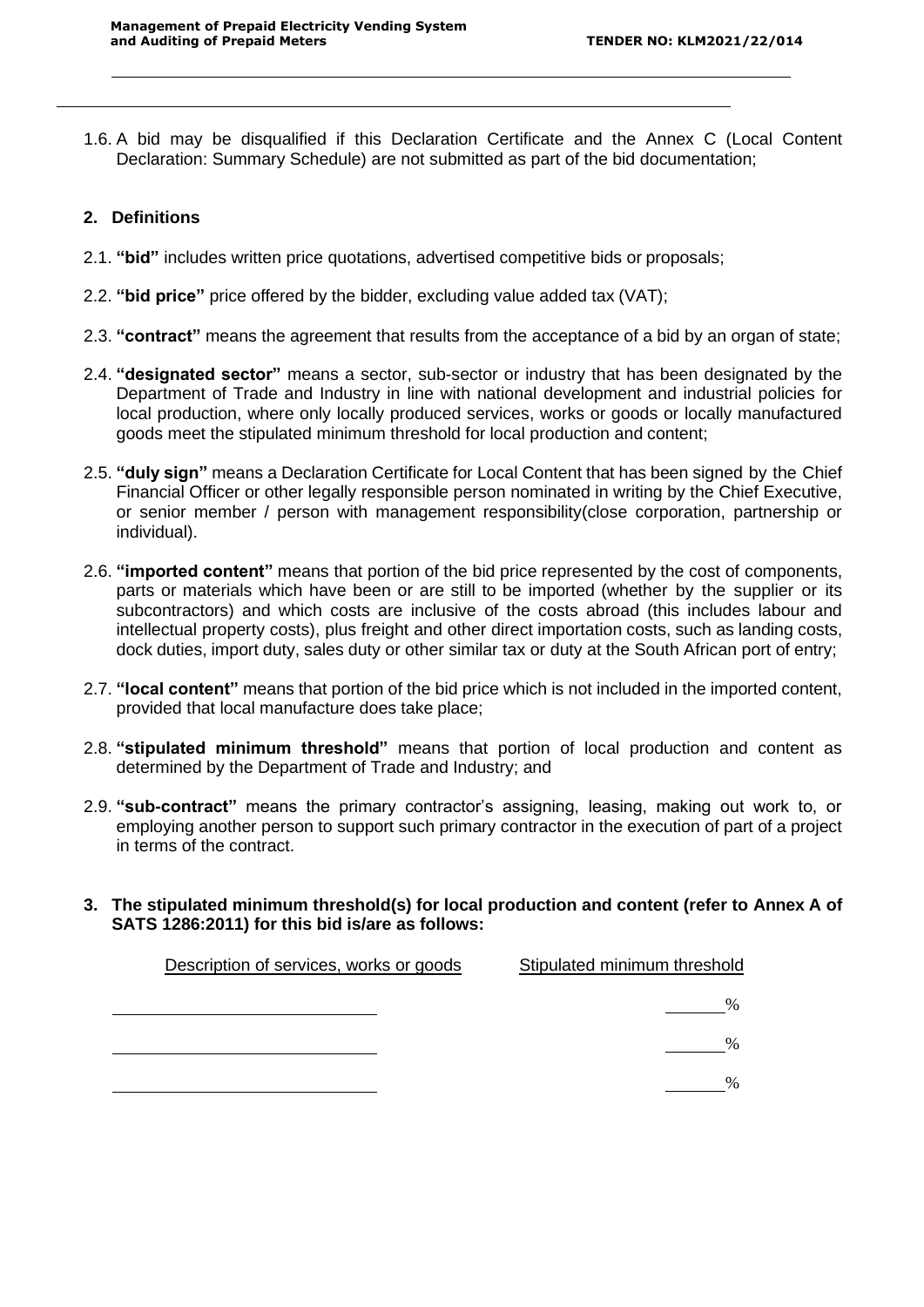1.6. A bid may be disqualified if this Declaration Certificate and the Annex C (Local Content Declaration: Summary Schedule) are not submitted as part of the bid documentation;

## **2. Definitions**

- 2.1. **"bid"** includes written price quotations, advertised competitive bids or proposals;
- 2.2. **"bid price"** price offered by the bidder, excluding value added tax (VAT);
- 2.3. **"contract"** means the agreement that results from the acceptance of a bid by an organ of state;
- 2.4. **"designated sector"** means a sector, sub-sector or industry that has been designated by the Department of Trade and Industry in line with national development and industrial policies for local production, where only locally produced services, works or goods or locally manufactured goods meet the stipulated minimum threshold for local production and content;
- 2.5. **"duly sign"** means a Declaration Certificate for Local Content that has been signed by the Chief Financial Officer or other legally responsible person nominated in writing by the Chief Executive, or senior member / person with management responsibility(close corporation, partnership or individual).
- 2.6. **"imported content"** means that portion of the bid price represented by the cost of components, parts or materials which have been or are still to be imported (whether by the supplier or its subcontractors) and which costs are inclusive of the costs abroad (this includes labour and intellectual property costs), plus freight and other direct importation costs, such as landing costs, dock duties, import duty, sales duty or other similar tax or duty at the South African port of entry;
- 2.7. **"local content"** means that portion of the bid price which is not included in the imported content, provided that local manufacture does take place;
- 2.8. **"stipulated minimum threshold"** means that portion of local production and content as determined by the Department of Trade and Industry; and
- 2.9. **"sub-contract"** means the primary contractor's assigning, leasing, making out work to, or employing another person to support such primary contractor in the execution of part of a project in terms of the contract.
- **3. The stipulated minimum threshold(s) for local production and content (refer to Annex A of SATS 1286:2011) for this bid is/are as follows:**

| Description of services, works or goods | Stipulated minimum threshold |
|-----------------------------------------|------------------------------|
|                                         |                              |
|                                         |                              |
|                                         |                              |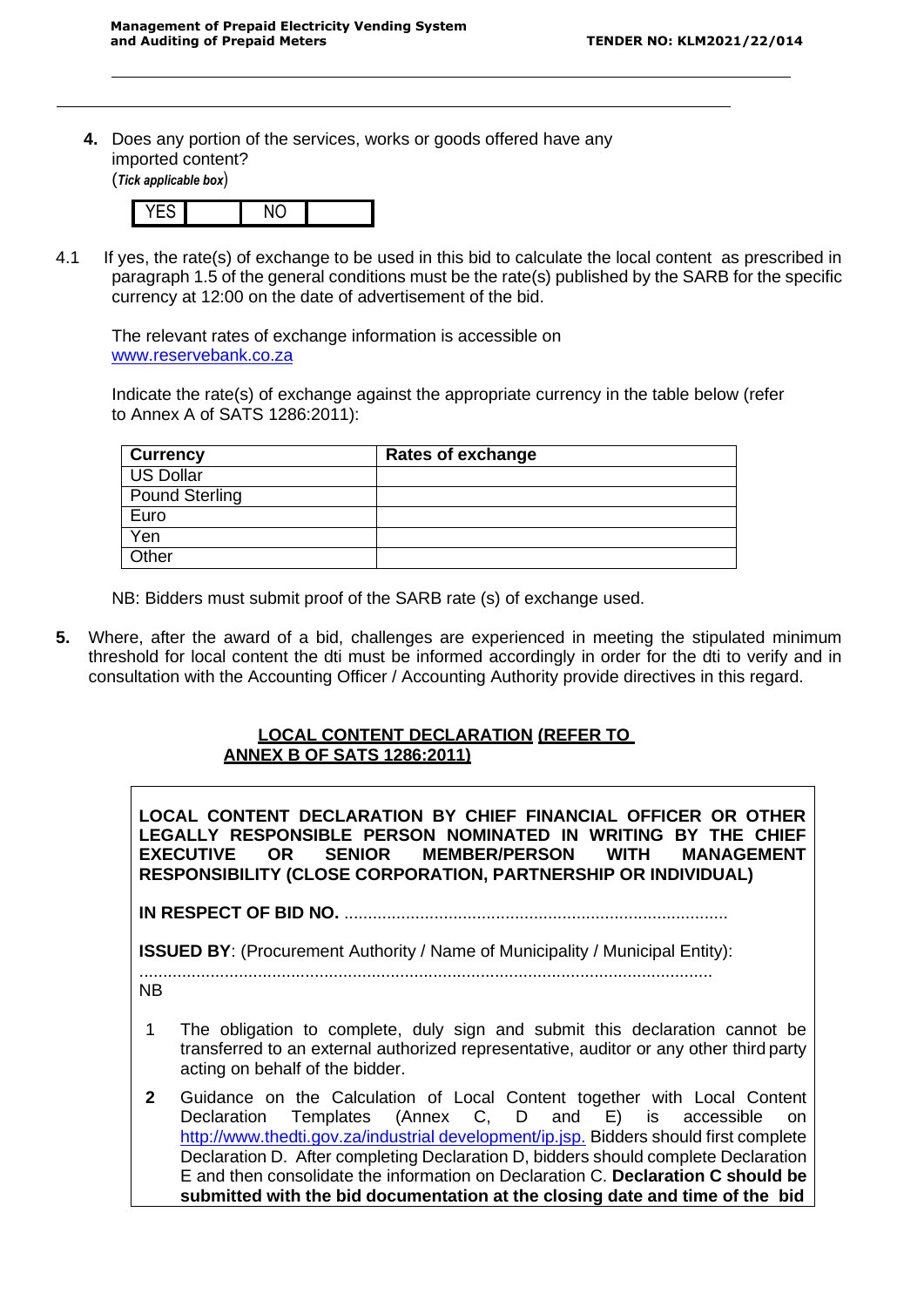**4.** Does any portion of the services, works or goods offered have any imported content? (*Tick applicable box*)



4.1 If yes, the rate(s) of exchange to be used in this bid to calculate the local content as prescribed in paragraph 1.5 of the general conditions must be the rate(s) published by the SARB for the specific currency at 12:00 on the date of advertisement of the bid.

The relevant rates of exchange information is accessible on [www.reservebank.co.za](http://www.reservebank.co.za/)

Indicate the rate(s) of exchange against the appropriate currency in the table below (refer to Annex A of SATS 1286:2011):

| <b>Currency</b>       | <b>Rates of exchange</b> |
|-----------------------|--------------------------|
| US Dollar             |                          |
| <b>Pound Sterling</b> |                          |
| Euro                  |                          |
| Yen                   |                          |
| Other                 |                          |

NB: Bidders must submit proof of the SARB rate (s) of exchange used.

**5.** Where, after the award of a bid, challenges are experienced in meeting the stipulated minimum threshold for local content the dti must be informed accordingly in order for the dti to verify and in consultation with the Accounting Officer / Accounting Authority provide directives in this regard.

## **LOCAL CONTENT DECLARATION (REFER TO ANNEX B OF SATS 1286:2011)**

**LOCAL CONTENT DECLARATION BY CHIEF FINANCIAL OFFICER OR OTHER LEGALLY RESPONSIBLE PERSON NOMINATED IN WRITING BY THE CHIEF EXECUTIVE OR SENIOR MEMBER/PERSON WITH MANAGEMENT RESPONSIBILITY (CLOSE CORPORATION, PARTNERSHIP OR INDIVIDUAL)**

**IN RESPECT OF BID NO.** .................................................................................

**ISSUED BY:** (Procurement Authority / Name of Municipality / Municipal Entity):

.........................................................................................................................

NB

- 1 The obligation to complete, duly sign and submit this declaration cannot be transferred to an external authorized representative, auditor or any other third party acting on behalf of the bidder.
- **2** Guidance on the Calculation of Local Content together with Local Content Declaration Templates (Annex C, D and E) is accessible on [http://www.thedti.gov.za/industrial](http://www.thedti.gov.za/industrial%20development/ip.jsp) development/ip.jsp. Bidders should first complete Declaration D. After completing Declaration D, bidders should complete Declaration E and then consolidate the information on Declaration C. **Declaration C should be submitted with the bid documentation at the closing date and time of the bid**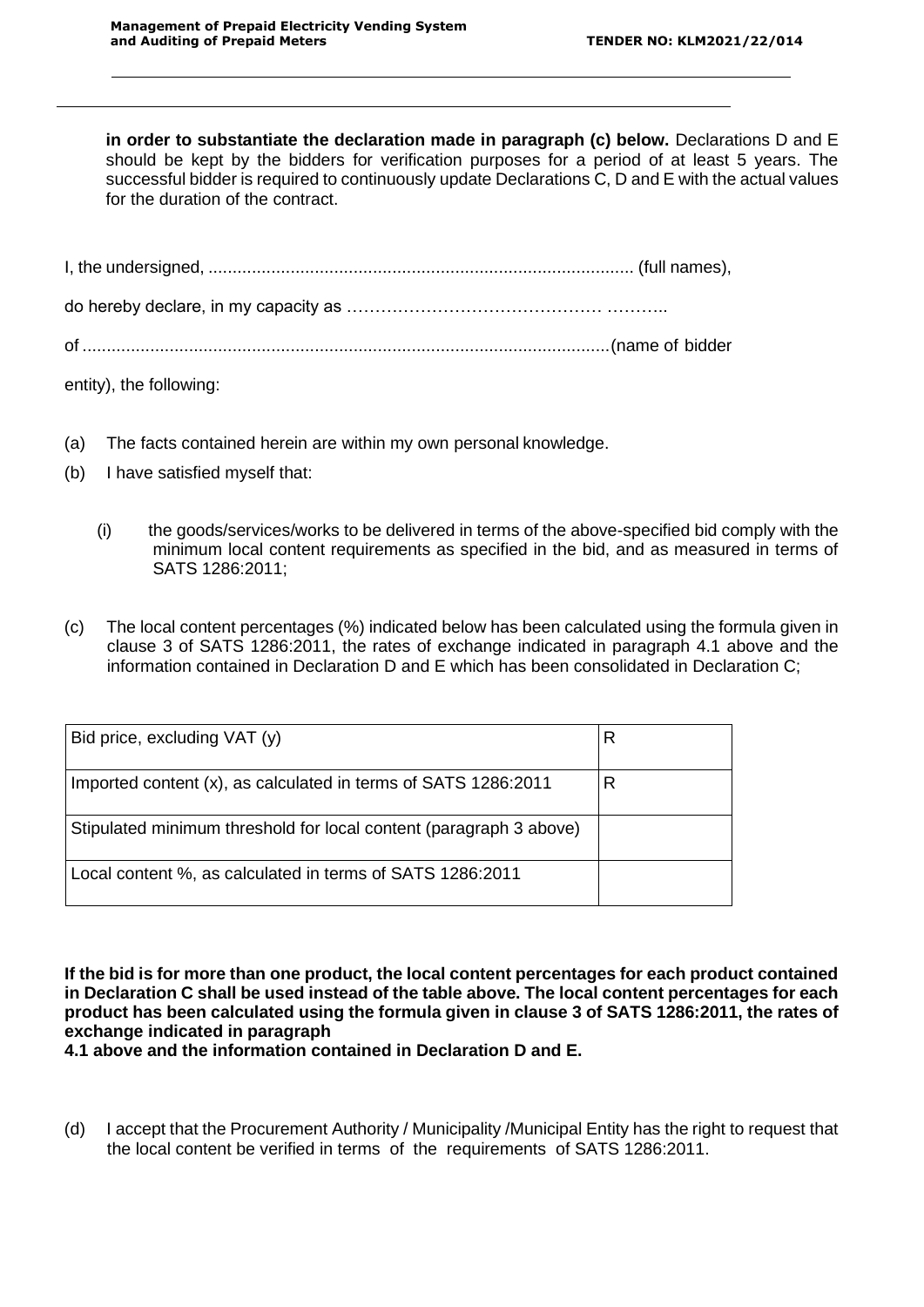in order to substantiate the declaration made in paragraph (c) below. Declarations D and E should be kept by the bidders for verification purposes for a period of at least 5 years. The successful bidder is required to continuously update Declarations C, D and E with the actual values for the duration of the contract.

| entity), the following: |  |
|-------------------------|--|

- (a) The facts contained herein are within my own personal knowledge.
- (b) I have satisfied myself that:
	- (i) the goods/services/works to be delivered in terms of the above-specified bid comply with the minimum local content requirements as specified in the bid, and as measured in terms of SATS 1286:2011;
- (c) The local content percentages (%) indicated below has been calculated using the formula given in clause 3 of SATS 1286:2011, the rates of exchange indicated in paragraph 4.1 above and the information contained in Declaration D and E which has been consolidated in Declaration C;

| Bid price, excluding VAT (y)                                       |   |
|--------------------------------------------------------------------|---|
| Imported content (x), as calculated in terms of SATS 1286:2011     | R |
| Stipulated minimum threshold for local content (paragraph 3 above) |   |
| Local content %, as calculated in terms of SATS 1286:2011          |   |

**If the bid is for more than one product, the local content percentages for each product contained in Declaration C shall be used instead of the table above. The local content percentages for each product has been calculated using the formula given in clause 3 of SATS 1286:2011, the rates of exchange indicated in paragraph**

**4.1 above and the information contained in Declaration D and E.**

(d) I accept that the Procurement Authority / Municipality /Municipal Entity has the right to request that the local content be verified in terms of the requirements of SATS 1286:2011.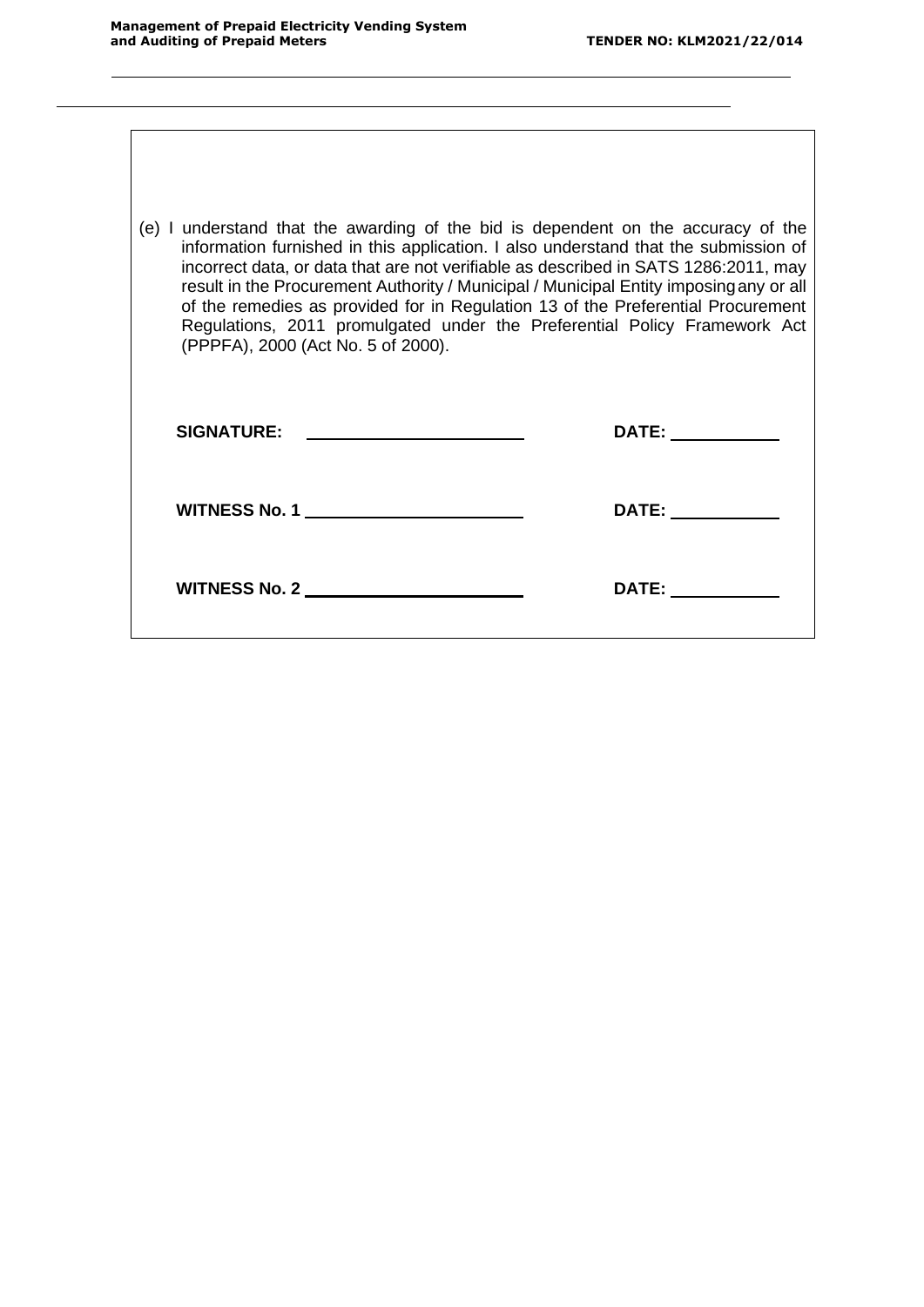| (e) I understand that the awarding of the bid is dependent on the accuracy of the<br>information furnished in this application. I also understand that the submission of<br>incorrect data, or data that are not verifiable as described in SATS 1286:2011, may<br>result in the Procurement Authority / Municipal / Municipal Entity imposing any or all<br>of the remedies as provided for in Regulation 13 of the Preferential Procurement<br>Regulations, 2011 promulgated under the Preferential Policy Framework Act<br>(PPPFA), 2000 (Act No. 5 of 2000). |                    |  |
|------------------------------------------------------------------------------------------------------------------------------------------------------------------------------------------------------------------------------------------------------------------------------------------------------------------------------------------------------------------------------------------------------------------------------------------------------------------------------------------------------------------------------------------------------------------|--------------------|--|
| SIGNATURE: _______________________                                                                                                                                                                                                                                                                                                                                                                                                                                                                                                                               | DATE: ____________ |  |
| WITNESS No. 1 _________________________                                                                                                                                                                                                                                                                                                                                                                                                                                                                                                                          |                    |  |
| WITNESS No. 2 _______________________                                                                                                                                                                                                                                                                                                                                                                                                                                                                                                                            |                    |  |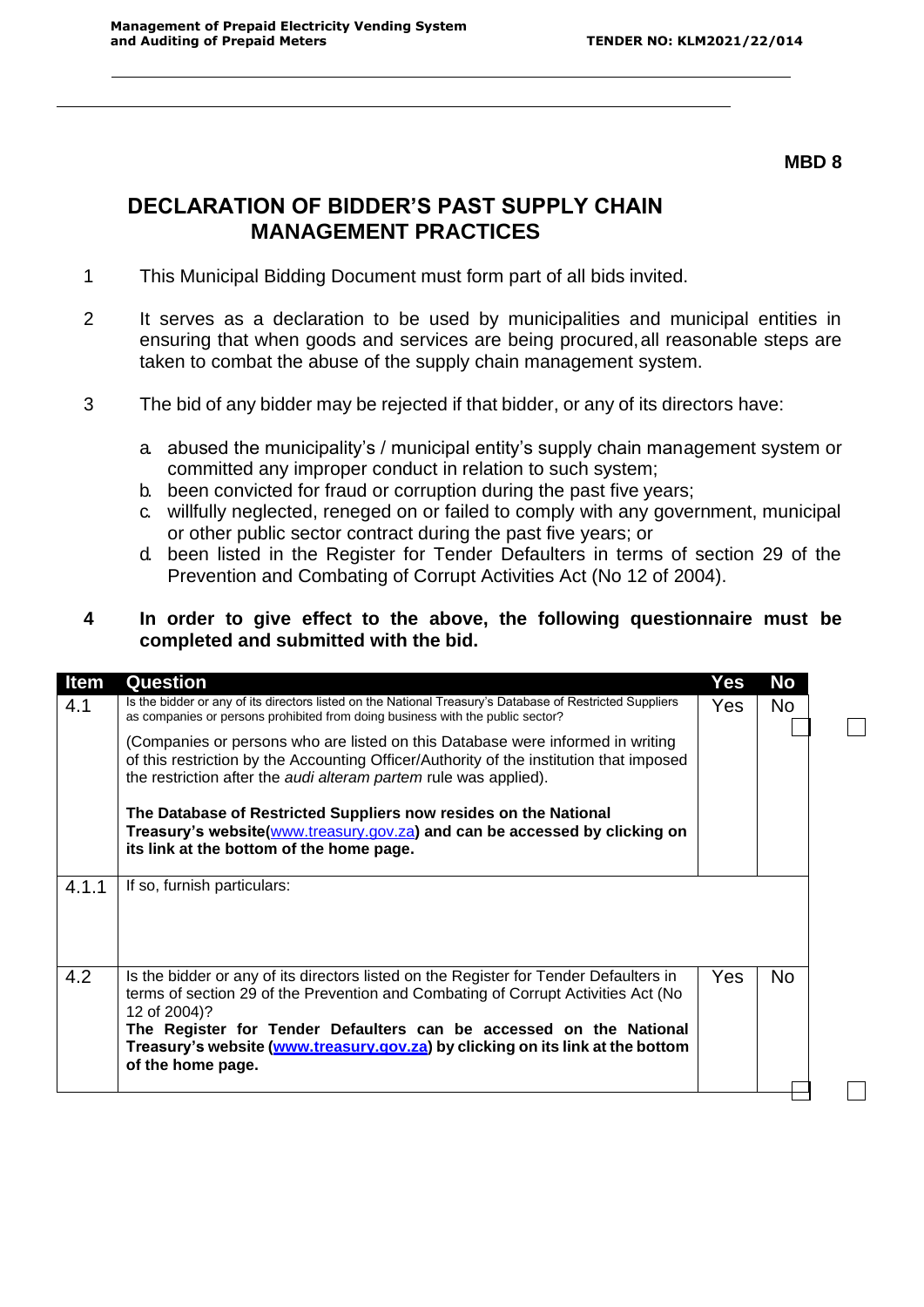#### **MBD 8**

 $\Box$ 

# **DECLARATION OF BIDDER'S PAST SUPPLY CHAIN MANAGEMENT PRACTICES**

- 1 This Municipal Bidding Document must form part of all bids invited.
- 2 It serves as a declaration to be used by municipalities and municipal entities in ensuring that when goods and services are being procured,all reasonable steps are taken to combat the abuse of the supply chain management system.
- 3 The bid of any bidder may be rejected if that bidder, or any of its directors have:
	- a. abused the municipality's / municipal entity's supply chain management system or committed any improper conduct in relation to such system;
	- b. been convicted for fraud or corruption during the past five years;
	- c. willfully neglected, reneged on or failed to comply with any government, municipal or other public sector contract during the past five years; or
	- d. been listed in the Register for Tender Defaulters in terms of section 29 of the Prevention and Combating of Corrupt Activities Act (No 12 of 2004).

## **4 In order to give effect to the above, the following questionnaire must be completed and submitted with the bid.**

| Item<br>4.1 | <b>Question</b><br>Is the bidder or any of its directors listed on the National Treasury's Database of Restricted Suppliers<br>as companies or persons prohibited from doing business with the public sector?<br>(Companies or persons who are listed on this Database were informed in writing<br>of this restriction by the Accounting Officer/Authority of the institution that imposed<br>the restriction after the audi alteram partem rule was applied). | Yes<br>Yes. | No<br>No. |
|-------------|----------------------------------------------------------------------------------------------------------------------------------------------------------------------------------------------------------------------------------------------------------------------------------------------------------------------------------------------------------------------------------------------------------------------------------------------------------------|-------------|-----------|
| 4.1.1       | The Database of Restricted Suppliers now resides on the National<br>Treasury's website(www.treasury.gov.za) and can be accessed by clicking on<br>its link at the bottom of the home page.<br>If so, furnish particulars:                                                                                                                                                                                                                                      |             |           |
| 4.2         | Is the bidder or any of its directors listed on the Register for Tender Defaulters in<br>terms of section 29 of the Prevention and Combating of Corrupt Activities Act (No<br>12 of 2004)?<br>The Register for Tender Defaulters can be accessed on the National<br>Treasury's website (www.treasury.gov.za) by clicking on its link at the bottom<br>of the home page.                                                                                        | Yes.        | No.       |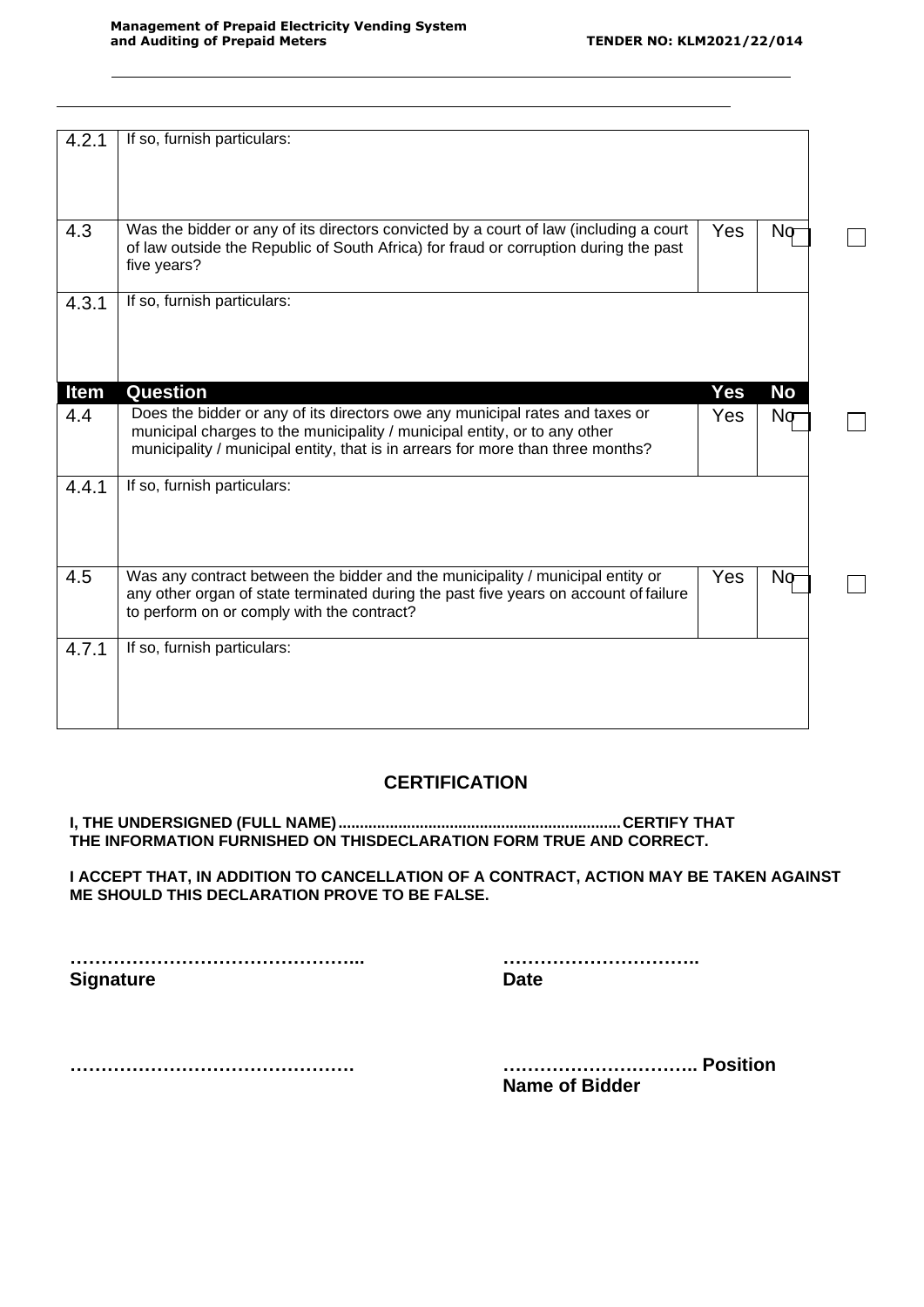$\Box$ 

 $\Box$ 

| 4.2.1       | If so, furnish particulars:                                                                                                                                                                                                                  |     |           |
|-------------|----------------------------------------------------------------------------------------------------------------------------------------------------------------------------------------------------------------------------------------------|-----|-----------|
| 4.3         | Was the bidder or any of its directors convicted by a court of law (including a court<br>of law outside the Republic of South Africa) for fraud or corruption during the past<br>five years?                                                 | Yes | Nσ        |
| 4.3.1       | If so, furnish particulars:                                                                                                                                                                                                                  |     |           |
| <b>Item</b> | Question                                                                                                                                                                                                                                     | Yes | <b>No</b> |
| 4.4         | Does the bidder or any of its directors owe any municipal rates and taxes or<br>municipal charges to the municipality / municipal entity, or to any other<br>municipality / municipal entity, that is in arrears for more than three months? | Yes | Nσ        |
| 4.4.1       | If so, furnish particulars:                                                                                                                                                                                                                  |     |           |
| 4.5         | Was any contract between the bidder and the municipality / municipal entity or<br>any other organ of state terminated during the past five years on account of failure<br>to perform on or comply with the contract?                         | Yes | Nσ        |
| 4.7.1       | If so, furnish particulars:                                                                                                                                                                                                                  |     |           |

# **CERTIFICATION**

**I, THE UNDERSIGNED (FULL NAME)..................................................................CERTIFY THAT THE INFORMATION FURNISHED ON THISDECLARATION FORM TRUE AND CORRECT.**

**I ACCEPT THAT, IN ADDITION TO CANCELLATION OF A CONTRACT, ACTION MAY BE TAKEN AGAINST ME SHOULD THIS DECLARATION PROVE TO BE FALSE.**

**………………………………………... ………………………….. Signature Date** 

**………………………………………. ………………………….. Position Name of Bidder**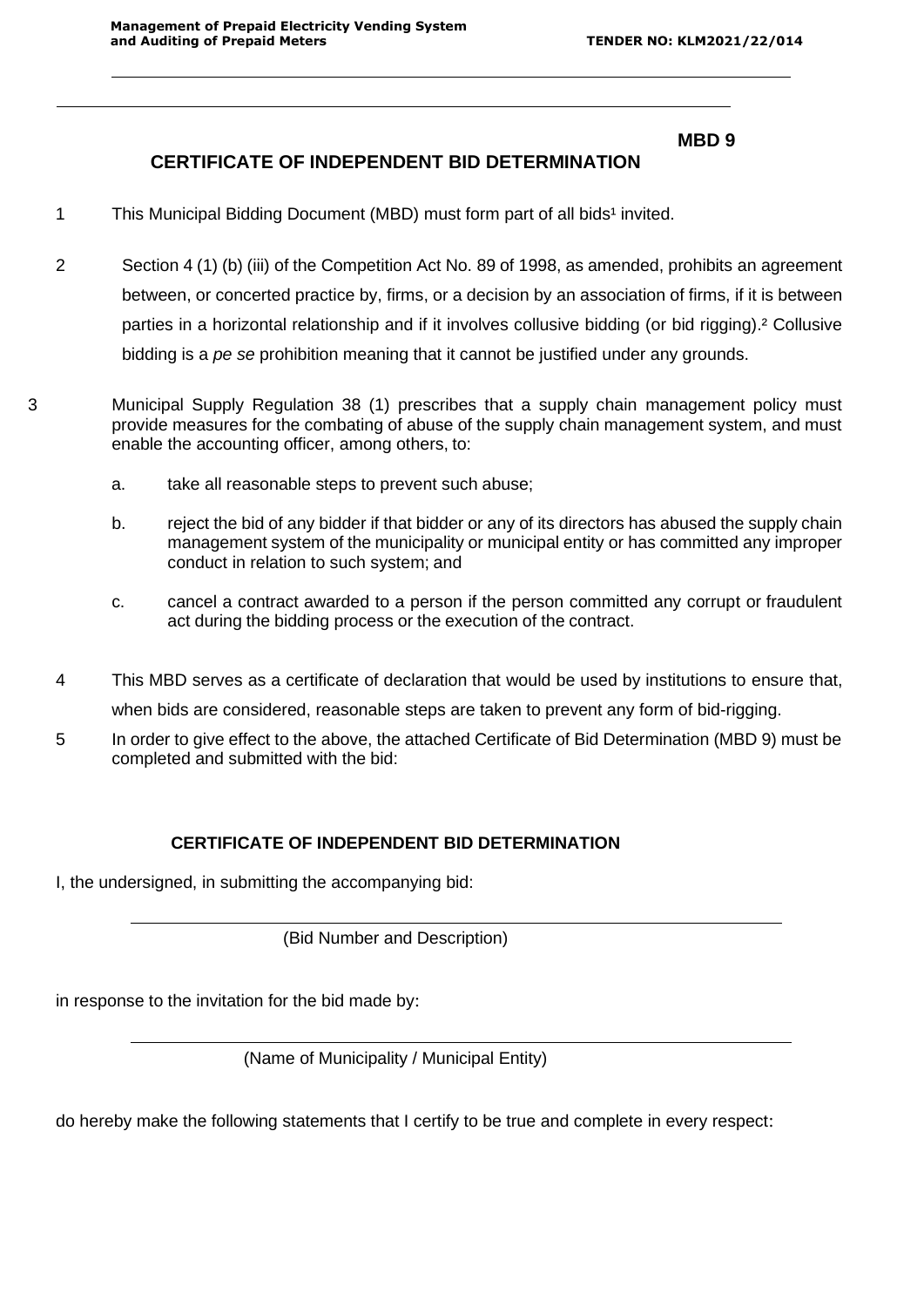## **MBD 9**

# **CERTIFICATE OF INDEPENDENT BID DETERMINATION**

- 1 This Municipal Bidding Document (MBD) must form part of all bids<sup>1</sup> invited.
- 2 Section 4 (1) (b) (iii) of the Competition Act No. 89 of 1998, as amended, prohibits an agreement between, or concerted practice by, firms, or a decision by an association of firms, if it is between parties in a horizontal relationship and if it involves collusive bidding (or bid rigging).² Collusive bidding is a *pe se* prohibition meaning that it cannot be justified under any grounds.
- 3 Municipal Supply Regulation 38 (1) prescribes that a supply chain management policy must provide measures for the combating of abuse of the supply chain management system, and must enable the accounting officer, among others, to:
	- a. take all reasonable steps to prevent such abuse;
	- b. reject the bid of any bidder if that bidder or any of its directors has abused the supply chain management system of the municipality or municipal entity or has committed any improper conduct in relation to such system; and
	- c. cancel a contract awarded to a person if the person committed any corrupt or fraudulent act during the bidding process or the execution of the contract.
	- 4 This MBD serves as a certificate of declaration that would be used by institutions to ensure that, when bids are considered, reasonable steps are taken to prevent any form of bid-rigging.
	- 5 In order to give effect to the above, the attached Certificate of Bid Determination (MBD 9) must be completed and submitted with the bid:

## **CERTIFICATE OF INDEPENDENT BID DETERMINATION**

I, the undersigned, in submitting the accompanying bid:

(Bid Number and Description)

in response to the invitation for the bid made by:

(Name of Municipality / Municipal Entity)

do hereby make the following statements that I certify to be true and complete in every respect: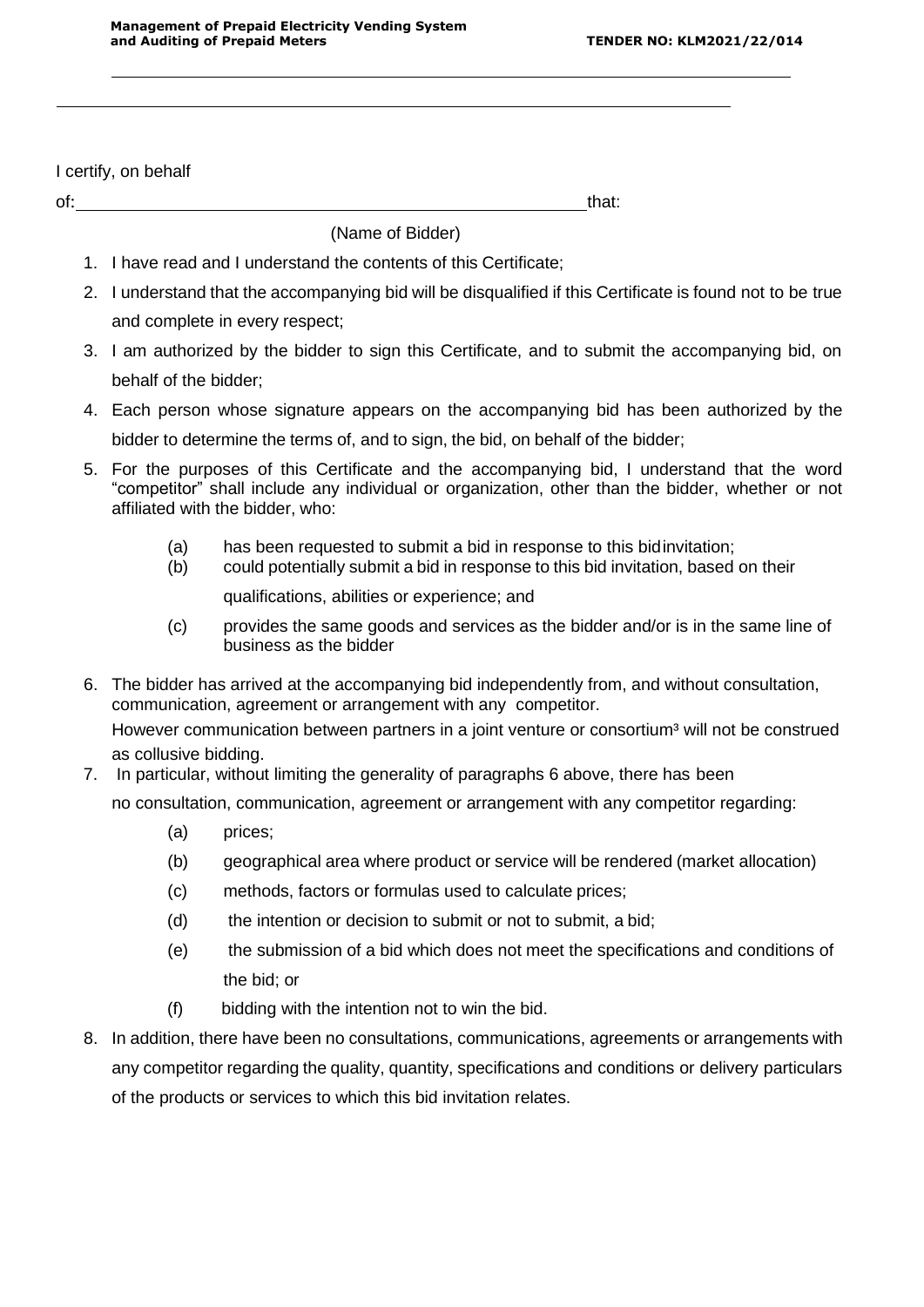I certify, on behalf

of: that: that: that: that: that: that: that: that: that: that: that: that: that: that: that: that: that: that: that: that: that: that: that: that: that: that: that: that: that: that: that: that: that: that: that: that: th

(Name of Bidder)

- 1. I have read and I understand the contents of this Certificate;
- 2. I understand that the accompanying bid will be disqualified if this Certificate is found not to be true and complete in every respect;
- 3. I am authorized by the bidder to sign this Certificate, and to submit the accompanying bid, on behalf of the bidder;
- 4. Each person whose signature appears on the accompanying bid has been authorized by the bidder to determine the terms of, and to sign, the bid, on behalf of the bidder;
- 5. For the purposes of this Certificate and the accompanying bid, I understand that the word "competitor" shall include any individual or organization, other than the bidder, whether or not affiliated with the bidder, who:
	- (a) has been requested to submit a bid in response to this bidinvitation;
	- (b) could potentially submit a bid in response to this bid invitation, based on their

qualifications, abilities or experience; and

- (c) provides the same goods and services as the bidder and/or is in the same line of business as the bidder
- 6. The bidder has arrived at the accompanying bid independently from, and without consultation, communication, agreement or arrangement with any competitor.

However communication between partners in a joint venture or consortium<sup>3</sup> will not be construed as collusive bidding.

7. In particular, without limiting the generality of paragraphs 6 above, there has been

no consultation, communication, agreement or arrangement with any competitor regarding:

- (a) prices;
- (b) geographical area where product or service will be rendered (market allocation)
- (c) methods, factors or formulas used to calculate prices;
- (d) the intention or decision to submit or not to submit, a bid;
- (e) the submission of a bid which does not meet the specifications and conditions of the bid; or
- (f) bidding with the intention not to win the bid.
- 8. In addition, there have been no consultations, communications, agreements or arrangements with any competitor regarding the quality, quantity, specifications and conditions or delivery particulars of the products or services to which this bid invitation relates.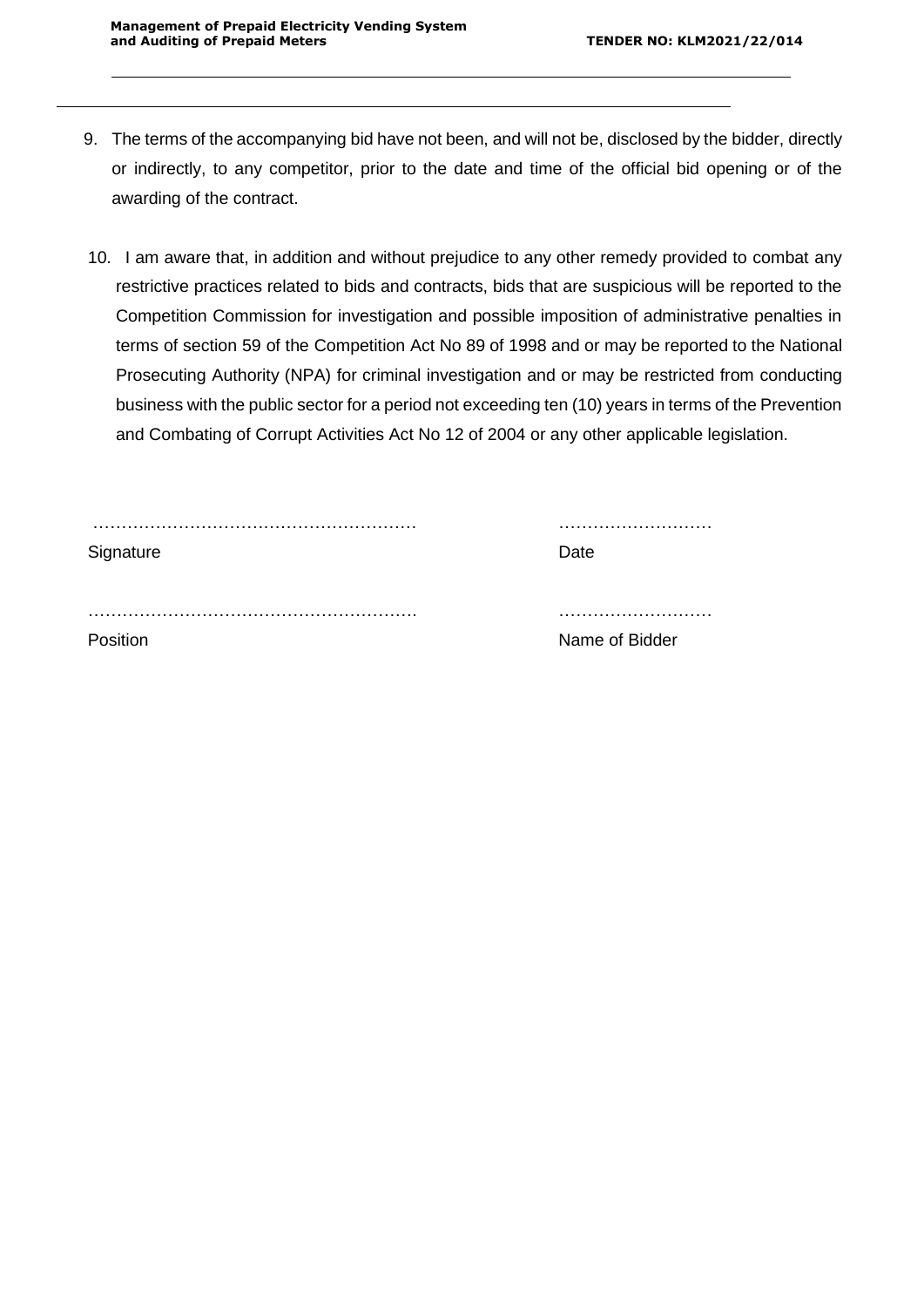- 9. The terms of the accompanying bid have not been, and will not be, disclosed by the bidder, directly or indirectly, to any competitor, prior to the date and time of the official bid opening or of the awarding of the contract.
- 10. I am aware that, in addition and without prejudice to any other remedy provided to combat any restrictive practices related to bids and contracts, bids that are suspicious will be reported to the Competition Commission for investigation and possible imposition of administrative penalties in terms of section 59 of the Competition Act No 89 of 1998 and or may be reported to the National Prosecuting Authority (NPA) for criminal investigation and or may be restricted from conducting business with the public sector for a period not exceeding ten (10) years in terms of the Prevention and Combating of Corrupt Activities Act No 12 of 2004 or any other applicable legislation.

| Signature | Date           |
|-----------|----------------|
|           |                |
| Position  | Name of Bidder |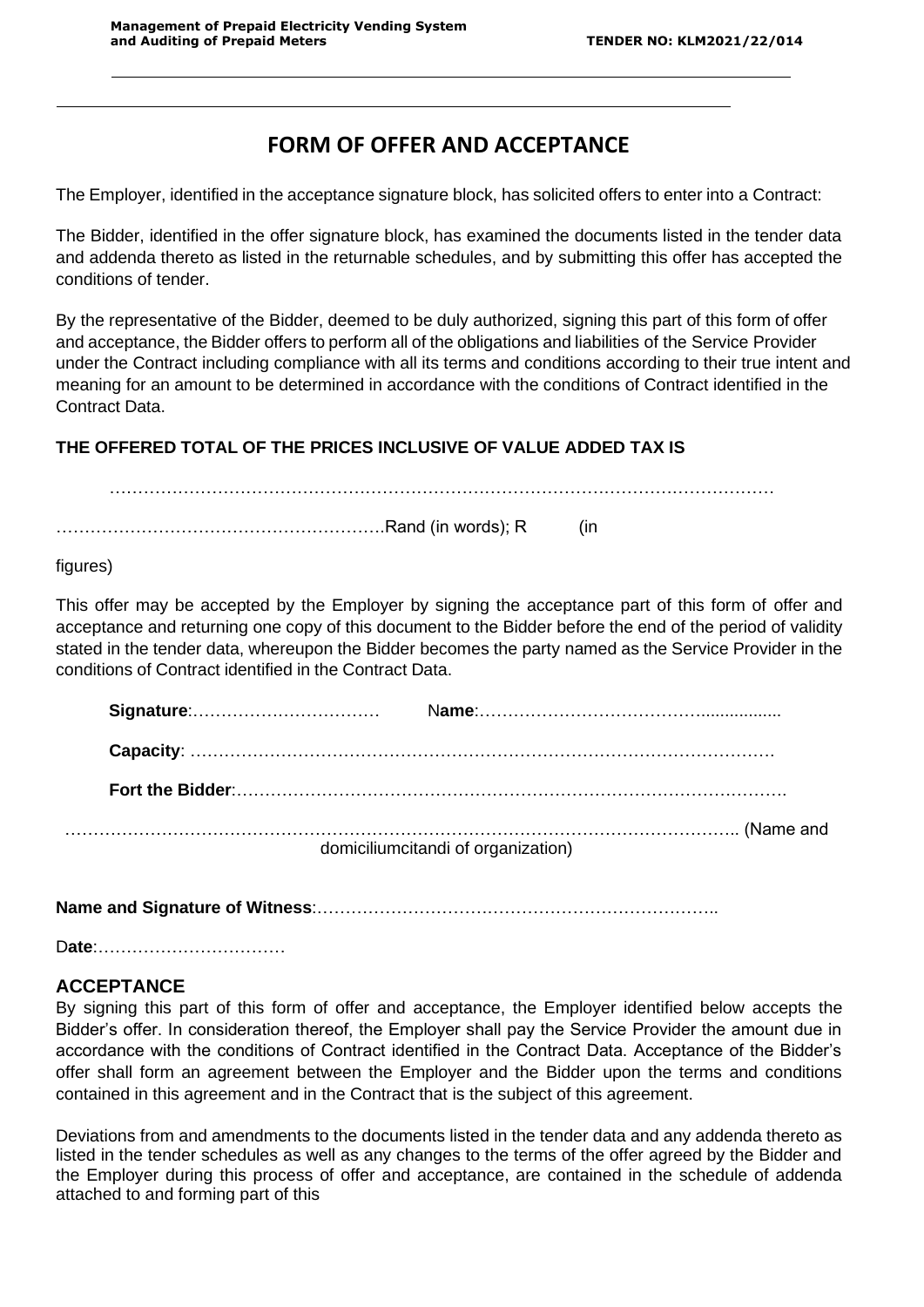# **FORM OF OFFER AND ACCEPTANCE**

The Employer, identified in the acceptance signature block, has solicited offers to enter into a Contract:

The Bidder, identified in the offer signature block, has examined the documents listed in the tender data and addenda thereto as listed in the returnable schedules, and by submitting this offer has accepted the conditions of tender.

By the representative of the Bidder, deemed to be duly authorized, signing this part of this form of offer and acceptance, the Bidder offers to perform all of the obligations and liabilities of the Service Provider under the Contract including compliance with all its terms and conditions according to their true intent and meaning for an amount to be determined in accordance with the conditions of Contract identified in the Contract Data.

………………………………………………………………………………………………………

# **THE OFFERED TOTAL OF THE PRICES INCLUSIVE OF VALUE ADDED TAX IS**

………………………………………………….Rand (in words); R (in

figures)

This offer may be accepted by the Employer by signing the acceptance part of this form of offer and acceptance and returning one copy of this document to the Bidder before the end of the period of validity stated in the tender data, whereupon the Bidder becomes the party named as the Service Provider in the conditions of Contract identified in the Contract Data.

|  | domiciliumcitandi of organization) |
|--|------------------------------------|

**Name and Signature of Witness**:……………………………………………………………..

D**ate**:……………………………

# **ACCEPTANCE**

By signing this part of this form of offer and acceptance, the Employer identified below accepts the Bidder's offer. In consideration thereof, the Employer shall pay the Service Provider the amount due in accordance with the conditions of Contract identified in the Contract Data. Acceptance of the Bidder's offer shall form an agreement between the Employer and the Bidder upon the terms and conditions contained in this agreement and in the Contract that is the subject of this agreement.

Deviations from and amendments to the documents listed in the tender data and any addenda thereto as listed in the tender schedules as well as any changes to the terms of the offer agreed by the Bidder and the Employer during this process of offer and acceptance, are contained in the schedule of addenda attached to and forming part of this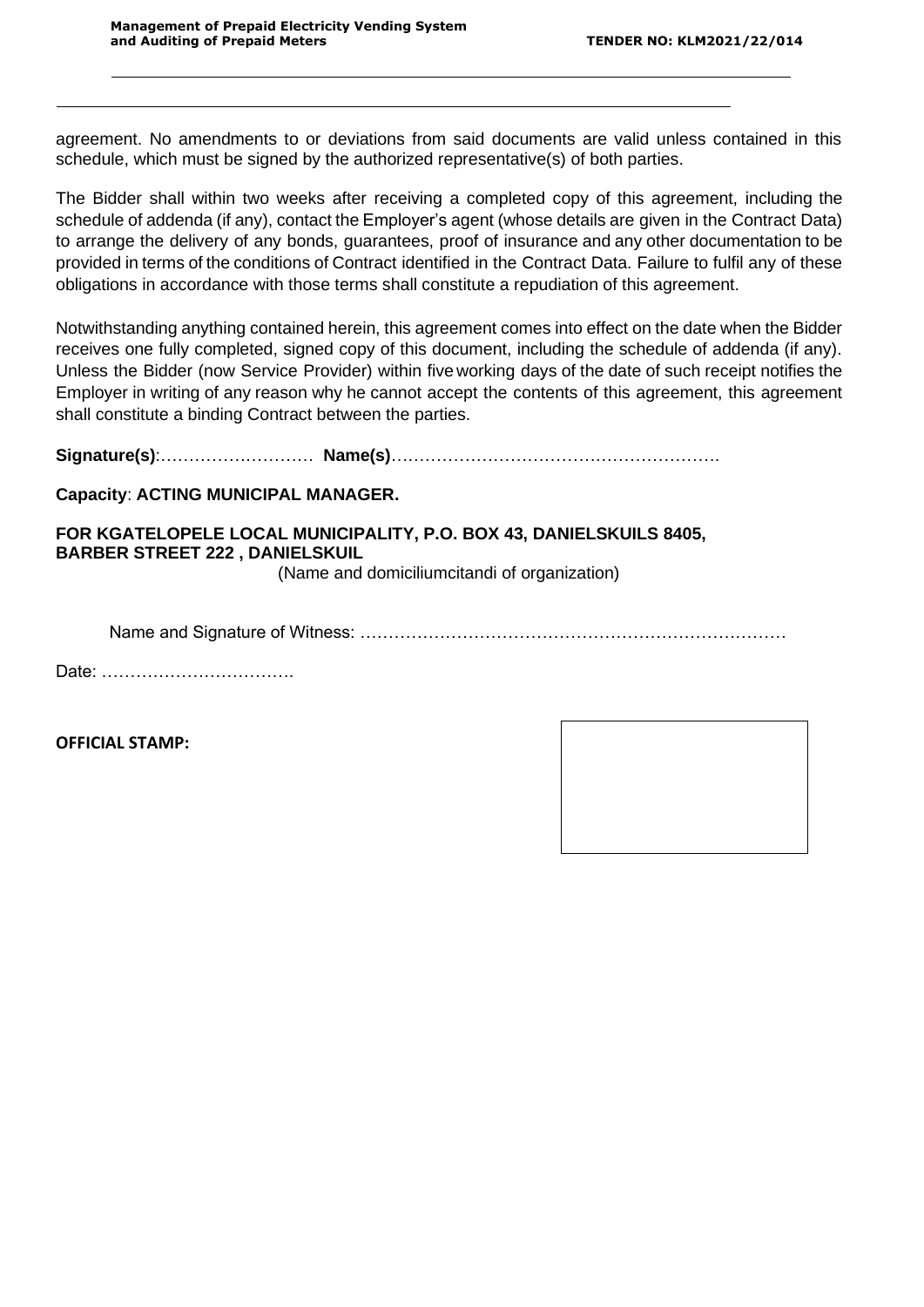agreement. No amendments to or deviations from said documents are valid unless contained in this schedule, which must be signed by the authorized representative(s) of both parties.

The Bidder shall within two weeks after receiving a completed copy of this agreement, including the schedule of addenda (if any), contact the Employer's agent (whose details are given in the Contract Data) to arrange the delivery of any bonds, guarantees, proof of insurance and any other documentation to be provided in terms of the conditions of Contract identified in the Contract Data. Failure to fulfil any of these obligations in accordance with those terms shall constitute a repudiation of this agreement.

Notwithstanding anything contained herein, this agreement comes into effect on the date when the Bidder receives one fully completed, signed copy of this document, including the schedule of addenda (if any). Unless the Bidder (now Service Provider) within five working days of the date of such receipt notifies the Employer in writing of any reason why he cannot accept the contents of this agreement, this agreement shall constitute a binding Contract between the parties.

**Signature(s)**:……………………… **Name(s)**………………………………………………….

## **Capacity**: **ACTING MUNICIPAL MANAGER.**

# **FOR KGATELOPELE LOCAL MUNICIPALITY, P.O. BOX 43, DANIELSKUILS 8405, BARBER STREET 222 , DANIELSKUIL**

(Name and domiciliumcitandi of organization)

Name and Signature of Witness: …………………………………………………………………

Date: …………………………….

**OFFICIAL STAMP:**

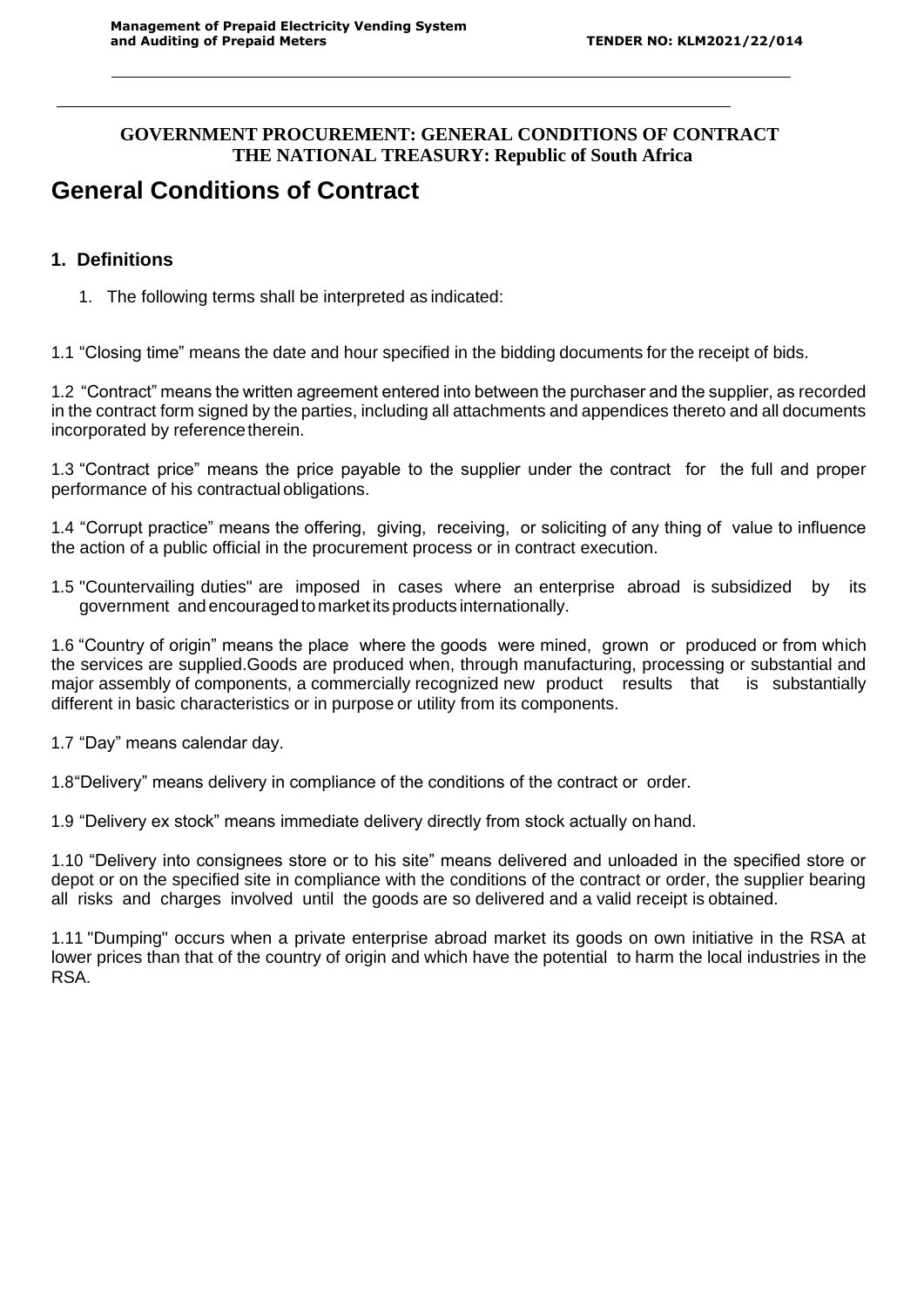# **GOVERNMENT PROCUREMENT: GENERAL CONDITIONS OF CONTRACT THE NATIONAL TREASURY: Republic of South Africa**

# **General Conditions of Contract**

# **1. Definitions**

1. The following terms shall be interpreted as indicated:

1.1 "Closing time" means the date and hour specified in the bidding documents for the receipt of bids.

1.2 "Contract" means the written agreement entered into between the purchaser and the supplier, as recorded in the contract form signed by the parties, including all attachments and appendices thereto and all documents incorporated by reference therein.

1.3 "Contract price" means the price payable to the supplier under the contract for the full and proper performance of his contractual obligations.

1.4 "Corrupt practice" means the offering, giving, receiving, or soliciting of any thing of value to influence the action of a public official in the procurement process or in contract execution.

1.5 "Countervailing duties" are imposed in cases where an enterprise abroad is subsidized by its government and encouraged to marketits products internationally.

1.6 "Country of origin" means the place where the goods were mined, grown or produced or from which the services are supplied.Goods are produced when, through manufacturing, processing or substantial and major assembly of components, a commercially recognized new product results that is substantially different in basic characteristics or in purpose or utility from its components.

1.7 "Day" means calendar day.

1.8"Delivery" means delivery in compliance of the conditions of the contract or order.

1.9 "Delivery ex stock" means immediate delivery directly from stock actually on hand.

1.10 "Delivery into consignees store or to his site" means delivered and unloaded in the specified store or depot or on the specified site in compliance with the conditions of the contract or order, the supplier bearing all risks and charges involved until the goods are so delivered and a valid receipt is obtained.

1.11 "Dumping" occurs when a private enterprise abroad market its goods on own initiative in the RSA at lower prices than that of the country of origin and which have the potential to harm the local industries in the RSA.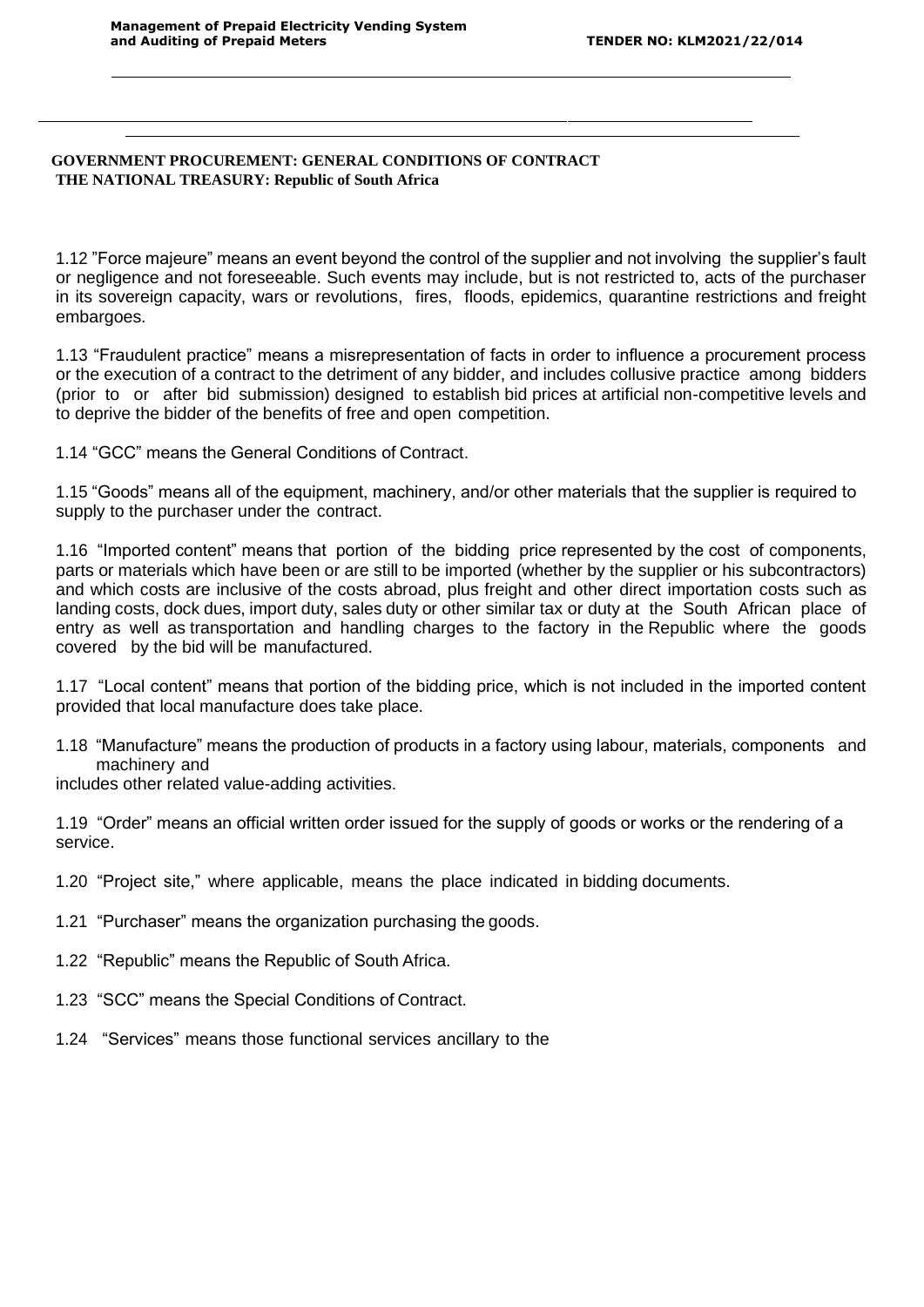#### **GOVERNMENT PROCUREMENT: GENERAL CONDITIONS OF CONTRACT THE NATIONAL TREASURY: Republic of South Africa**

1.12 "Force majeure" means an event beyond the control of the supplier and not involving the supplier's fault or negligence and not foreseeable. Such events may include, but is not restricted to, acts of the purchaser in its sovereign capacity, wars or revolutions, fires, floods, epidemics, quarantine restrictions and freight embargoes.

1.13 "Fraudulent practice" means a misrepresentation of facts in order to influence a procurement process or the execution of a contract to the detriment of any bidder, and includes collusive practice among bidders (prior to or after bid submission) designed to establish bid prices at artificial non-competitive levels and to deprive the bidder of the benefits of free and open competition.

1.14 "GCC" means the General Conditions of Contract.

1.15 "Goods" means all of the equipment, machinery, and/or other materials that the supplier is required to supply to the purchaser under the contract.

1.16 "Imported content" means that portion of the bidding price represented by the cost of components, parts or materials which have been or are still to be imported (whether by the supplier or his subcontractors) and which costs are inclusive of the costs abroad, plus freight and other direct importation costs such as landing costs, dock dues, import duty, sales duty or other similar tax or duty at the South African place of entry as well as transportation and handling charges to the factory in the Republic where the goods covered by the bid will be manufactured.

1.17 "Local content" means that portion of the bidding price, which is not included in the imported content provided that local manufacture does take place.

1.18 "Manufacture" means the production of products in a factory using labour, materials, components and machinery and

includes other related value-adding activities.

1.19 "Order" means an official written order issued for the supply of goods or works or the rendering of a service.

- 1.20 "Project site," where applicable, means the place indicated in bidding documents.
- 1.21 "Purchaser" means the organization purchasing the goods.
- 1.22 "Republic" means the Republic of South Africa.
- 1.23 "SCC" means the Special Conditions of Contract.
- 1.24 "Services" means those functional services ancillary to the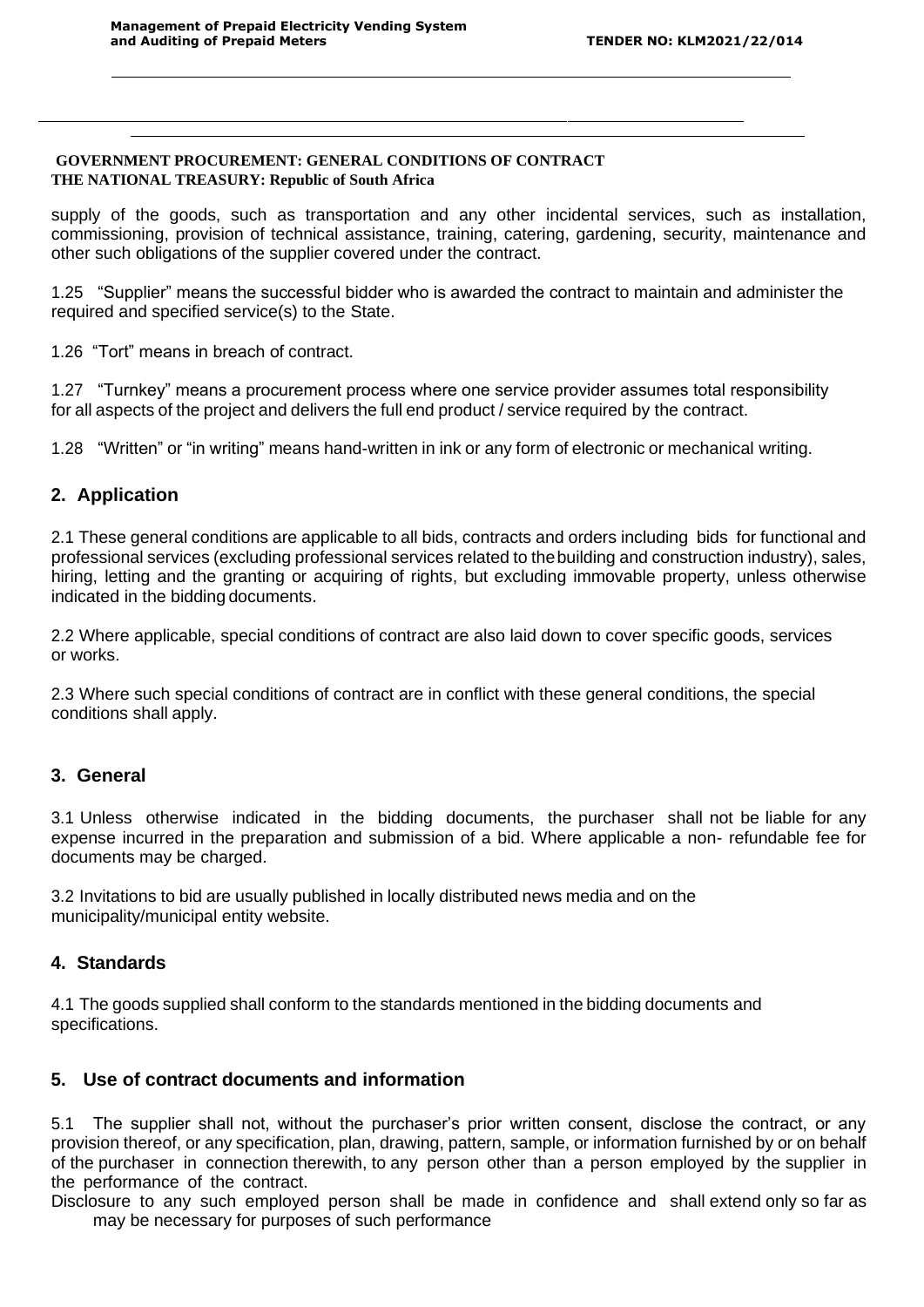#### **GOVERNMENT PROCUREMENT: GENERAL CONDITIONS OF CONTRACT THE NATIONAL TREASURY: Republic of South Africa**

supply of the goods, such as transportation and any other incidental services, such as installation, commissioning, provision of technical assistance, training, catering, gardening, security, maintenance and other such obligations of the supplier covered under the contract.

1.25 "Supplier" means the successful bidder who is awarded the contract to maintain and administer the required and specified service(s) to the State.

1.26 "Tort" means in breach of contract.

1.27 "Turnkey" means a procurement process where one service provider assumes total responsibility for all aspects of the project and delivers the full end product / service required by the contract.

1.28 "Written" or "in writing" means hand-written in ink or any form of electronic or mechanical writing.

## **2. Application**

2.1 These general conditions are applicable to all bids, contracts and orders including bids for functional and professional services (excluding professional services related to thebuilding and construction industry), sales, hiring, letting and the granting or acquiring of rights, but excluding immovable property, unless otherwise indicated in the bidding documents.

2.2 Where applicable, special conditions of contract are also laid down to cover specific goods, services or works.

2.3 Where such special conditions of contract are in conflict with these general conditions, the special conditions shall apply.

## **3. General**

3.1 Unless otherwise indicated in the bidding documents, the purchaser shall not be liable for any expense incurred in the preparation and submission of a bid. Where applicable a non- refundable fee for documents may be charged.

3.2 Invitations to bid are usually published in locally distributed news media and on the municipality/municipal entity website.

## **4. Standards**

4.1 The goods supplied shall conform to the standards mentioned in the bidding documents and specifications.

## **5. Use of contract documents and information**

5.1 The supplier shall not, without the purchaser's prior written consent, disclose the contract, or any provision thereof, or any specification, plan, drawing, pattern, sample, or information furnished by or on behalf of the purchaser in connection therewith, to any person other than a person employed by the supplier in the performance of the contract.

Disclosure to any such employed person shall be made in confidence and shall extend only so far as may be necessary for purposes of such performance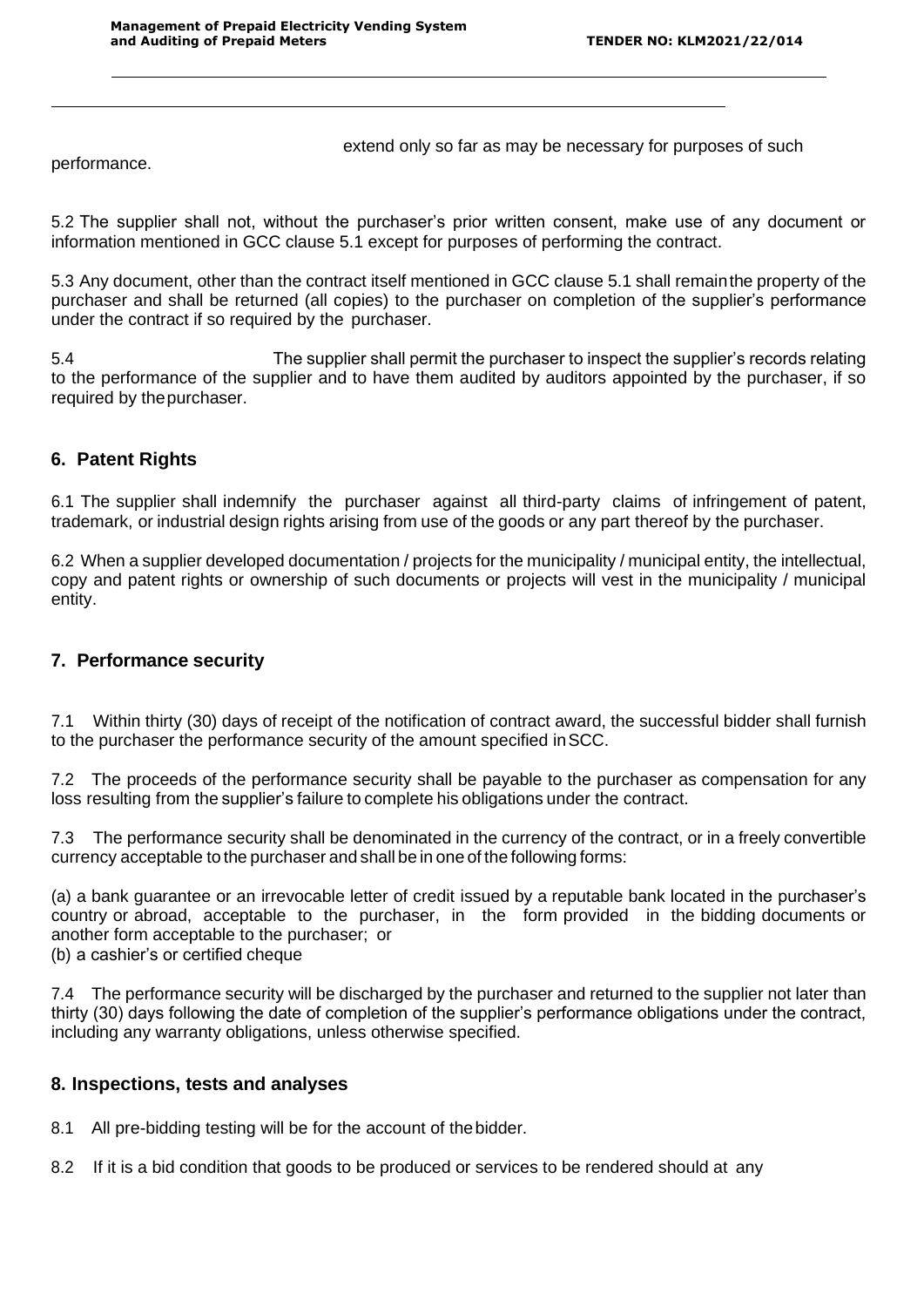extend only so far as may be necessary for purposes of such

performance.

5.2 The supplier shall not, without the purchaser's prior written consent, make use of any document or information mentioned in GCC clause 5.1 except for purposes of performing the contract.

5.3 Any document, other than the contract itself mentioned in GCC clause 5.1 shall remainthe property of the purchaser and shall be returned (all copies) to the purchaser on completion of the supplier's performance under the contract if so required by the purchaser.

5.4 The supplier shall permit the purchaser to inspect the supplier's records relating to the performance of the supplier and to have them audited by auditors appointed by the purchaser, if so required by thepurchaser.

# **6. Patent Rights**

6.1 The supplier shall indemnify the purchaser against all third-party claims of infringement of patent, trademark, or industrial design rights arising from use of the goods or any part thereof by the purchaser.

6.2 When a supplier developed documentation / projects for the municipality / municipal entity, the intellectual, copy and patent rights or ownership of such documents or projects will vest in the municipality / municipal entity.

## **7. Performance security**

7.1 Within thirty (30) days of receipt of the notification of contract award, the successful bidder shall furnish to the purchaser the performance security of the amount specified inSCC.

7.2 The proceeds of the performance security shall be payable to the purchaser as compensation for any loss resulting from the supplier's failure to complete his obligations under the contract.

7.3 The performance security shall be denominated in the currency of the contract, or in a freely convertible currency acceptable to the purchaser and shall be in one of the following forms:

(a) a bank guarantee or an irrevocable letter of credit issued by a reputable bank located in the purchaser's country or abroad, acceptable to the purchaser, in the form provided in the bidding documents or another form acceptable to the purchaser; or

(b) a cashier's or certified cheque

7.4 The performance security will be discharged by the purchaser and returned to the supplier not later than thirty (30) days following the date of completion of the supplier's performance obligations under the contract, including any warranty obligations, unless otherwise specified.

## **8. Inspections, tests and analyses**

8.1 All pre-bidding testing will be for the account of thebidder.

8.2 If it is a bid condition that goods to be produced or services to be rendered should at any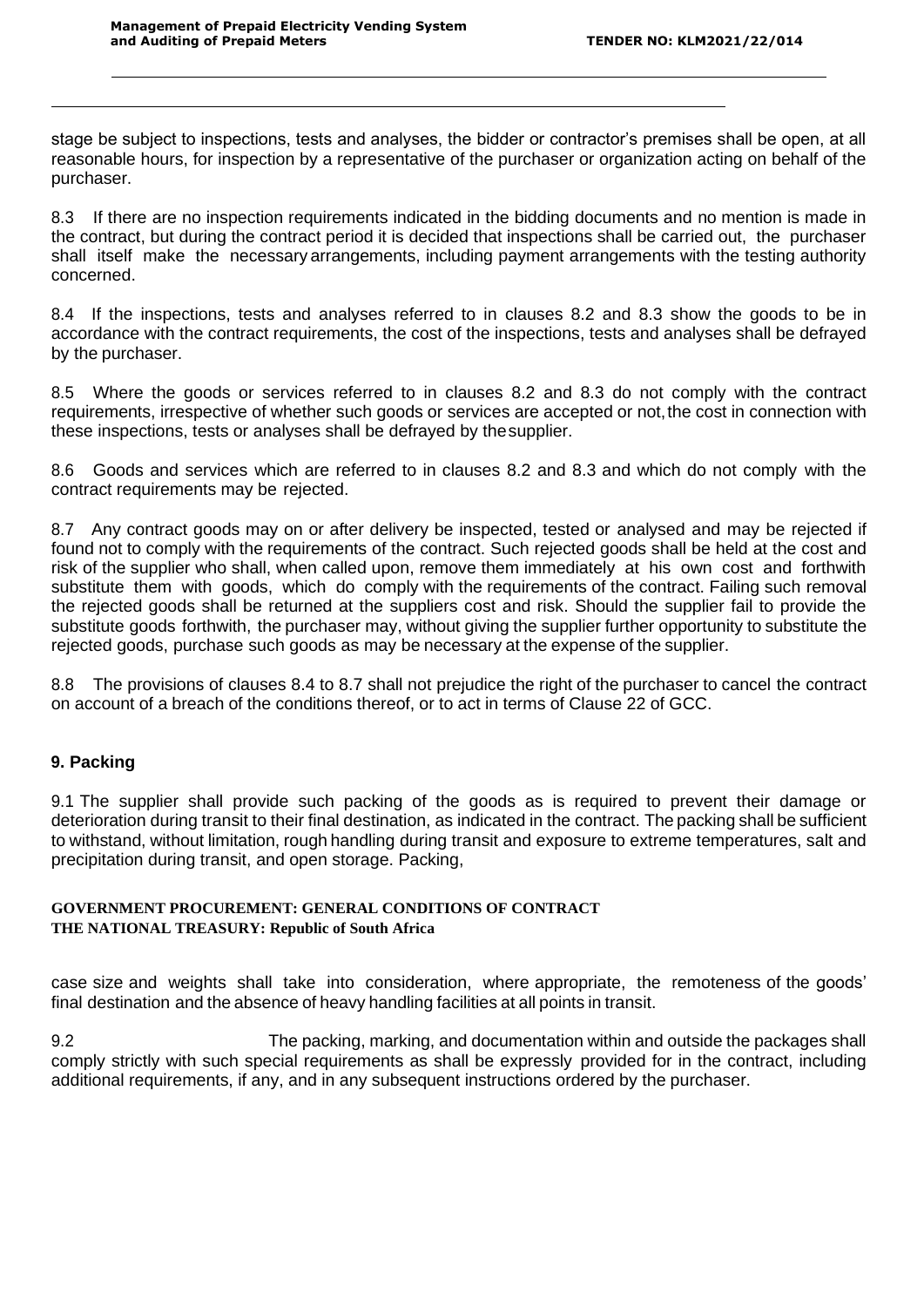stage be subject to inspections, tests and analyses, the bidder or contractor's premises shall be open, at all reasonable hours, for inspection by a representative of the purchaser or organization acting on behalf of the purchaser.

8.3 If there are no inspection requirements indicated in the bidding documents and no mention is made in the contract, but during the contract period it is decided that inspections shall be carried out, the purchaser shall itself make the necessary arrangements, including payment arrangements with the testing authority concerned.

8.4 If the inspections, tests and analyses referred to in clauses 8.2 and 8.3 show the goods to be in accordance with the contract requirements, the cost of the inspections, tests and analyses shall be defrayed by the purchaser.

8.5 Where the goods or services referred to in clauses 8.2 and 8.3 do not comply with the contract requirements, irrespective of whether such goods or services are accepted or not, the cost in connection with these inspections, tests or analyses shall be defrayed by thesupplier.

8.6 Goods and services which are referred to in clauses 8.2 and 8.3 and which do not comply with the contract requirements may be rejected.

8.7 Any contract goods may on or after delivery be inspected, tested or analysed and may be rejected if found not to comply with the requirements of the contract. Such rejected goods shall be held at the cost and risk of the supplier who shall, when called upon, remove them immediately at his own cost and forthwith substitute them with goods, which do comply with the requirements of the contract. Failing such removal the rejected goods shall be returned at the suppliers cost and risk. Should the supplier fail to provide the substitute goods forthwith, the purchaser may, without giving the supplier further opportunity to substitute the rejected goods, purchase such goods as may be necessary at the expense of the supplier.

8.8 The provisions of clauses 8.4 to 8.7 shall not prejudice the right of the purchaser to cancel the contract on account of a breach of the conditions thereof, or to act in terms of Clause 22 of GCC.

## **9. Packing**

9.1 The supplier shall provide such packing of the goods as is required to prevent their damage or deterioration during transit to their final destination, as indicated in the contract. The packing shall be sufficient to withstand, without limitation, rough handling during transit and exposure to extreme temperatures, salt and precipitation during transit, and open storage. Packing,

#### **GOVERNMENT PROCUREMENT: GENERAL CONDITIONS OF CONTRACT THE NATIONAL TREASURY: Republic of South Africa**

case size and weights shall take into consideration, where appropriate, the remoteness of the goods' final destination and the absence of heavy handling facilities at all points in transit.

9.2 The packing, marking, and documentation within and outside the packages shall comply strictly with such special requirements as shall be expressly provided for in the contract, including additional requirements, if any, and in any subsequent instructions ordered by the purchaser.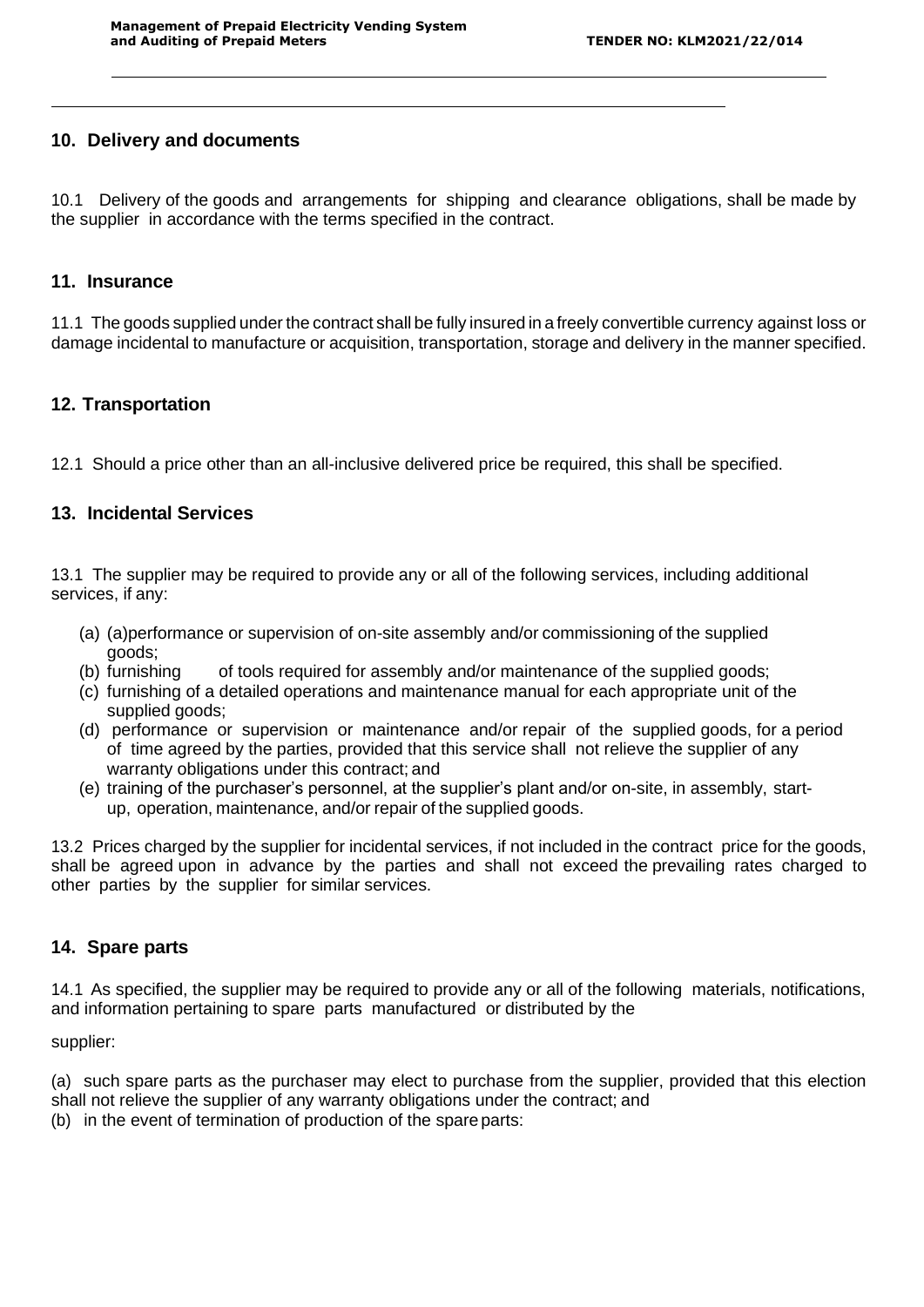## **10. Delivery and documents**

10.1 Delivery of the goods and arrangements for shipping and clearance obligations, shall be made by the supplier in accordance with the terms specified in the contract.

#### **11. Insurance**

11.1 The goods supplied under the contract shall be fully insured in a freely convertible currency against loss or damage incidental to manufacture or acquisition, transportation, storage and delivery in the manner specified.

## **12. Transportation**

12.1 Should a price other than an all-inclusive delivered price be required, this shall be specified.

## **13. Incidental Services**

13.1 The supplier may be required to provide any or all of the following services, including additional services, if any:

- (a) (a)performance or supervision of on-site assembly and/or commissioning of the supplied goods;<br>(b) furnishing
- of tools required for assembly and/or maintenance of the supplied goods;
- (c) furnishing of a detailed operations and maintenance manual for each appropriate unit of the supplied goods;
- (d) performance or supervision or maintenance and/or repair of the supplied goods, for a period of time agreed by the parties, provided that this service shall not relieve the supplier of any warranty obligations under this contract; and
- (e) training of the purchaser's personnel, at the supplier's plant and/or on-site, in assembly, startup, operation, maintenance, and/or repair of the supplied goods.

13.2 Prices charged by the supplier for incidental services, if not included in the contract price for the goods, shall be agreed upon in advance by the parties and shall not exceed the prevailing rates charged to other parties by the supplier for similar services.

## **14. Spare parts**

14.1 As specified, the supplier may be required to provide any or all of the following materials, notifications, and information pertaining to spare parts manufactured or distributed by the

supplier:

(a) such spare parts as the purchaser may elect to purchase from the supplier, provided that this election shall not relieve the supplier of any warranty obligations under the contract; and

(b) in the event of termination of production of the spareparts: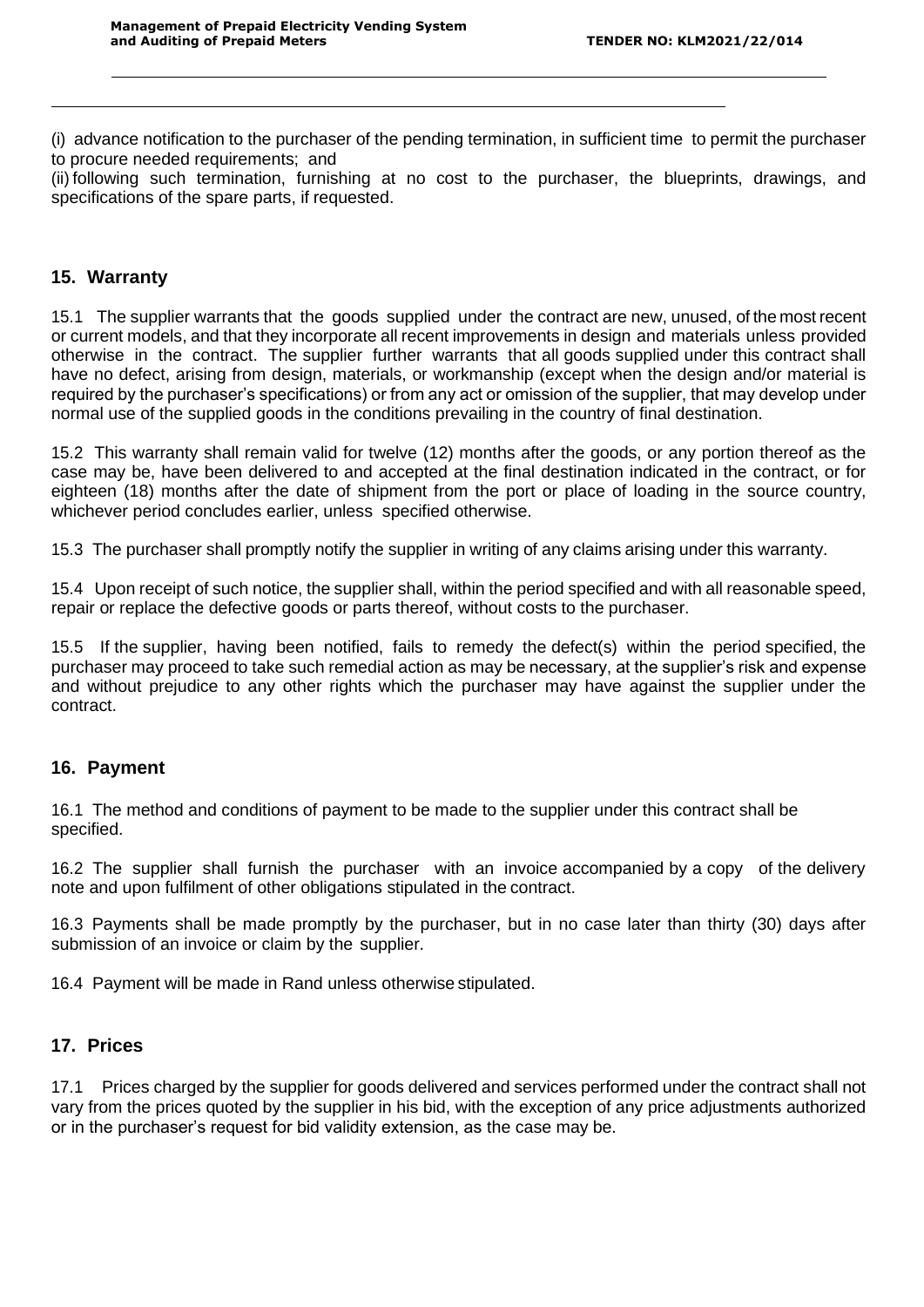(i) advance notification to the purchaser of the pending termination, in sufficient time to permit the purchaser to procure needed requirements; and

(ii) following such termination, furnishing at no cost to the purchaser, the blueprints, drawings, and specifications of the spare parts, if requested.

## **15. Warranty**

15.1 The supplier warrants that the goods supplied under the contract are new, unused, of the most recent or current models, and that they incorporate all recent improvements in design and materials unless provided otherwise in the contract. The supplier further warrants that all goods supplied under this contract shall have no defect, arising from design, materials, or workmanship (except when the design and/or material is required by the purchaser's specifications) or from any act or omission of the supplier, that may develop under normal use of the supplied goods in the conditions prevailing in the country of final destination.

15.2 This warranty shall remain valid for twelve (12) months after the goods, or any portion thereof as the case may be, have been delivered to and accepted at the final destination indicated in the contract, or for eighteen (18) months after the date of shipment from the port or place of loading in the source country, whichever period concludes earlier, unless specified otherwise.

15.3 The purchaser shall promptly notify the supplier in writing of any claims arising under this warranty.

15.4 Upon receipt of such notice, the supplier shall, within the period specified and with all reasonable speed, repair or replace the defective goods or parts thereof, without costs to the purchaser.

15.5 If the supplier, having been notified, fails to remedy the defect(s) within the period specified, the purchaser may proceed to take such remedial action as may be necessary, at the supplier's risk and expense and without prejudice to any other rights which the purchaser may have against the supplier under the contract.

## **16. Payment**

16.1 The method and conditions of payment to be made to the supplier under this contract shall be specified.

16.2 The supplier shall furnish the purchaser with an invoice accompanied by a copy of the delivery note and upon fulfilment of other obligations stipulated in the contract.

16.3 Payments shall be made promptly by the purchaser, but in no case later than thirty (30) days after submission of an invoice or claim by the supplier.

16.4 Payment will be made in Rand unless otherwise stipulated.

## **17. Prices**

17.1 Prices charged by the supplier for goods delivered and services performed under the contract shall not vary from the prices quoted by the supplier in his bid, with the exception of any price adjustments authorized or in the purchaser's request for bid validity extension, as the case may be.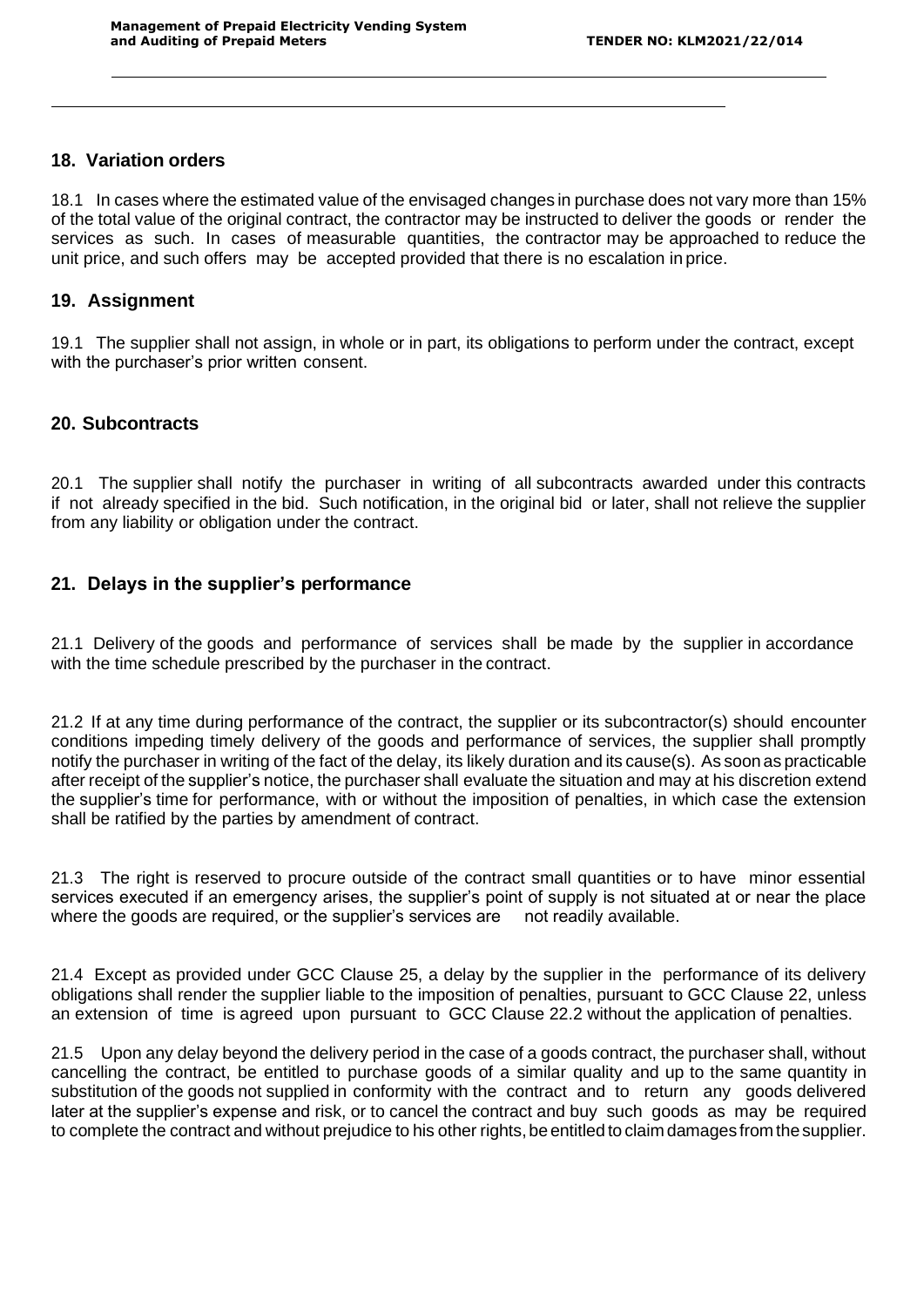## **18. Variation orders**

18.1 In cases where the estimated value of the envisaged changes in purchase does not vary more than 15% of the total value of the original contract, the contractor may be instructed to deliver the goods or render the services as such. In cases of measurable quantities, the contractor may be approached to reduce the unit price, and such offers may be accepted provided that there is no escalation in price.

## **19. Assignment**

19.1 The supplier shall not assign, in whole or in part, its obligations to perform under the contract, except with the purchaser's prior written consent.

## **20. Subcontracts**

20.1 The supplier shall notify the purchaser in writing of all subcontracts awarded under this contracts if not already specified in the bid. Such notification, in the original bid or later, shall not relieve the supplier from any liability or obligation under the contract.

# **21. Delays in the supplier's performance**

21.1 Delivery of the goods and performance of services shall be made by the supplier in accordance with the time schedule prescribed by the purchaser in the contract.

21.2 If at any time during performance of the contract, the supplier or its subcontractor(s) should encounter conditions impeding timely delivery of the goods and performance of services, the supplier shall promptly notify the purchaser in writing of the fact of the delay, its likely duration and its cause(s). As soon as practicable after receipt of the supplier's notice, the purchaser shall evaluate the situation and may at his discretion extend the supplier's time for performance, with or without the imposition of penalties, in which case the extension shall be ratified by the parties by amendment of contract.

21.3 The right is reserved to procure outside of the contract small quantities or to have minor essential services executed if an emergency arises, the supplier's point of supply is not situated at or near the place where the goods are required, or the supplier's services are not readily available.

21.4 Except as provided under GCC Clause 25, a delay by the supplier in the performance of its delivery obligations shall render the supplier liable to the imposition of penalties, pursuant to GCC Clause 22, unless an extension of time is agreed upon pursuant to GCC Clause 22.2 without the application of penalties.

21.5 Upon any delay beyond the delivery period in the case of a goods contract, the purchaser shall, without cancelling the contract, be entitled to purchase goods of a similar quality and up to the same quantity in substitution of the goods not supplied in conformity with the contract and to return any goods delivered later at the supplier's expense and risk, or to cancel the contract and buy such goods as may be required to complete the contract and without prejudice to his other rights, be entitled to claim damages from the supplier.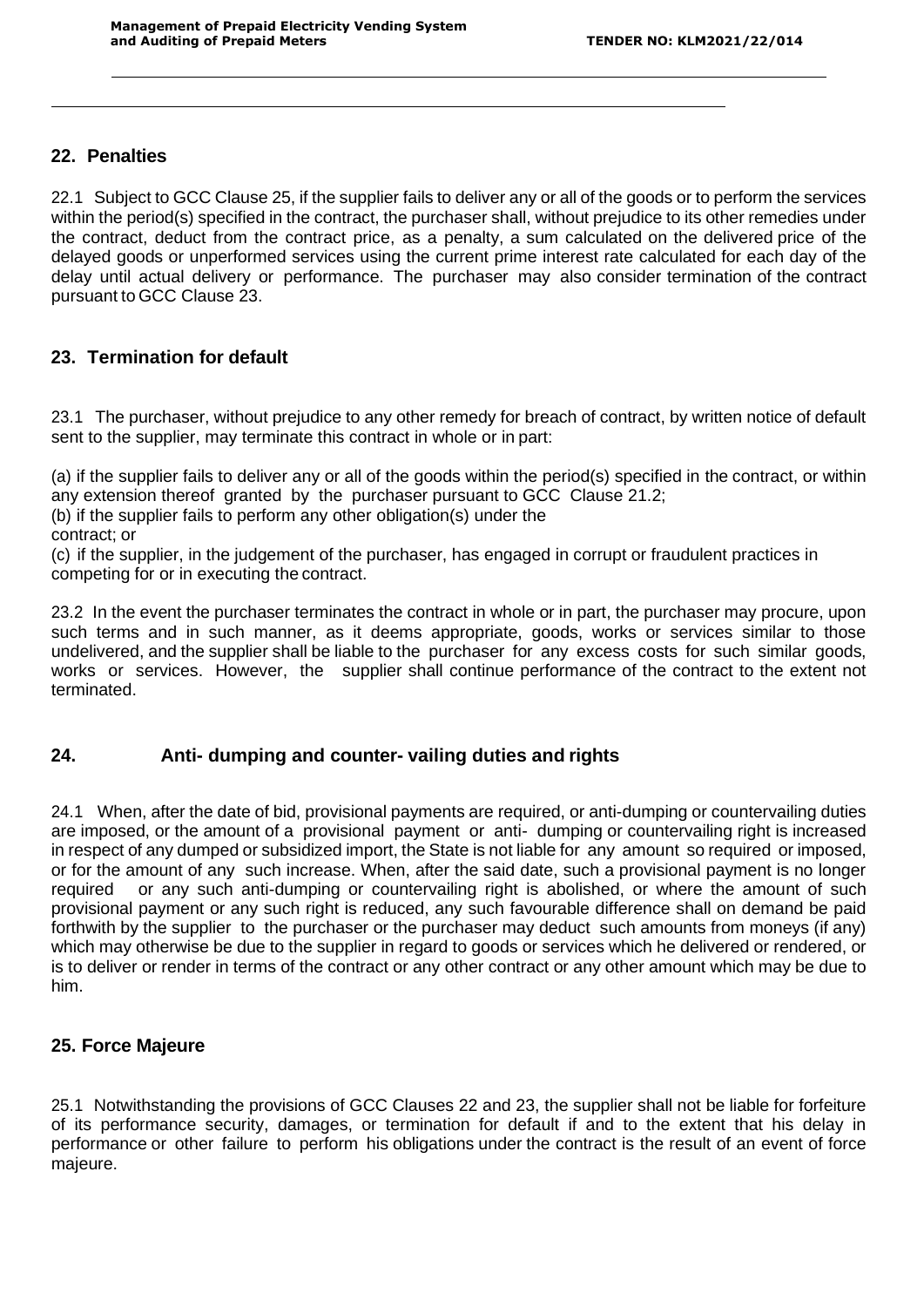## **22. Penalties**

22.1 Subject to GCC Clause 25, if the supplier fails to deliver any or all of the goods or to perform the services within the period(s) specified in the contract, the purchaser shall, without prejudice to its other remedies under the contract, deduct from the contract price, as a penalty, a sum calculated on the delivered price of the delayed goods or unperformed services using the current prime interest rate calculated for each day of the delay until actual delivery or performance. The purchaser may also consider termination of the contract pursuant to GCC Clause 23.

# **23. Termination for default**

23.1 The purchaser, without prejudice to any other remedy for breach of contract, by written notice of default sent to the supplier, may terminate this contract in whole or in part:

(a) if the supplier fails to deliver any or all of the goods within the period(s) specified in the contract, or within any extension thereof granted by the purchaser pursuant to GCC Clause 21.2;

(b) if the supplier fails to perform any other obligation(s) under the

contract; or

(c) if the supplier, in the judgement of the purchaser, has engaged in corrupt or fraudulent practices in competing for or in executing the contract.

23.2 In the event the purchaser terminates the contract in whole or in part, the purchaser may procure, upon such terms and in such manner, as it deems appropriate, goods, works or services similar to those undelivered, and the supplier shall be liable to the purchaser for any excess costs for such similar goods, works or services. However, the supplier shall continue performance of the contract to the extent not terminated.

# **24. Anti- dumping and counter- vailing duties and rights**

24.1 When, after the date of bid, provisional payments are required, or anti-dumping or countervailing duties are imposed, or the amount of a provisional payment or anti- dumping or countervailing right is increased in respect of any dumped or subsidized import, the State is not liable for any amount so required or imposed, or for the amount of any such increase. When, after the said date, such a provisional payment is no longer required or any such anti-dumping or countervailing right is abolished, or where the amount of such provisional payment or any such right is reduced, any such favourable difference shall on demand be paid forthwith by the supplier to the purchaser or the purchaser may deduct such amounts from moneys (if any) which may otherwise be due to the supplier in regard to goods or services which he delivered or rendered, or is to deliver or render in terms of the contract or any other contract or any other amount which may be due to him.

# **25. Force Majeure**

25.1 Notwithstanding the provisions of GCC Clauses 22 and 23, the supplier shall not be liable for forfeiture of its performance security, damages, or termination for default if and to the extent that his delay in performance or other failure to perform his obligations under the contract is the result of an event of force majeure.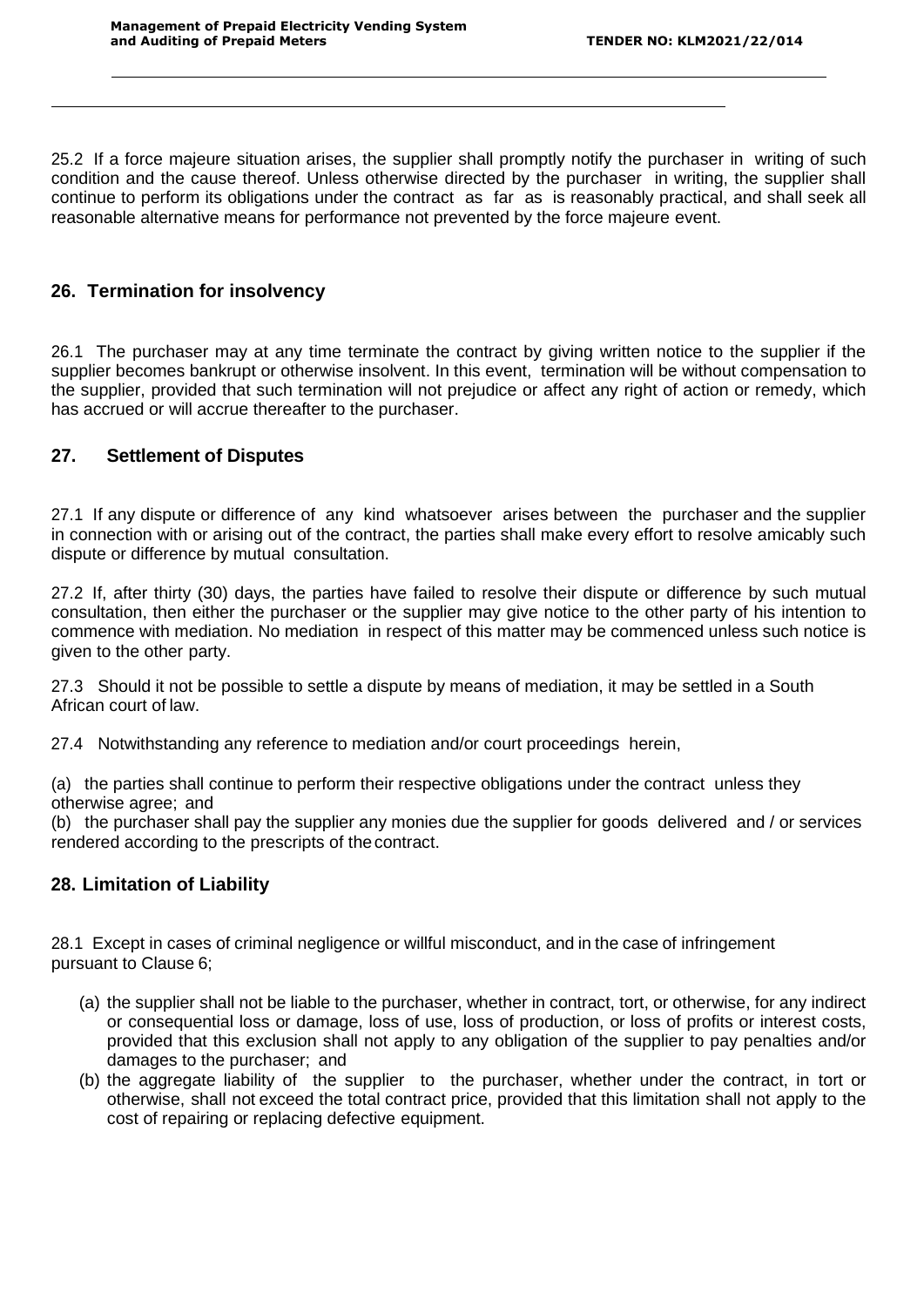25.2 If a force majeure situation arises, the supplier shall promptly notify the purchaser in writing of such condition and the cause thereof. Unless otherwise directed by the purchaser in writing, the supplier shall continue to perform its obligations under the contract as far as is reasonably practical, and shall seek all reasonable alternative means for performance not prevented by the force majeure event.

## **26. Termination for insolvency**

26.1 The purchaser may at any time terminate the contract by giving written notice to the supplier if the supplier becomes bankrupt or otherwise insolvent. In this event, termination will be without compensation to the supplier, provided that such termination will not prejudice or affect any right of action or remedy, which has accrued or will accrue thereafter to the purchaser.

# **27. Settlement of Disputes**

27.1 If any dispute or difference of any kind whatsoever arises between the purchaser and the supplier in connection with or arising out of the contract, the parties shall make every effort to resolve amicably such dispute or difference by mutual consultation.

27.2 If, after thirty (30) days, the parties have failed to resolve their dispute or difference by such mutual consultation, then either the purchaser or the supplier may give notice to the other party of his intention to commence with mediation. No mediation in respect of this matter may be commenced unless such notice is given to the other party.

27.3 Should it not be possible to settle a dispute by means of mediation, it may be settled in a South African court of law.

27.4 Notwithstanding any reference to mediation and/or court proceedings herein,

(a) the parties shall continue to perform their respective obligations under the contract unless they otherwise agree; and

(b) the purchaser shall pay the supplier any monies due the supplier for goods delivered and / or services rendered according to the prescripts of thecontract.

## **28. Limitation of Liability**

28.1 Except in cases of criminal negligence or willful misconduct, and in the case of infringement pursuant to Clause 6;

- (a) the supplier shall not be liable to the purchaser, whether in contract, tort, or otherwise, for any indirect or consequential loss or damage, loss of use, loss of production, or loss of profits or interest costs, provided that this exclusion shall not apply to any obligation of the supplier to pay penalties and/or damages to the purchaser; and
- (b) the aggregate liability of the supplier to the purchaser, whether under the contract, in tort or otherwise, shall not exceed the total contract price, provided that this limitation shall not apply to the cost of repairing or replacing defective equipment.